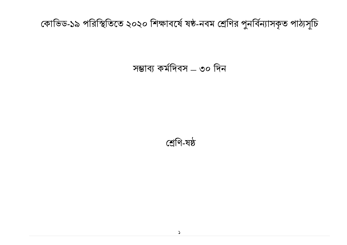# কোভিড-১৯ পরিস্থিতিতে ২০২০ শিক্ষাবর্ষে ষষ্ঠ-নবম শ্রেণির পুনর্বিন্যাসকৃত পাঠ্যসূচি

# সম্ভাব্য কর্মদিবস – ৩০ দিন

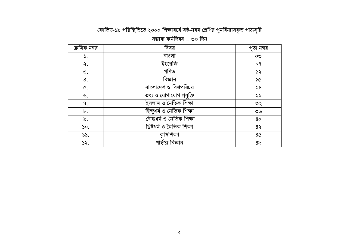## কোভিড-১৯ পরিস্থিতিতে ২০২০ শিক্ষাবর্ষে ষষ্ঠ-নবম শ্রেণির পুনর্বিন্যাসকৃত পাঠ্যসূচি সম্ভাব্য কৰ্মদিবস – ৩০ দিন

| ক্রমিক নম্বর      | বিষয়                      | পৃষ্ঠা নম্বর              |
|-------------------|----------------------------|---------------------------|
| $\mathcal{S}$ .   | বাংলা                      | OQ                        |
| ২.                | ইংরেজি                     | 09                        |
| ৩.                | গণিত                       | 55                        |
| 8.                | বিজ্ঞান                    | 56                        |
| Q.                | বাংলাদেশ ও বিশ্বপরিচয়     | $\lambda$ 8               |
| ৬.                | তথ্য ও যোগাযোগ প্রযুক্তি   | ২৯                        |
| ٩.                | ইসলাম ও নৈতিক শিক্ষা       | ৩২                        |
| ৮.                | হিন্দুধৰ্ম ও নৈতিক শিক্ষা  | $\mathcal{O} \mathcal{P}$ |
| ৯.                | বৌদ্ধৰ্ম ও নৈতিক শিক্ষা    | 80                        |
| $\mathcal{S}^o$ . | খ্রিষ্টধর্ম ও নৈতিক শিক্ষা | 85                        |
| 55.               | কৃষিশিক্ষা                 | 8 <sub>0</sub>            |
| 52.               | গাৰ্হস্থ্য বিজ্ঞান         | 8 <sub>o</sub>            |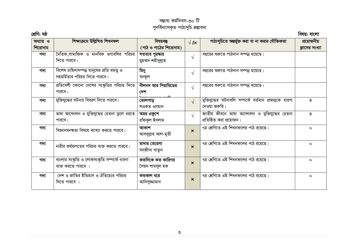# সম্ভাব্য কৰ্মদিবস-৩০ টি<br>পুনৰ্বিন্যাসকৃত পাঠ্যসূচি প্ৰস্তাবনা

| শ্ৰেণি: ষষ্ঠ         |                                                                            |                                      |                           |                                                                             | বিষয়: বাংলা                  |
|----------------------|----------------------------------------------------------------------------|--------------------------------------|---------------------------|-----------------------------------------------------------------------------|-------------------------------|
| অধ্যায় ও<br>শিরোনাম | শিক্ষাক্ৰমে উল্লিখিত শিখনফল                                                | বিষয়বস্তু<br>(পাঠ ও পাঠের শিরোনাম)  | $\sqrt{\mathbf{x}}$       | পাঠ্যসূচিতে অন্তর্ভুক্ত করা বা না করার যৌক্তিকতা                            | প্রয়োজনীয়<br>ক্লাসের সংখ্যা |
| গদ্য                 | নৈতিক সামাজিক ও মানবিক গুণাবলির পরিচয়<br>দিতে পারবে।                      | সততার পুরক্ষার<br>মুহম্মদ শহীদুল্লাহ | $\sqrt{ }$                | বছরের শুরুতে পাঠদান সম্পন্ন হয়েছে।                                         |                               |
| গদ্য                 | বিশেষ চাহিদাসম্পন্ন মানুষের প্রতি মমত্ব ও<br>সহমর্মিতার পরিচয় দিতে পারবে। | মিনু<br>বনফুল                        | $\sqrt{ }$                | বছরের শুরুতে পাঠদান সম্পন্ন হয়েছে।                                         |                               |
| গদ্য                 | প্রতিবেশী কোনো দেশের সংষ্কৃতির পরিচয় দিতে<br>পারবে।                       | নীলনদ আর পিরামিডের<br>দেশ            | $\sqrt{ }$                | বছরের শুরুতে পাঠদান সম্পন্ন হয়েছে।                                         |                               |
| গদ্য                 | মুক্তিযুদ্ধের ঘটনার বিবরণ দিতে পারবে।                                      | তোলপাড়<br>শওকত ওসমান                | $\sqrt{ }$                | মুক্তিযুদ্ধের ঘটনাবলি সম্পর্কে বর্তমান প্রজন্মকে ধারণা<br>দেওয়া জরুরি।     | 8                             |
| গদ্য                 | ভাষা আন্দোলন ও মুক্তিযুদ্ধের চেতনা তুলে ধরতে<br>পারবে।                     | অমর একুশে<br>রফিকুল ইসলাম            | $\sqrt{ }$                | জাতীয় জীবনে ভাষা আন্দোলন ও মুক্তিযুদ্ধের চেতনা<br>প্রতিষ্ঠিত করা প্রয়োজন। | 8                             |
| গদ্য                 | বিজ্ঞানমনক্ষতা বিষয়ে ব্যাখ্যা করতে পারবে।                                 | আকাশ<br>আবদুল্লাহ আল-মুতী            | $\boldsymbol{\mathsf{x}}$ | ৭ম শ্রেণিতে এই শিখনফলের পাঠ রয়েছে।                                         | $\circ$                       |
| গদ্য                 | নারীর কর্মজগতের পরিচয় ব্যক্ত করতে পারবে।                                  | মাদার তেরেসা<br>সন়জীদা খাতুন        | $\boldsymbol{\mathsf{x}}$ | ৭ম শ্রেণিতে এই শিখনফলের পাঠ রয়েছে।                                         | $\circ$                       |
| গদ্য                 | বাংলার সংষ্কৃতি ও লোকসংষ্কৃতি সম্পর্কে ধারণা<br>ব্যক্ত করতে পারবে          | কতদিকে কত কারিগর<br>সৈয়দ শামসুল হক  | $\boldsymbol{\mathsf{x}}$ | ৭ম শ্রেণিতে এই শিখনফলের পাঠ রয়েছে।                                         | $\circ$                       |
| গদ্য                 | দেশ ও জাতির ইতিহাস ও ঐতিহ্যের পরিচয়<br>দিতে পারবে ।                       | কতকাল ধরে<br>আনিসুজ্জামান            | $\boldsymbol{\mathsf{x}}$ | ৭ম শ্রেণিতে এই শিখনফলের পাঠ রয়েছে।                                         | $\circ$                       |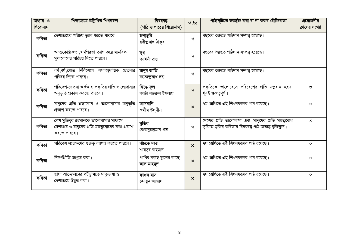| অধ্যায় ও | শিক্ষাক্ৰমে উল্লিখিত শিখনফল                                                                            | বিষয়বস্তু                         | $\sqrt{1}x$               | পাঠ্যসূচিতে অন্তর্ভুক্ত করা বা না করার যৌক্তিকতা                                                              | প্রয়োজনীয়    |
|-----------|--------------------------------------------------------------------------------------------------------|------------------------------------|---------------------------|---------------------------------------------------------------------------------------------------------------|----------------|
| শিরোনাম   |                                                                                                        | (পাঠ ও পাঠের শিরোনাম)              |                           |                                                                                                               | ক্লাসের সংখ্যা |
| কবিতা     | দেশপ্রেমের পরিচয় তুলে ধরতে পারবে।                                                                     | জন্মভূমি<br>রবীন্দ্রনাথ ঠাকুর      | $\sqrt{ }$                | বছরের শুরুতে পাঠদান সম্পন্ন হয়েছে।                                                                           |                |
| কবিতা     | আত্মকেন্দ্রিকতা ,স্বার্থপরতা ত্যাগ করে মানবিক<br>মূল্যবোধের পরিচয় দিতে পারবে।                         | সুখ<br>কামিনী রায়                 | $\sqrt{ }$                | বছরের শুরুতে পাঠদান সম্পন্ন হয়েছে।                                                                           |                |
| কবিতা     | ধর্ম,বর্ণ,গোত্র নির্বিশেষে অসাম্প্রদায়িক চেতনার<br>পরিচয় দিতে পারবে।                                 | মানুষ জাতি<br>সত্যেন্দ্ৰনাথ দত্ত   | $\sqrt{ }$                | বছরের শুরুতে পাঠদান সম্পন্ন হয়েছে।                                                                           |                |
| কবিতা     | পরিবেশ-চেতনা অর্জন ও প্রকৃতির প্রতি ভালোবাসার  <br>অনুভূতি প্রকাশ করতে পারবে।                          | ঝিঙে ফুল<br>কাজী নজরুল ইসলাম       | $\sqrt{ }$                | প্রকৃতিকে ভালোবেসে পরিবেশের প্রতি যত্নবান হওয়া<br>খুবই গুরুত্বপূর্ণ।                                         | ৩              |
| কবিতা     | মানুষের প্রতি শ্রদ্ধাবোধ ও ভালোবাসার অনুভূতি  <br>প্রকাশ করতে পারবে।                                   | আসমানি<br>জসীম উদদীন               | $\boldsymbol{\mathsf{x}}$ | ৭ম শ্রেণিতে এই শিখনফলের পাঠ রয়েছে।                                                                           | $\circ$        |
| কবিতা     | শেখ মুজিবুর রহমানকে ভালোবাসার মাধ্যমে<br>দেশপ্রেম ও মানুষের প্রতি মমত্ববোধের কথা প্রকাশ<br>করতে পারবে। | মুজিব<br>রোকনুজ্জামান খান          | $\sqrt{ }$                | দেশের প্রতি ভালোবাসা এবং মানুষের প্রতি মমত্ববোধ<br>সৃষ্টিতে মুজিব কবিতার বিষয়বস্তু পাঠ অত্যন্তু যুক্তিযুক্ত। | 8              |
| কবিতা     | পরিবেশ সংরক্ষণের গুরুত্ব ব্যাখ্যা করতে পারবে।                                                          | ৰাঁচতে দাও<br>শামসুর রাহমান        | $\boldsymbol{\mathsf{x}}$ | ৭ম শ্রেণিতে এই শিখনফলের পাঠ রয়েছে।                                                                           | $\circ$        |
| কবিতা     | নিসর্গপ্রীতি জাগ্রত করা।                                                                               | পাখির কাছে ফুলের কাছে<br>আল মাহমুদ | $\mathbf x$               | ৭ম শ্রেণিতে এই শিখনফলের পাঠ রয়েছে।                                                                           | $\circ$        |
| কবিতা     | ভাষা আন্দোলনের পটভূমিতে মাতৃভাষা ও<br>দেশপ্রেমে উদ্বুদ্ধ করা।                                          | ফাগুন মাস<br>হুমায়ুন আজাদ         | $\boldsymbol{\mathsf{x}}$ | ৭ম শ্রেণিতে এই শিখনফলের পাঠ রয়েছে।                                                                           | $\circ$        |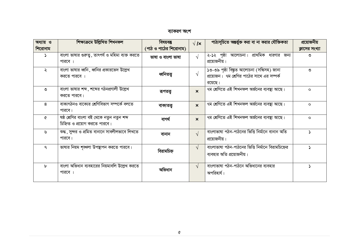ব্যাকরণ অংশ

| অধ্যায় ও    | শিক্ষাক্ৰমে উল্লিখিত শিখনফল                                                | বিষয়বস্তু            | $\sqrt{\mathbf{x}}$       | পাঠ্যসূচিতে অন্তর্ভুক্ত করা বা না করার যৌক্তিকতা                                                    | প্রয়োজনীয়    |
|--------------|----------------------------------------------------------------------------|-----------------------|---------------------------|-----------------------------------------------------------------------------------------------------|----------------|
| শিরোনাম      |                                                                            | (পাঠ ও পাঠের শিরোনাম) |                           |                                                                                                     | ক্লাসের সংখ্যা |
| د            | বাংলা ভাষার গুরুতু , তাৎপর্য ও মহিমা ব্যক্ত করতে<br>পারবে ।                | ভাষা ও বাংলা ভাষা     | $\sqrt{ }$                | ২-১২ পৃষ্ঠা আলোচনা। প্রাথমিক ধারণার জন্য<br>প্রয়োজনীয়।                                            | ৩              |
| ২            | বাংলা ভাষার ধ্বনি, ধ্বনির প্রকারভেদ উল্লেখ<br>করতে পারবে ।                 | ধ্বনিতত্ত্ব           | $\sqrt{ }$                | ১৩-৩৯ পৃষ্ঠা বিষ্কৃত আলোচনা (সন্ধিসহ) জানা<br>প্রয়োজন। ৭ম শ্রেণির পাঠের সাথে এর সম্পর্ক<br>রয়েছে। | ৩              |
| ৩            | বাংলা ভাষার শব্দ , শব্দের গঠনপ্রণালী উল্লেখ<br>করতে পারবে।                 | রূপতত্ত্ব             | $\mathbf{x}$              | ৭ম শ্রেণিতে এই শিখনফল অর্জনের ব্যবস্থা আছে।                                                         | $\Omega$       |
| 8            | বাক্যগঠনও বাক্যের শ্রেণিবিভাগ সম্পর্কে বলতে<br>পারবে।                      | বাক্যতত্ত্ব           | $\boldsymbol{\mathsf{x}}$ | ৭ম শ্রেণিতে এই শিখনফল অর্জনের ব্যবস্থা আছে।                                                         | $\circ$        |
| ᢙ            | ষষ্ঠ শ্রেণির বাংলা বই থেকে নতুন নতুন শব্দ<br>চিহ্নিত ও প্রয়োগ করতে পারবে। | বাগৰ্থ                | $\boldsymbol{\mathsf{x}}$ | ৭ম শ্রেণিতে এই শিখনফল অর্জনের ব্যবস্থা আছে।                                                         | $\circ$        |
| ৬            | শুদ্ধ , সুন্দর ও প্রমিত বানানে সাবলীলভাবে লিখতে<br>পারবে।                  | বানান                 | $\sqrt{ }$                | বাংলাভাষা পঠন-পাঠনের ভিত্তি নির্মানে বানান অতি<br>প্রয়োজনীয়।                                      |                |
| $\mathsf{P}$ | ভাষার নিয়ম শৃঙ্খলা উপছাপন করতে পারবে।                                     | বিরামচিহ্ন            | $\sqrt{ }$                | বাংলাভাষা পঠন-পাঠনের ভিত্তি নির্মানে বিরামচিহ্নের<br>ব্যবহার অতি প্রয়োজনীয়।                       |                |
| $\mathbf{b}$ | বাংলা অভিধান ব্যবহারের নিয়মাবলি উল্লেখ করতে<br>পারবে ।                    | অভিধান                | $\sqrt{ }$                | বাংলাভাষা পঠন-পাঠনে অভিধানের ব্যবহার<br>অপরিহার্য।                                                  |                |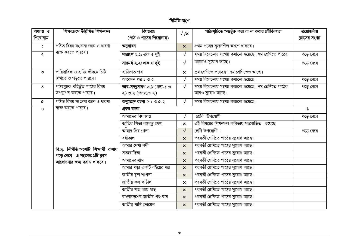### নিৰ্মিতি অংশ

| অধ্যায় ও             | শিক্ষাক্ৰমে উল্লিখিত শিখনফল              | বিষয়বস্তু                   | $\sqrt{1}$                | পাঠ্যসূচিতে অন্তৰ্ভুক্ত করা বা না করার যৌক্তিকতা      | প্রয়োজনীয়           |
|-----------------------|------------------------------------------|------------------------------|---------------------------|-------------------------------------------------------|-----------------------|
| শিরোনাম               |                                          | (পাঠ ও পাঠের শিরোনাম)        |                           |                                                       | ক্লাসের সংখ্যা        |
| $\blacktriangleright$ | পঠিত বিষয় সংক্ৰান্ত জ্ঞান ও ধারণা       | অনুধাবন                      | $\boldsymbol{\mathsf{x}}$ | প্রথম পত্রের সৃজনশীল অংশে থাকবে।                      |                       |
| $\lambda$             | ব্যক্ত করতে পারবে।                       | সারাংশ ২.১: এক ও দুই         | $\sqrt{ }$                | সময় বিবেচনায় সংখ্যা কমানো হয়েছে। ৭ম শ্রেণিতে পাঠের | পড়ে নেবে             |
|                       |                                          | সারমর্ম ২.২: এক ও দুই        | $\sqrt{ }$                | আরোও সুযোগ আছে।                                       | পড়ে নেবে             |
| ৩                     | পারিবারিক ও ব্যক্তি জীবনে চিঠি           | ব্যক্তিগত পত্ৰ               | $\boldsymbol{\mathsf{x}}$ | ৫ম শ্রেণিতে পড়েছে। ৭ম শ্রেণিতেও আছে।                 |                       |
|                       | লিখতে ও পড়তে পারবে।                     | আবেদন পত্ৰ ১ ও ২             | $\sqrt{ }$                | সময় বিবেচনায় সংখ্যা কমানো হয়েছে।                   | পড়ে নেবে             |
| 8                     | পাঠ্যপুস্তক-বহির্ভূত পাঠের বিষয়         | ভাব-সম্প্রসারণ ৩.১ (গদ্য-১ ও | $\sqrt{ }$                | সময় বিবেচনায় সংখ্যা কমানো হয়েছে। ৭ম শ্রেণিতে পাঠের | পড়ে নেবে             |
|                       | উপস্থাপন করতে পারবে।                     | ২) ৩.২ (পদ্য:১ও ২)           |                           | আরও সুযোগ আছে।                                        |                       |
| $\mathbf{\hat{C}}$    | পঠিত বিষয় সংক্রান্ত জ্ঞান ও ধারণা       | অনুচ্ছেদ রচনা ৫.১ ও ৫.২      | $\sqrt{ }$                | সময় বিবেচনায় সংখ্যা কমানো হয়েছে।                   |                       |
| ৬                     | ব্যক্ত করতে পারবে।                       | প্ৰবন্ধ রচনা                 |                           |                                                       | $\blacktriangleright$ |
|                       |                                          | আমাদের বিদ্যালয়             | $\sqrt{ }$                | শ্ৰেনি উপযোগী                                         | পড়ে নেবে             |
|                       |                                          | জাতির পিতা বঙ্গবন্ধু শেখ     | $\boldsymbol{\mathsf{x}}$ | এই বিষয়ের শিখনফল কবিতায় সংযোজিত। হয়েছে             |                       |
|                       |                                          | আমার প্রিয় খেলা             | $\sqrt{ }$                | শ্ৰেণি উপযোগী ।                                       | পড়ে নেবে             |
|                       |                                          | বৰ্ষাকাল                     | $\mathbf{x}$              | পরবর্তী শ্রেণিতে পাঠের সুযোগ আছে।                     |                       |
|                       | বি.দ্ৰ. নিৰ্মিতি অংশটি শিক্ষাৰ্থী বাসায় | আমার দেখা নদী                | $\mathbf{x}$              | পরবর্তী শ্রেণিতে পাঠের সুযোগ আছে।                     |                       |
|                       | পড়ে নেবে। এ সংক্রান্ত ১টি ক্লাস         | সত্যবাদিতা                   | $\mathbf{x}$              | পরবর্তী শ্রেণিতে পাঠের সুযোগ আছে।                     |                       |
|                       | আলোচনার জন্য বরাদ্দ থাকবে।               | আমাদের গ্রাম                 | $\boldsymbol{\mathsf{x}}$ | পরবর্তী শ্রেণিতে পাঠের সুযোগ আছে।                     |                       |
|                       |                                          | আমার পড়া একটি বইয়ের গল্প   | $\boldsymbol{\mathsf{x}}$ | পরবর্তী শ্রেণিতে পাঠের সুযোগ আছে।                     |                       |
|                       |                                          | <u>জাতীয় ফুল শাপলা</u>      | $\boldsymbol{\mathsf{x}}$ | পরবর্তী শ্রেণিতে পাঠের সুযোগ আছে।                     |                       |
|                       |                                          | জাতীয় ফল কাঁঠাল             | $\boldsymbol{\mathsf{x}}$ | পরবর্তী শ্রেণিতে পাঠের সুযোগ আছে।                     |                       |
|                       |                                          | জাতীয় গাছ আম গাছ            | $\boldsymbol{\mathsf{x}}$ | পরবর্তী শ্রেণিতে পাঠের সুযোগ আছে।                     |                       |
|                       |                                          | বাংলাদেশের জাতীয় পশু বাঘ    | $\mathbf{x}$              | পরবর্তী শ্রেণিতে পাঠের সুযোগ আছে।                     |                       |
|                       |                                          | জাতীয় পাখি দোয়েল           | $\boldsymbol{x}$          | পরবর্তী শ্রেণিতে পাঠের সুযোগ আছে।                     |                       |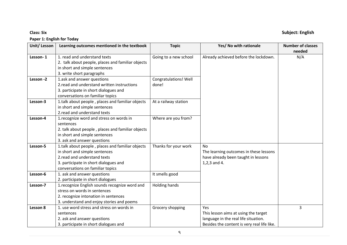#### **Paper 1: English for Today**

#### **Unit/ Lesson Learning outcomes mentioned in the textbook Topic Yes/ No with rationale Number of classes needed Lesson- 1** 1. read and understand texts 2. talk about people, places and familiar objects in short and simple sentences 3. write short paragraphs Going to a new school  $\parallel$  Already achieved before the lockdown.  $\parallel$  N/A **Lesson -2** | 1.ask and answer questions 2.read and understand written instructions 3. participate in short dialogues and conversations on familiar topics Congratulations! Well done! **Lesson-3** 1.talk about people, places and familiar objects in short and simple sentences 2.read and understand texts At a railway station **Lesson-4** 1.recognize word and stress on words in sentences 2. talk about people , places and familiar objects in short and simple sentences 3. ask and answer questions Where are you from? Lesson-5 | 1.talk about people, places and familiar objects in short and simple sentences 2.read and understand texts 3. participate in short dialogues and conversations on familiar topics Thanks for your work No The learning outcomes in these lessons have already been taught in lessons 1,2,3 and 4. **Lesson-6** 1. ask and answer questions 2. participate in short dialogues It smells good **Lesson-7** | 1. recognize English sounds recognize word and stress on words in sentences 2. recognize intonation in sentences 3. understand and enjoy stories and poems Holding hands **Lesson 8** 1. use word stress and stress on words in sentences 2. ask and answer questions 3. participate in short dialogues and Grocery shopping Ves This lesson aims at using the target language in the real life situation. Besides the content is very real life like. 3

### **Class: Six Subject: English**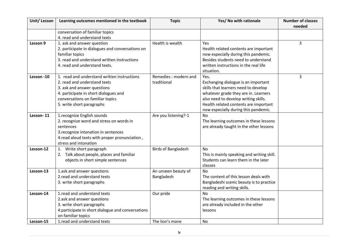| Unit/Lesson | Learning outcomes mentioned in the textbook        | <b>Topic</b>               | Yes/ No with rationale                     | <b>Number of classes</b> |
|-------------|----------------------------------------------------|----------------------------|--------------------------------------------|--------------------------|
|             |                                                    |                            |                                            | needed                   |
|             | conversation of familiar topics                    |                            |                                            |                          |
|             | 4. read and understand texts                       |                            |                                            |                          |
| Lesson 9    | 1. ask and answer question                         | Health is wealth           | Yes                                        | 3                        |
|             | 2. participate in dialogues and conversations on   |                            | Health related contents are important      |                          |
|             | familiar topics                                    |                            | now especially during this pandemic.       |                          |
|             | 3. read and understand written instructions        |                            | Besides students need to understand        |                          |
|             | 4. read and understand texts.                      |                            | written instructions in the real life      |                          |
|             |                                                    |                            | situation.                                 |                          |
| Lesson -10  | 1. read and understand written instructions        | Remedies: modern and       | Yes.                                       | $\overline{3}$           |
|             | 2. read and understand texts                       | traditional                | Exchanging dialogue is an important        |                          |
|             | 3. ask and answer questions                        |                            | skills that learners need to develop       |                          |
|             | 4. participate in short dialogues and              |                            | whatever grade they are in. Learners       |                          |
|             | conversations on familiar topics                   |                            | also need to develop writing skills.       |                          |
|             | 5. write short paragraphs                          |                            | Health related contents are important      |                          |
|             |                                                    |                            | now especially during this pandemic.       |                          |
| Lesson-11   | 1.recognize English sounds                         | Are you listening?-1       | <b>No</b>                                  |                          |
|             | 2. recognize word and stress on words in           |                            | The learning outcomes in these lessons     |                          |
|             | sentences                                          |                            | are already taught in the other lessons    |                          |
|             | 3. recognize intonation in sentences               |                            |                                            |                          |
|             | 4. read aloud texts with proper pronunciation,     |                            |                                            |                          |
|             | stress and intonation                              |                            |                                            |                          |
| Lesson-12   | Write short paragraph<br>1.                        | <b>Birds of Bangladesh</b> | <b>No</b>                                  |                          |
|             | 2. Talk about people, places and familiar          |                            | This is mainly speaking and writing skill. |                          |
|             | objects in short simple sentences                  |                            | Students can learn them in the later       |                          |
|             |                                                    |                            | classes                                    |                          |
| Lesson-13   | 1.ask and answer questions                         | An unseen beauty of        | N <sub>0</sub>                             |                          |
|             | 2. read and understand texts                       | Bangladesh                 | The content of this lesson deals with      |                          |
|             | 3. write short paragraphs                          |                            | Bangladeshi scenic beauty is to practice   |                          |
|             |                                                    |                            | reading and writing skills.                |                          |
| Lesson-14   | 1.read and understand texts                        | Our pride                  | <b>No</b>                                  |                          |
|             | 2.ask and answer questions                         |                            | The learning outcomes in these lessons     |                          |
|             | 3. write short paragraphs                          |                            | are already included in the other          |                          |
|             | 4. participate in short dialogue and conversations |                            | lessons                                    |                          |
|             | on familiar topics                                 |                            |                                            |                          |
| Lesson-15   | 1. read and understand texts                       | The lion's mane            | No.                                        |                          |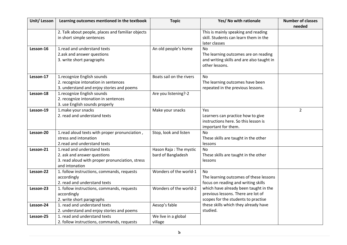| Unit/ Lesson | Learning outcomes mentioned in the textbook                                                                                     | <b>Topic</b>                                 | Yes/ No with rationale                                                                                                | <b>Number of classes</b> |
|--------------|---------------------------------------------------------------------------------------------------------------------------------|----------------------------------------------|-----------------------------------------------------------------------------------------------------------------------|--------------------------|
|              | 2. Talk about people, places and familiar objects<br>in short simple sentences                                                  |                                              | This is mainly speaking and reading<br>skill. Students can learn them in the<br>later classes                         | needed                   |
| Lesson-16    | 1.read and understand texts<br>2.ask and answer questions<br>3. write short paragraphs                                          | An old people's home                         | N <sub>o</sub><br>The learning outcomes are on reading<br>and writing skills and are also taught in<br>other lessons. |                          |
| Lesson-17    | 1.recognize English sounds<br>2. recognize intonation in sentences<br>3. understand and enjoy stories and poems                 | Boats sail on the rivers                     | No<br>The learning outcomes have been<br>repeated in the previous lessons.                                            |                          |
| Lesson-18    | 1.recognize English sounds<br>2. recognize intonation in sentences<br>3. use English sounds properly                            | Are you listening?-2                         |                                                                                                                       |                          |
| Lesson-19    | 1.make your snacks<br>2. read and understand texts                                                                              | Make your snacks                             | Yes.<br>Learners can practice how to give<br>instructions here. So this lesson is<br>important for them.              | $\overline{2}$           |
| Lesson-20    | 1. read aloud texts with proper pronunciation,<br>stress and intonation<br>2. read and understand texts                         | Stop, look and listen                        | No<br>These skills are taught in the other<br>lessons                                                                 |                          |
| Lesson-21    | 1.read and understand texts<br>2. ask and answer questions<br>3. read aloud with proper pronunciation, stress<br>and intonation | Hason Raja: The mystic<br>bard of Bangladesh | No<br>These skills are taught in the other<br>lessons                                                                 |                          |
| Lesson-22    | 1. follow instructions, commands, requests<br>accordingly<br>2. read and understand texts                                       | Wonders of the world-1                       | No<br>The learning outcomes of these lessons<br>focus on reading and writing skills                                   |                          |
| Lesson-23    | 1. follow instructions, commands, requests<br>accordingly<br>2. write short paragraphs                                          | Wonders of the world-2                       | which have already been taught in the<br>previous lessons. There are lot of<br>scopes for the students to practise    |                          |
| Lesson-24    | 1. read and understand texts<br>2. understand and enjoy stories and poems                                                       | Aesop's fable                                | these skills which they already have<br>studied.                                                                      |                          |
| Lesson-25    | 1. read and understand texts<br>2. follow instructions, commands, requests                                                      | We live in a global<br>village               |                                                                                                                       |                          |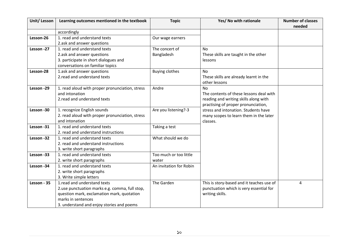| Unit/Lesson | Learning outcomes mentioned in the textbook                                                                                                                                                    | <b>Topic</b>                    | Yes/ No with rationale                                                                                                               | <b>Number of classes</b><br>needed |
|-------------|------------------------------------------------------------------------------------------------------------------------------------------------------------------------------------------------|---------------------------------|--------------------------------------------------------------------------------------------------------------------------------------|------------------------------------|
|             | accordingly                                                                                                                                                                                    |                                 |                                                                                                                                      |                                    |
| Lesson-26   | 1. read and understand texts<br>2.ask and answer questions                                                                                                                                     | Our wage earners                |                                                                                                                                      |                                    |
| Lesson -27  | 1. read and understand texts<br>2.ask and answer questions<br>3. participate in short dialogues and<br>conversations on familiar topics                                                        | The concert of<br>Bangladesh    | <b>No</b><br>These skills are taught in the other<br>lessons                                                                         |                                    |
| Lesson-28   | 1.ask and answer questions<br>2. read and understand texts                                                                                                                                     | <b>Buying clothes</b>           | <b>No</b><br>These skills are already learnt in the<br>other lessons                                                                 |                                    |
| Lesson -29  | 1. read aloud with proper pronunciation, stress<br>and intonation<br>2. read and understand texts                                                                                              | Andre                           | <b>No</b><br>The contents of these lessons deal with<br>reading and writing skills along with<br>practising of proper pronunciation, |                                    |
| Lesson -30  | 1. recognize English sounds<br>2. read aloud with proper pronunciation, stress<br>and intonation                                                                                               | Are you listening?-3            | stress and intonation. Students have<br>many scopes to learn them in the later<br>classes.                                           |                                    |
| Lesson -31  | 1. read and understand texts<br>2. read and understand instructions                                                                                                                            | Taking a test                   |                                                                                                                                      |                                    |
| Lesson -32  | 1. read and understand texts<br>2. read and understand instructions<br>3. write short paragraphs                                                                                               | What should we do               |                                                                                                                                      |                                    |
| Lesson -33  | 1. read and understand texts<br>2. write short paragraphs                                                                                                                                      | Too much or too little<br>water |                                                                                                                                      |                                    |
| Lesson -34  | 1. read and understand texts<br>2. write short paragraphs<br>3. Write simple letters                                                                                                           | An invitation for Robin         |                                                                                                                                      |                                    |
| Lesson - 35 | 1.read and understand texts<br>2.use punctuation marks e.g. comma, full stop,<br>question mark, exclamation mark, quotation<br>marks in sentences<br>3. understand and enjoy stories and poems | The Garden                      | This is story-based and it teaches use of<br>punctuation which is very essential for<br>writing skills.                              | 4                                  |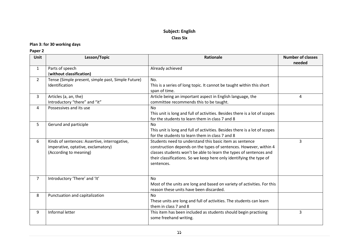### **Subject: English Class Six**

#### **Plan 3: for 30 working days**

#### **Paper 2**

| Unit           | Lesson/Topic                                                                                                  | <b>Rationale</b>                                                                                                                                                                                                                                                                        | <b>Number of classes</b><br>needed |
|----------------|---------------------------------------------------------------------------------------------------------------|-----------------------------------------------------------------------------------------------------------------------------------------------------------------------------------------------------------------------------------------------------------------------------------------|------------------------------------|
| $\mathbf{1}$   | Parts of speech<br>(without classification)                                                                   | Already achieved                                                                                                                                                                                                                                                                        |                                    |
| $\overline{2}$ | Tense (Simple present, simple past, Simple Future)<br>Identification                                          | No.<br>This is a series of long topic. It cannot be taught within this short<br>span of time.                                                                                                                                                                                           |                                    |
| 3              | Articles (a, an, the)<br>Introductory "there" and "it"                                                        | Article being an important aspect in English language, the<br>committee recommends this to be taught.                                                                                                                                                                                   | 4                                  |
| 4              | Possessives and its use                                                                                       | <b>No</b><br>This unit is long and full of activities. Besides there is a lot of scopes<br>for the students to learn them in class 7 and 8                                                                                                                                              |                                    |
| 5              | Gerund and participle                                                                                         | N <sub>0</sub><br>This unit is long and full of activities. Besides there is a lot of scopes<br>for the students to learn them in class 7 and 8                                                                                                                                         |                                    |
| 6              | Kinds of sentences: Assertive, interrogative,<br>imperative, optative, exclamatory)<br>(According to meaning) | Students need to understand this basic item as sentence<br>construction depends on the types of sentences. However, within 4<br>classes students won't be able to learn the types of sentences and<br>their classifications. So we keep here only identifying the type of<br>sentences. | 3                                  |
| $\overline{7}$ | Introductory 'There' and 'It'                                                                                 | <b>No</b><br>Most of the units are long and based on variety of activities. For this<br>reason these units have been discarded.                                                                                                                                                         |                                    |
| 8              | Punctuation and capitalization                                                                                | <b>No</b><br>These units are long and full of activities. The students can learn<br>them in class 7 and 8                                                                                                                                                                               |                                    |
| 9              | Informal letter                                                                                               | This item has been included as students should begin practising<br>some freehand writing.                                                                                                                                                                                               | 3                                  |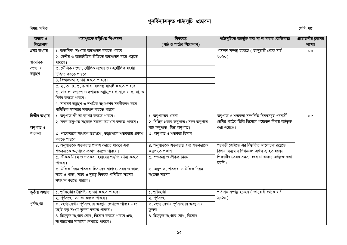# পুনর্বিন্যাসকৃত পাঠ্যসূচি প্রভাবনা

### বিষয়: গণিত

### শ্ৰেণি: ষষ্ঠ

| অধ্যায় ও<br>শিরোনাম | পাঠ্যপুস্তকে উল্লিখিত শিখনফল                              | বিষয়বস্তু<br>(পাঠ ও পাঠের শিরোনাম)    | পাঠ্যসূচিতে অন্তর্ভুক্ত করা বা না করার যৌক্তিকতা        | প্রয়োজনীয় ক্লাসের |
|----------------------|-----------------------------------------------------------|----------------------------------------|---------------------------------------------------------|---------------------|
|                      |                                                           |                                        |                                                         | সংখ্যা              |
| প্ৰথম অধ্যায়        | ১. ম্বাভাবিক সংখ্যার অঙ্কপাতন করতে পারবে।                 |                                        | পাঠদান সম্পন্ন হয়েছে ( জানুয়ারী থেকে মার্চ            | $\overline{O}O$     |
|                      | ২. দেশীয় ও আন্তর্জাতিক রীতিতে অঙ্কপাতন করে পড়তে         |                                        | ২০২০)                                                   |                     |
| ষাভাবিক              | পারবে।                                                    |                                        |                                                         |                     |
| সংখ্যা ও             | ৩. মৌলিক সংখ্যা, যৌগিক সংখ্যা ও সহমৌলিক সংখ্যা            |                                        |                                                         |                     |
| ভগ্নাংশ              | চিহ্নিত করতে পারবে।                                       |                                        |                                                         |                     |
|                      | ৪. বিভাজ্যতা ব্যাখ্যা করতে পারবে।                         |                                        |                                                         |                     |
|                      | $\alpha$ . ২, ৩, ৪, ৫, ৯ দ্বারা বিভাজ্য যাচাই করতে পারবে। |                                        |                                                         |                     |
|                      | ৬. সাধারণ ভগ্নাংশ ও দশমিক ভগ্নাংশের গ.সা.গু ও ল. সা. গু   |                                        |                                                         |                     |
|                      | নির্ণয় করতে পারবে।                                       |                                        |                                                         |                     |
|                      | ৭. সাধারণ ভগ্নাংশ ও দশমিক ভগ্নাংশের সরলীকরণ করে           |                                        |                                                         |                     |
|                      | গাণিতিক সমস্যার সমাধান করতে পারবে।                        |                                        |                                                         |                     |
| দ্বিতীয় অধ্যায়     | ১. অনুপাত কী তা ব্যাখ্যা করতে পারবে।                      | ১. অনুপাতের ধারণা                      | অনুপাত ও শতকরা সম্পর্কিত বিষয়সমূহ পরবর্তী              | oQ                  |
|                      | ২. সরল অনুপাত সংক্রান্ত সমস্যা সমাধান করতে পারবে।         | ২. বিভিন্ন প্রকার অনুপাত (সরল অনুপাত,  | শ্রেণির পাঠের ভিত্তি হিসেবে প্রয়োজন বিধায় অর্ন্তভূক্ত |                     |
| অনুপাত ও             |                                                           | ব্যস্ত অনুপাত, মিশ্ৰ অনুপাত)           | করা হয়েছে।                                             |                     |
| শতকরা                | ৩. শতকরাকে সাধারণ ভগ্নাংশে, ভগ্নাংশকে শতকরায় প্রকাশ      | ৩. অনুপাত ও শতকরা হিসাব                |                                                         |                     |
|                      | করতে পারবে।                                               |                                        |                                                         |                     |
|                      | 8. অনুপাতকে শতকরায় প্রকাশ করতে পারবে এবং                 | ৪. অনুপাতকে শতকরায় এবং শতকরাকে        | পরবর্তী শ্রেণিতে এর বিস্তারিত আলোচনা রয়েছে             |                     |
|                      | শতকরাকে অনুপাতে প্রকাশ করতে পারবে।                        | অনুপাতে প্ৰকাশ                         | বিধায় বিদ্যমান শিখনফল অৰ্জন ব্যাহত হলেও                |                     |
|                      | ৫. ঐকিক নিয়ম ও শতকরা হিসাবের পদ্ধতি বর্ণনা করতে          | ৫. শতকরা ও ঐকিক নিয়ম                  | শিক্ষার্থীর তেমন সমস্যা হবে না এজন্য অর্ন্তভুক্ত করা    |                     |
|                      | পারবে।                                                    |                                        | হয়নি।                                                  |                     |
|                      | ৬. ঐকিক নিয়ম শতকরা হিসাবের সাহায্যে সময় ও কাজ,          | ৬. অনুপাত, শতকরা ও ঐকিক নিয়ম          |                                                         |                     |
|                      | সময় ও খাদ্য, সময় ও দূরতু বিষয়ক গাণিতিক সমস্যা          | সংক্ৰান্ত সমস্যা                       |                                                         |                     |
|                      | সমাধান করতে পারবে।                                        |                                        |                                                         |                     |
|                      |                                                           |                                        |                                                         |                     |
| তৃতীয় অধ্যায়       | ১. পূর্ণসংখ্যার বৈশিষ্ট্য ব্যাখ্যা করতে পারবে।            | ১. পূর্ণসংখ্যা                         | পাঠদান সম্পন্ন হয়েছে ( জানুয়ারী থেকে মার্চ            |                     |
|                      | ২. পূর্ণসংখ্যা সনাক্ত করতে পারবে।                         | ২. পূর্ণসংখ্যা                         | ২০২০)                                                   |                     |
| পূর্ণসংখ্যা          | ৩. সংখ্যারেখায় পূর্ণসংখ্যার অবস্থান দেখাতে পারবে এবং     | ৩. সংখ্যারেখায় পূর্ণসংখ্যার অবষ্থান ও |                                                         |                     |
|                      | ছোট-বড় সংখ্যা তুলনা করতে পারবে।                          | তুলনা                                  |                                                         |                     |
|                      | ৪. চিহ্নযুক্ত সংখ্যার যোগ, বিয়োগ করতে পারবে এবং          | ৪. চিহ্ন্যুক্ত সংখ্যার যোগ, বিয়োগ     |                                                         |                     |
|                      | সংখ্যারেখার সাহায্যে দেখাতে পারবে।                        |                                        |                                                         |                     |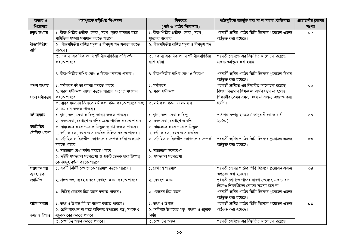| অধ্যায় ও      | পাঠ্যপুস্তকে উল্লিখিত শিখনফল                                    | বিষয়বস্তু                                         | পাঠ্যসূচিতে অন্তর্ভুক্ত করা বা না করার যৌক্তিকতা                    | প্রয়োজনীয় ক্লাসের |
|----------------|-----------------------------------------------------------------|----------------------------------------------------|---------------------------------------------------------------------|---------------------|
| শিরোনাম        |                                                                 | (পাঠ ও পাঠের শিরোনাম)                              |                                                                     | সংখ্যা              |
| চতুৰ্থ অধ্যায় | ১. বীজগণিতীয় প্রতীক, চলক, সহগ, সূচক ব্যবহার করে                | ১. বীজগণিতীয় প্রতীক, চলক, সহগ,                    | পরবর্তী শ্রেণির পাঠের ভিত্তি হিসেবে প্রয়োজন এজন্য                  | o¢                  |
|                | গাণিতিক সমস্যা সমাধান করতে পারবে।                               | সূচকের ব্যবহার                                     | অৰ্ন্তভূক্ত করা হয়েছে।                                             |                     |
| বীজগণিতীয়     | ২। বীজগণিতীয় রাশির সদৃশ ও বিসদৃশ পদ শনাক্ত করতে                | ২. বীজগণিতীয় রাশির সদৃশ ও বিসদৃশ পদ               |                                                                     |                     |
| রাশি           | পারবে।                                                          |                                                    |                                                                     |                     |
|                | ৩. এক বা একাধিক পদবিশিষ্ট বীজগণিতীয় রাশি বর্ণনা                | ৩. এক বা একাধিক পদবিশিষ্ট বীজগণিতীয়               | পরবর্তী শ্রেণিতে এর বিষ্তারিত আলোচনা রয়েছে                         |                     |
|                | করতে পারবে।                                                     | রাশি বর্ণনা                                        | এজন্য অৰ্ন্তভূক্ত করা হয়নি।                                        |                     |
|                |                                                                 |                                                    |                                                                     |                     |
|                | 8. বীজগণিতীয় রাশির যোগ ও বিয়োগ করতে পারবে।                    | ৪. বীজগণিতীয় রাশির যোগ ও বিয়োগ                   | পরবর্তী শ্রেণির পাঠের ভিত্তি হিসেবে প্রয়োজন বিধায়                 |                     |
|                |                                                                 |                                                    | অৰ্ন্তভূক্ত করা হয়েছে।                                             |                     |
| পঞ্চম অধ্যায়  | ১. সমীকরণ কী তা ব্যাখ্যা করতে পারবে।                            | ১. সমীকরণ                                          | পরবর্তী শ্রেণিতে এর বিস্তারিত আলোচনা রয়েছে                         | $\overline{O}O$     |
|                | ২. সরল সমীকরণ ব্যাখ্যা করতে পারবে এবং তা সমাধান                 | ২. সরল সমীকরণ                                      | বিধায় বিদ্যমান শিখনফল অৰ্জন সম্ভব না হলেও                          |                     |
| সরল সমীকরণ     | করতে পারবে।                                                     |                                                    | শিক্ষার্থীর তেমন সমস্যা হবে না এজন্য অর্ন্তভূক্ত করা                |                     |
|                | ৩. বাস্তব সমস্যার ভিত্তিতে সমীকরণ গঠন করতে পারবে এবং            | ৩. সমীকরণ গঠন ও সমাধান                             | হয়নি।                                                              |                     |
|                | তা সমাধান করতে পারবে।                                           |                                                    |                                                                     |                     |
| ষষ্ঠ অধ্যায়   | ১. ছান, তল, রেখা ও বিন্দু ব্যাখ্যা করতে পারবে।                  | ১. ছান, তল, রেখা ও বিন্দু                          | পাঠদান সম্পন্ন হয়েছে $\overline{\mathcal{C}}$ জানুয়ারী থেকে মার্চ | $\overline{O}O$     |
|                | ২. সরলরেখা, রেখাংশ ও রশ্নির মধ্যে পার্থক্য করতে পারবে           | $\overline{\mathcal{R}}$ . সরলরেখা, রেখাংশ ও রশ্নি | ২০২০)                                                               |                     |
| জ্যামিতির      | ৬. বাহুভেদে ও কোণভেদে ত্রিভুজ ব্যাখ্যা করতে পারবে।              | ৬. বাহুভেদে ও কোণভেদে ত্রিভুজ                      |                                                                     |                     |
| মৌলিক ধারণা    | ৭. বর্গ, আয়ত, রম্বস ও সামান্তরিক চিহ্নিত করতে পারবে।           | ৭. বৰ্গ, আয়ত, রম্বস ও সামান্তরিক                  |                                                                     |                     |
|                | ৩. সন্নিহিত ও বিপ্রতীপ কোণগুলোর সম্পর্ক বর্ণনা ও প্রয়োগ        | ৩. সন্নিহিত ও বিপ্রতীপ কোণগুলোর সম্পর্ক            | পরবর্তী শ্রেণির পাঠের ভিত্তি হিসেবে প্রয়োজন এজন্য                  | ০৩                  |
|                | করতে পারবে।                                                     |                                                    | অৰ্ন্তভূক্ত করা হয়েছে।                                             |                     |
|                | 8. সমান্তরাল রেখা বর্ণনা করতে পারবে।                            | 8. সমান্তরাল সরলরেখা                               |                                                                     |                     |
|                | ৫. দুইটি সমান্তরাল সরলরেখা ও একটি ছেদক দ্বারা উৎপন্ন            | ৫. সমান্তরাল সরলরেখা                               |                                                                     |                     |
|                | কোণসমূহ বর্ণনা করতে পারবে।                                      |                                                    |                                                                     |                     |
| সপ্তম অধ্যায়  | ১. একটি নির্দিষ্ট রেখাংশকে পরিমাপ করতে পারবে।                   | ১. রেখাংশ পরিমাপ                                   | পরবর্তী শ্রেণির পাঠের ভিত্তি হিসেবে প্রয়োজন এজন্য                  | 08                  |
| ব্যবহারিক      |                                                                 |                                                    | অৰ্ন্তভূক্ত করা হয়েছে।                                             |                     |
| জ্যামিতি       | ২. প্রদত্ত তথ্য ব্যবহার করে রেখাংশ অঙ্কন করতে পারবে।            | ২. রেখাংশ অঙ্কন                                    | পূর্ববর্তী শ্রেণিতে পাঠের ধারণা পেয়েছে এজন্য বাদ                   |                     |
|                |                                                                 |                                                    | দিলেও শিক্ষার্থীদের কোনো সমস্যা হবে না।                             |                     |
|                | ৩. বিভিন্ন কোণের চিত্র অঙ্কন করতে পারবে।                        | ৩. কোণের চিত্র অঙ্কন                               | পরবর্তী শ্রেণির পাঠের ভিত্তি হিসেবে প্রয়োজন এজন্য                  |                     |
|                |                                                                 |                                                    | অৰ্ন্তভূক্ত করা হয়েছে।                                             |                     |
| অষ্টম অধ্যায়  | $\overline{\lambda}$ , তথ্য ও উপাত্ত কী তা ব্যাখ্যা করতে পারবে। | ১. তথ্য ও উপাত্ত                                   | পরবর্তী শ্রেণির পাঠের ভিত্তি হিসেবে প্রয়োজন এজন্য                  | ০৩                  |
|                | ২. শ্রেণি ব্যবধান না করে অবিন্যন্ত উপাত্তের গড়, মধ্যক ও        | ২. অবিন্যন্ত উপাত্তের গড়, মধ্যক ও প্রচুরক         | অৰ্ন্তভুক্ত করা হয়েছে।                                             |                     |
| তথ্য ও উপাত্ত  | প্রচুরক বের করতে পারবে।                                         | নিৰ্ণয়                                            |                                                                     |                     |
|                | ৩. রেখাচিত্র অঙ্কন করতে পারবে।                                  | ৩. রেখাচিত্র অঙ্কন                                 | পরবর্তী শ্রেণিতে এর বিষ্তারিত আলোচনা রয়েছে                         |                     |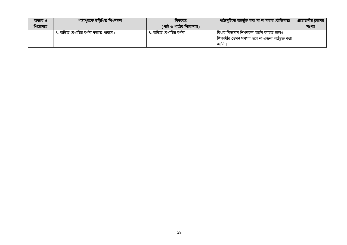| অধ্যায় ও | পাঠ্যপুস্তকে উল্লিখিত শিখনফল           | াবষয়বস্তু                 | পাঠ্যসূচিতে অন্তর্ভুক্ত করা বা না করার যৌক্তিকতা।         | প্রয়োজনীয় ক্লাসের |
|-----------|----------------------------------------|----------------------------|-----------------------------------------------------------|---------------------|
| শিরোনাম   |                                        | (পাঠ ও পাঠের শিরোনাম)      |                                                           | সংখ্যা              |
|           | ৪. অঙ্কিত রেখাচিত্র বর্ণনা করতে পারবে। | ৪. অঙ্কিত রেখাচিত্র বর্ণনা | বিধায় বিদ্যমান শিখনফল অৰ্জন ব্যাহত হলেও                  |                     |
|           |                                        |                            | । শিক্ষার্থীর তেমন সমস্যা হবে না এজন্য অর্ন্তভুক্ত করা ।' |                     |
|           |                                        |                            | হয়ান                                                     |                     |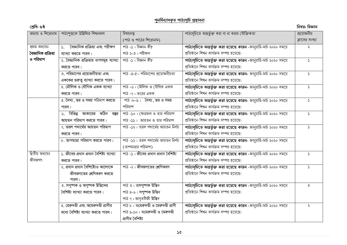### **পুনর্বিনযাসকৃ ত পাঠ্যসূর্ি প্রস্তাবনা**

| শ্ৰেণি: ৬ষ্ঠ         |                                                  |                                       |                                                                     | বিষয়: বিজ্ঞান |
|----------------------|--------------------------------------------------|---------------------------------------|---------------------------------------------------------------------|----------------|
|                      | অধ্যায় ও শিরোনাম   পাঠ্যপুস্তকে উল্লিখিত শিখনফল | বিষয়বস্তু                            | পাঠ্যসূচিতে অন্তর্ভুক্ত করা বা না করার যৌক্তিকতা                    | প্রয়োজনীয়    |
|                      |                                                  | (পাঠ ও পাঠের শিরোনাম)                 |                                                                     | ক্লাসের সংখ্যা |
| প্ৰথম অধ্যায়ঃ       | ১. বৈজ্ঞানিক প্রক্রিয়া এবং পরীক্ষণ              | পাঠ -১: বিজ্ঞান কী?                   | পাঠ্যসূচিতে অন্তর্ভুক্ত করা হয়েছে কারন -জানুয়ারি-মার্চ ২০২০ সময়ে | ₹              |
| বৈজ্ঞানিক প্ৰক্ৰিয়া | ব্যাখ্যা করতে পারব।                              | পাঠ ২-৩ : পরীক্ষণ                     | প্রতিষ্ঠানে শিখন কার্যক্রম সম্পন্ন হয়েছে।                          |                |
| ও পরিমাপ             | ২. বৈজ্ঞানিক প্রক্রিয়ার ধাপসমূহ ব্যাখ্যা        | পাঠ -১ : বিজ্ঞান কী?                  | পাঠ্যসূচিতে অন্তর্ভুক্ত করা হয়েছে কারন -জানুয়ারি-মার্চ ২০২০ সময়ে | $\mathcal{L}$  |
|                      | করতে পারব।                                       |                                       | প্রতিষ্ঠানে শিখন কার্যক্রম সম্পন্ন হয়েছে।                          |                |
|                      | ৩. পরিমাপের প্রয়োজনীয়তা এবং                    | পাঠ -৪-৫: পরিমাপের প্রয়োজনীয়তা      | পাঠ্যসূচিতে অন্তর্ভুক্ত করা হয়েছে কারন- জানুয়ারি-মার্চ ২০২০ সময়ে | $\mathcal{L}$  |
|                      | এককের গুরুত্ব ব্যাখ্যা করতে পারব।                |                                       | প্রতিষ্ঠানে শিখন কার্যক্রম সম্পন্ন হয়েছে।                          |                |
|                      | ৪. মৌলিক ও যৌগিক একক ব্যাখ্যা                    | পাঠ -৬ : মৌলিক ও যৌগিক একক            | পাঠ্যসূচিতে অন্তর্ভুক্ত করা হয়েছে কারন- জানুয়ারি-মার্চ ২০২০ সময়ে | $\mathcal{L}$  |
|                      | করতে পারব।                                       | পাঠ -৭ : ভরের একক                     | প্রতিষ্ঠানে শিখন কার্যক্রম সম্পন্ন হয়েছে।                          |                |
|                      | ৫. দৈঘ্য, ভর ও সময় পরিমাপ করতে                  | পাঠ-৮-৯: দৈঘ্য, ভর ও সময়             | পাঠ্যসূচিতে অন্তর্ভুক্ত করা হয়েছে কারন- জানুয়ারি-মার্চ ২০২০ সময়ে | $\mathcal{L}$  |
|                      | পারব।                                            | পরিমাপ                                | প্রতিষ্ঠানে শিখন কার্যক্রম সম্পন্ন হয়েছে।                          |                |
|                      | ৬. বিভিন্ন আকারের কঠিন বস্তুর                    | পাঠ -১০ : ক্ষেত্ৰফল ও তার পরিমাপ      | পাঠ্যসূচিতে অন্তর্ভুক্ত করা হয়েছে কারন- জানুয়ারি-মার্চ ২০২০ সময়ে | $\mathcal{L}$  |
|                      | আয়তন পরিমাপ করতে পারব।                          | পাঠ -১১ : আয়তন ও তার পরিমাপ          | প্রতিষ্ঠানে শিখন কার্যক্রম সম্পন্ন হয়েছে।                          |                |
|                      | ৭. তরল পদার্থের আয়তন পরিমাপ                     | পাঠ -১২ : তরল পদার্থের আয়তন নির্ণয়  | পাঠ্যসূচিতে অন্তর্ভুক্ত করা হয়েছে কারন- জানুয়ারি-মার্চ ২০২০ সময়ে | $\mathcal{L}$  |
|                      | করতে পারব।                                       |                                       | প্রতিষ্ঠানে শিখন কার্যক্রম সম্পন্ন হয়েছে।                          |                |
|                      | ৮. তাপমাত্রা পরিমাপ করতে পারব।                   | পাঠ -১২ : তরল পদার্থের আয়তন নির্ণয়  | পাঠ্যসূচিতে অন্তর্ভুক্ত করা হয়েছে কারন- জানুয়ারি-মার্চ ২০২০ সময়ে |                |
|                      |                                                  | (তাপমাত্রার পরিমাপ)                   | প্রতিষ্ঠানে শিখন কার্যক্রম সম্পন্ন হয়েছে।                          |                |
| দ্বিতীয় অধ্যায়ঃ    | ১. জীবের প্রধান প্রধান বৈশিষ্ট্য ব্যাখ্যা        | পাঠ -১: জীবের প্রধান প্রধান বৈশিষ্ট্য | পাঠ্যসূচিতে অন্তর্ভুক্ত করা হয়েছে কারন -জানুয়ারি-মার্চ ২০২০ সময়ে | $\mathcal{L}$  |
| জীবজগৎ               | করতে পারব।                                       |                                       | প্রতিষ্ঠানে শিখন কার্যক্রম সম্পন্ন হয়েছে।                          |                |
|                      | ২. প্ৰধান প্ৰধান বৈশিষ্ট্যেও আলোকে               | পাঠ -২: জীবজগতের শ্রেণিকরণ            | পাঠ্যসূচিতে অন্তর্ভুক্ত করা হয়েছে কারন -জানুয়ারি-মার্চ ২০২০ সময়ে | S.             |
|                      | জীবজগতের শ্রেণিকরণ করতে                          |                                       | প্রতিষ্ঠানে শিখন কার্যক্রম সম্পন্ন হয়েছে।                          |                |
|                      | পারব।                                            |                                       |                                                                     |                |
|                      | ৩. সপুষ্পক ও অপুষ্পক উদ্ভিদের                    | পাঠ ৩ : অসপুষ্পক উদ্ভিদ               | পাঠ্যসূচিতে অন্তর্ভুক্ত করা হয়েছে কারন -জানুয়ারি-মার্চ ২০২০ সময়ে | 8              |
|                      | বৈশিষ্ট্য ব্যাখ্যা করতে পারব।                    | পাঠ ৪-৬: সপুষ্পক উদ্ভিদ               | প্রতিষ্ঠানে শিখন কার্যক্রম সম্পন্ন হয়েছে।                          |                |
|                      |                                                  | পাঠ ৭: আবৃতবীজী উদ্ভিদ                |                                                                     |                |
|                      | ৪. মেরুদণ্ডী এবং অমেরুদণ্ডী প্রাণীর              | পাঠ ৮ : অমেরুদণ্ডী ও মেরুদণ্ডী প্রাণী | পাঠ্যসূচিতে অন্তর্ভুক্ত করা হয়েছে কারন -জানুয়ারি-মার্চ ২০২০ সময়ে | ২              |
|                      | মধ্যে বৈশিষ্ট্য ব্যাখ্যা করতে পারব।              | পাঠ ৯-১০ : অমেরুদণ্ডী ও মেরুদণ্ডী     | প্রতিষ্ঠানে শিখন কার্যক্রম সম্পন্ন হয়েছে।                          |                |
|                      |                                                  | প্রাণীর বৈশিষ্ট্য                     |                                                                     |                |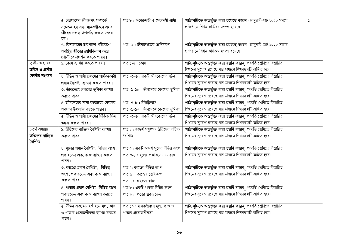|                  | ৫. চারপাশের জীবজগৎ সম্পর্কে               | পাঠ ৮: অমেরুদণ্ডী ও মেরুদণ্ডী প্রাণী  | পাঠ্যসূচিতে অন্তর্ভুক্ত করা হয়েছে কারন -জানুয়ারি-মার্চ ২০২০ সময়ে | $\mathcal{L}$ |
|------------------|-------------------------------------------|---------------------------------------|---------------------------------------------------------------------|---------------|
|                  | সচেতন হব এবং মানবজীবনে এসব                |                                       | প্রতিষ্ঠানে শিখন কার্যক্রম সম্পন্ন হয়েছে।                          |               |
|                  | জীবের গুরুত্ব উপলব্ধি করতে সক্ষম          |                                       |                                                                     |               |
|                  | হব।                                       |                                       |                                                                     |               |
|                  | ৬. বিদ্যালয়ের চারপাশে পরিবেশে            | পাঠ -২: জীবজগতের শ্রেণিকরণ            | পাঠ্যসূচিতে অন্তর্ভুক্ত করা হয়েছে কারন -জানুয়ারি-মার্চ ২০২০ সময়ে |               |
|                  | অবষ্থিত জীবের শ্রেণিবিন্যাস করে           |                                       | প্রতিষ্ঠানে শিখন কার্যক্রম সম্পন্ন হয়েছে।                          |               |
|                  | পোস্টারে প্রদর্শন করতে পারব।              |                                       |                                                                     |               |
| তৃতীয় অধ্যায়ঃ  | ১. কোষ ব্যাখ্যা করতে পারব।                | পাঠ ১-২ : কোষ                         | পাঠ্যসূচিতে অন্তর্ভুক্ত করা হয়নি কারন পরবর্তি শ্রেণিতে বিস্তারিত   |               |
| উদ্ভিদ ও প্রাণীর |                                           |                                       | শিখনের সুযোগ রয়েছে যার মাধ্যমে শিখনফলটি অর্জিত হবে।                |               |
| কোষীয় সংগঠন     | ২. উদ্ভিদ ও প্রাণী কোষের পার্থক্যকারী     | পাঠ -৩-৬: একটি জীবকোষের গঠন           | পাঠ্যসূচিতে অন্তর্ভুক্ত করা হয়নি কারন পরবর্তি শ্রেণিতে বিস্তারিত   |               |
|                  | প্রধান বৈশিষ্ট্য ব্যাখ্যা করতে পারব।      |                                       | শিখনের সুযোগ রয়েছে যার মাধ্যমে শিখনফলটি অর্জিত হবে।                |               |
|                  | ৩. জীবদেহে কোষের ভূমিকা ব্যাখ্যা          | পাঠ -৯-১০: জীবদেহে কোষের ভূমিকা       | পাঠ্যসূচিতে অন্তর্ভুক্ত করা হয়নি কারন পরবর্তি শ্রেণিতে বিস্তারিত   |               |
|                  | করতে পারব।                                |                                       | শিখনের সুযোগ রয়েছে যার মাধ্যমে শিখনফলটি অর্জিত হবে।                |               |
|                  | ৪. জীবদেহের নানা কার্যক্রমে কোষের         | পাঠ -৭-৮ : নিউক্লিয়াস                | পাঠ্যসূচিতে অন্তর্ভুক্ত করা হয়নি কারন পরবর্তি শ্রেণিতে বিস্তারিত   |               |
|                  | অবদান উপলব্ধি করতে পারব।                  | পাঠ -৯-১০ : জীবদেহে কোষের ভূমিকা      | শিখনের সুযোগ রয়েছে যার মাধ্যমে শিখনফলটি অর্জিত হবে।                |               |
|                  | ৫. উদ্ভিদ ও প্রাণী কোষের চিহ্নিত চিত্র    | পাঠ -৩-৬: একটি জীবকোষের গঠন           | পাঠ্যসূচিতে অন্তর্ভুক্ত করা হয়নি কারন পরবর্তি শ্রেণিতে বিস্তারিত   |               |
|                  | অঙ্কন করতে পারব।                          |                                       | শিখনের সুযোগ রয়েছে যার মাধ্যমে শিখনফলটি অর্জিত হবে।                |               |
| চতুৰ্থ অধ্যায়ঃ  | ১. উদ্ভিদের বাহ্যিক বৈশিষ্ট্য ব্যাখ্যা    | পাঠ ১: আদর্শ সপুষ্পক উদ্ভিদের বাহ্যিক | পাঠ্যসূচিতে অন্তর্ভুক্ত করা হয়নি কারন পরবর্তি শ্রেণিতে বিস্তারিত   |               |
| উদ্ভিদের বাহ্যিক | করতে পারব।                                | বৈশিষ্ট্য                             | শিখনের সুযোগ রয়েছে যার মাধ্যমে শিখনফলটি অর্জিত হবে।                |               |
| বৈশিষ্ট্য        |                                           |                                       |                                                                     |               |
|                  | ২. মূলের প্রধান বৈশিষ্ট্য , বিভিন্ন অংশ , | পাঠ ২ : একটি আদর্শ মূলের বিভিন্ন অংশ  | পাঠ্যসূচিতে অন্তর্ভুক্ত করা হয়নি কারন পরবর্তি শ্রেণিতে বিস্তারিত   |               |
|                  | প্রকারভেদ এবং কাজ ব্যাখ্যা করতে           | পাঠ ৩-৪: মূলের প্রকারভেদ ও কাজ        | শিখনের সুযোগ রয়েছে যার মাধ্যমে শিখনফলটি অর্জিত হবে।                |               |
|                  | পারব।                                     |                                       |                                                                     |               |
|                  | ৩. কাণ্ডের প্রধান বৈশিষ্ট্য, বিভিন্ন      | পাঠ ৫: কান্ডের বিভিন্ন অংশ            | পাঠ্যসূচিতে অন্তর্ভুক্ত করা হয়নি কারন পরবর্তি শ্রেণিতে বিস্তারিত   |               |
|                  | অংশ, প্রকারভেদ এবং কাজ ব্যাখ্যা           | পাঠ ৬: কান্ডের শ্রেণিকরণ              | শিখনের সুযোগ রয়েছে যার মাধ্যমে শিখনফলটি অর্জিত হবে।                |               |
|                  | করতে পারব।                                | পাঠ ৭: কান্ডের কাজ                    |                                                                     |               |
|                  | ৪. পাতার প্রধান বৈশিষ্ট্য, বিভিন্ন অংশ,   | পাঠ ৮ : একটি পাতার বিভিন্ন অংশ        | পাঠ্যসূচিতে অন্তর্ভুক্ত করা হয়নি কারন পরবর্তি শ্রেণিতে বিস্তারিত   |               |
|                  | প্রকারভেদ এবং কাজ ব্যাখ্যা করতে           | পাঠ ৯: পত্রের প্রকারভেদ               | শিখনের সুযোগ রয়েছে যার মাধ্যমে শিখনফলটি অর্জিত হবে।                |               |
|                  | পারব।                                     |                                       |                                                                     |               |
|                  | ৫. উদ্ভিদ এবং মানবজীবনে মূল, কাণ্ড        | পাঠ ১০ : মানবজীবনে মূল, কাণ্ড ও       | পাঠ্যসূচিতে অন্তর্ভুক্ত করা হয়নি কারন পরবর্তি শ্রেণিতে বিস্তারিত   |               |
|                  | ও পাতার প্রয়োজনীয়তা ব্যাখ্যা করতে       | পাতার প্রয়োজনীয়তা                   | শিখনের সুযোগ রয়েছে যার মাধ্যমে শিখনফলটি অর্জিত হবে।                |               |
|                  | পারব।                                     |                                       |                                                                     |               |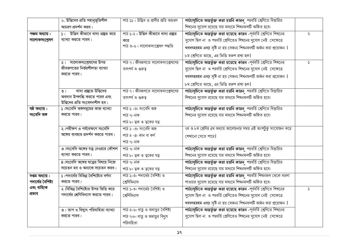|                    | ৬. উদ্ভিদের প্রতি সহানুভূতিশীল                              | পাঠ ১১ : উদ্ভিদ ও প্রাণীর প্রতি আচরণ        | পাঠ্যসূচিতে অন্তর্ভুক্ত করা হয়নি কারন পরবর্তি শ্রেণিতে বিস্তারিত   |               |
|--------------------|-------------------------------------------------------------|---------------------------------------------|---------------------------------------------------------------------|---------------|
|                    | আচরণ প্রদর্শন করব।                                          |                                             | শিখনের সুযোগ রয়েছে যার মাধ্যমে শিখনফলটি অর্জিত হবে।                |               |
| পঞ্চম অধ্যায়:     | উদ্ভিদ কীভাবে খাদ্য প্রস্তুত করে<br>$\mathsf{S}$ 1          | পাঠ ১-২ : উদ্ভিদ কীভাবে খাদ্য প্ৰষ্তুত      | পাঠ্যসূচিতে অন্তর্ভুক্ত করা হয়েছে কারন -পূর্ববর্তি শ্রেণিতে শিখনের | ২             |
| সালোকসংশ্লেষণ      | ব্যাখ্যা করতে পারব।                                         | করে                                         | সুযোগ ছিল না ও পরবর্তি শ্রেণিতেও শিখনের সুযোগ নেই সেক্ষেত্রে        |               |
|                    |                                                             | পাঠ ৩-৬: সালোকসংশ্লেষণ পদ্ধতি               | খবধৎহরহম এধঢ় সৃষ্টি না হয় সেজন্য শিখনফলটি অর্জন করা প্রয়োজন      |               |
|                    |                                                             |                                             | ৮ম শ্রেণিতে আছে, এর ভিত্তি স্বরুপ রাখা হল।                          |               |
|                    | ২। সালোকসংশ্লেষণের উপর                                      | পাঠ ৭: জীবজগতে সালোকসংশ্লেষণের              | পাঠ্যসূচিতে অন্তৰ্ভুক্ত করা হয়েছে কারন -পূর্ববর্তি শ্রেণিতে শিখনের | $\mathcal{L}$ |
|                    | জীবজগতের নির্ভরশীলতা ব্যাখ্যা                               | তাৎপৰ্য ও গুৰুত্ব                           | সুযোগ ছিল না ও পরবর্তি শ্রেণিতেও শিখনের সুযোগ নেই সেক্ষেত্রে        |               |
|                    | করতে পারব।                                                  |                                             | খবধৎহরহম এধঢ় সৃষ্টি না হয় সেজন্য শিখনফলটি অর্জন করা প্রয়োজন      |               |
|                    |                                                             |                                             | ৮ম শ্রেণিতে আছে, এর ভিত্তি স্বরুপ রাখা হল।                          |               |
|                    | খাদ্য প্ৰষ্কুতে উদ্ভিদের<br>$\overline{O}$                  | পাঠ ৭: জীবজগতে সালোকসংশ্লেষণের              | পাঠ্যসূচিতে অন্তর্ভুক্ত করা হয়নি কারন পরবর্তি শ্রেণিতে বিস্তারিত   |               |
|                    | অবদান উপলব্ধি করতে পারব এবং<br>উদ্ভিদের প্রতি সংবেদনশীল হব। | তাৎপৰ্য ও গুৰুত্ব                           | শিখনের সুযোগ রয়েছে যার মাধ্যমে শিখনফলটি অর্জিত হবে।                |               |
| ষষ্ঠ অধ্যায়:      | ১।সংবেদি অঙ্গসমূহের কাজ ব্যাখ্যা                            | পাঠ ১ -৩: সংবেদি অঙ্গ                       | পাঠ্যসূচিতে অন্তর্ভুক্ত করা হয়নি কারন পরবর্তি শ্রেণিতে বিস্তারিত   |               |
| সংবেদি অঙ্গ        | করতে পারব।                                                  | পাঠ ৭: নাক                                  | শিখনের সুযোগ রয়েছে যার মাধ্যমে শিখনফলটি অর্জিত হবে।                |               |
|                    |                                                             | পাঠ ৮: ত্বক ও ত্বকের যত্ন                   |                                                                     |               |
|                    | ২।পরীক্ষণ ও পর্যবেক্ষণে সংবেদি                              | পাঠ ১ -৩: সংবেদি অঙ্গ                       | ৭ম ও ৮ম শ্রেণির ৫ম অধ্যায় আলোচনার সময় এই অংশটুকু সংযোজন করে       |               |
|                    | অঙ্গের ব্যবহার প্রদর্শন করতে পারব।                          | পাঠ ৪ -৫: কান বা কর্ণ                       | শেখানো যেতে পারে।                                                   |               |
|                    |                                                             | পাঠ ৭: নাক                                  |                                                                     |               |
|                    | ৩।সংবেদি অঙ্গের যত্ন নেওয়ার কৌশল                           | পাঠ ৭: নাক                                  | পাঠ্যসূচিতে অন্তর্ভুক্ত করা হয়নি কারন পরবর্তি শ্রেণিতে বিস্তারিত   |               |
|                    | ব্যাখ্যা করতে পারব।                                         | পাঠ ৮: ত্বক ও ত্বকের যত্ন                   | শিখনের সুযোগ রয়েছে যার মাধ্যমে শিখনফলটি অর্জিত হবে।                |               |
|                    | ৪।সংবেদি অঙ্গের যত্নের বিষয়ে নিজে                          | পাঠ ৭: নাক                                  | পাঠ্যসূচিতে অন্তর্ভুক্ত করা হয়নি কারন পরবর্তি শ্রেণিতে বিস্তারিত   |               |
|                    | সচেতন হব ও অন্যকে সচেতন করব।                                | পাঠ ৮: ত্বক ও ত্বকের যত্ন                   | শিখনের সুযোগ রয়েছে যার মাধ্যমে শিখনফলটি অর্জিত হবে।                |               |
| সপ্তম অধ্যায়:     | ১।পদার্থের বিভিন্ন বৈশিষ্ট্যের বর্ণনা                       | পাঠ ১-৩: পদার্থের বৈশিষ্ট্য ও               | পাঠ্যসূচিতে অন্তর্ভুক্ত করা হয়নি কারন পরবর্তি শিখনফল থেকে ধারণা    |               |
| পদার্থের বৈশিষ্ট্য | করতে পারব।                                                  | শ্রেণিবিন্যাস                               | পাওয়ার সুযোগ রয়েছে যার মাধ্যমে শিখনফলটি অর্জিত হবে।               |               |
| এবং বাহ্যিক        | ২।বিভিন্ন বৈশিষ্ট্যের উপর ভিত্তি করে                        | পাঠ ১-৩: পদার্থের বৈশিষ্ট্য ও               | পাঠ্যসূচিতে অন্তর্ভুক্ত করা হয়েছে কারন -পূর্ববর্তি শ্রেণিতে শিখনের | $\mathcal{L}$ |
| প্ৰভাব             | পদার্থের শ্রেণিবিন্যাস করতে পারব।                           | শ্রেণিবিন্যাস                               | সুযোগ ছিল না ও পরবর্তি শ্রেণিতেও শিখনের সুযোগ নেই সেক্ষেত্রে        |               |
|                    |                                                             |                                             | খবধৎহরহম এধঢ় সৃষ্টি না হয় সেজন্য শিখনফলটি অর্জন করা প্রয়োজন      |               |
|                    | ৩। তাপ ও বিদ্যুৎ পরিবাহিতা ব্যাখ্যা                         | পাঠ ৪-৬: ধাতু ও অধাতুর বৈশিষ্ট্য            | পাঠ্যসূচিতে অন্তর্ভুক্ত করা হয়েছে কারন -পূর্ববর্তি শ্রেণিতে শিখনের |               |
|                    | করতে পারব।                                                  | পাঠ ৭-৮: ধাতু ও অধাতুর বিদ্যুৎ<br>পরিবাহিতা | সুযোগ ছিল না ও পরবর্তি শ্রেণিতেও শিখনের সুযোগ নেই সেক্ষেত্রে        |               |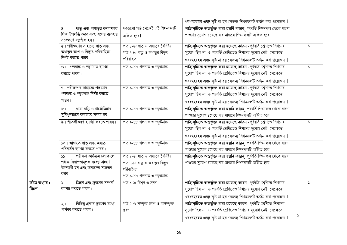|                           |                                                                        |                                                           | খবধৎহরহম এধঢ় সৃষ্টি না হয় সেজন্য শিখনফলটি অর্জন করা প্রয়োজন                                                                      |                            |
|---------------------------|------------------------------------------------------------------------|-----------------------------------------------------------|-------------------------------------------------------------------------------------------------------------------------------------|----------------------------|
|                           | ধাতু এবং অধাতুর কল্যাণকর<br>8 <sub>1</sub>                             | সবগুলো পাঠ থেকেই এই শিখনফলটি                              | পাঠ্যসূচিতে অন্তর্ভুক্ত করা হয়নি কারন পরবর্তি শিখনফল থেকে ধারণা                                                                    |                            |
|                           | দিক উপলব্ধি করব এবং এদের ব্যবহার<br>সংরক্ষণে যত্নশীল হব।               | অৰ্জিত হবে।                                               | পাওয়ার সুযোগ রয়েছে যার মাধ্যমে শিখনফলটি অর্জিত হবে।                                                                               |                            |
|                           | ৫। পরীক্ষণের সাহায্যে ধাতু এবং                                         | পাঠ ৪-৬: ধাতু ও অধাতুর বৈশিষ্ট্য                          | পাঠ্যসূচিতে অন্তর্ভুক্ত করা হয়েছে কারন -পূর্ববর্তি শ্রেণিতে শিখনের                                                                 | $\mathcal{L}$              |
|                           | অধাতুর তাপ ও বিদ্যুৎ পরিবাহিতা                                         | পাঠ ৭-৮: ধাতু ও অধাতুর বিদ্যুৎ                            | সুযোগ ছিল না ও পরবর্তি শ্রেণিতেও শিখনের সুযোগ নেই সেক্ষেত্রে                                                                        |                            |
|                           | নির্ণয় করতে পারব।                                                     | পরিবাহিতা                                                 | খবধৎহরহম এধঢ় সৃষ্টি না হয় সেজন্য শিখনফলটি অর্জন করা প্রয়োজন                                                                      |                            |
|                           | ৬। গলনাঙ্ক ও স্ফুটনাঙ্ক ব্যাখ্যা                                       | পাঠ ৯-১১: গলনাঙ্ক ও স্ফুটনাঙ্ক                            | পাঠ্যসূচিতে অন্তর্ভুক্ত করা হয়েছে কারন -পূর্ববর্তি শ্রেণিতে শিখনের                                                                 | S                          |
|                           | করতে পারব।                                                             |                                                           | সুযোগ ছিল না ও পরবর্তি শ্রেণিতেও শিখনের সুযোগ নেই সেক্ষেত্রে                                                                        |                            |
|                           |                                                                        |                                                           | খবধৎহরহম এধঢ় সৃষ্টি না হয় সেজন্য শিখনফলটি অর্জন করা প্রয়োজন                                                                      |                            |
|                           | ৭। পরীক্ষণের সাহায্যে পদার্থের                                         | পাঠ ৯-১১: গলনাঙ্ক ও স্ফুটনাঙ্ক                            | পাঠ্যসূচিতে অন্তর্ভুক্ত করা হয়েছে কারন -পূর্ববর্তি শ্রেণিতে শিখনের                                                                 |                            |
|                           | গলনাঙ্ক ও স্ফুটনাঙ্ক নির্ণয় করতে                                      |                                                           | সুযোগ ছিল না ও পরবর্তি শ্রেণিতেও শিখনের সুযোগ নেই সেক্ষেত্রে                                                                        |                            |
|                           | পারব।                                                                  |                                                           | খবধৎহরহম এধঢ় সৃষ্টি না হয় সেজন্য শিখনফলটি অর্জন করা প্রয়োজন                                                                      |                            |
|                           | থামা ঘড়ি ও থার্মোমিটার<br>$b$ <sup>-1</sup>                           | পাঠ ৯-১১: গলনাঙ্ক ও স্ফুটনাঙ্ক                            | পাঠ্যসূচিতে অন্তর্ভুক্ত করা হয়নি কারন পরবর্তি শিখনফল থেকে ধারণা                                                                    |                            |
|                           | সুনিপুনভাবে ব্যবহারে সক্ষম হব।                                         |                                                           | পাওয়ার সুযোগ রয়েছে যার মাধ্যমে শিখনফলটি অর্জিত হবে।                                                                               |                            |
|                           | ৯। শীতলীকরণ ব্যাখ্যা করতে পারব।                                        | পাঠ ৯-১১: গলনাঙ্ক ও স্ফুটনাঙ্ক                            | পাঠ্যসূচিতে অন্তর্ভুক্ত করা হয়েছে কারন -পূর্ববর্তি শ্রেণিতে শিখনের                                                                 | S.                         |
|                           |                                                                        |                                                           | সুযোগ ছিল না ও পরবর্তি শ্রেণিতেও শিখনের সুযোগ নেই সেক্ষেত্রে                                                                        |                            |
|                           |                                                                        |                                                           | খবধৎহরহম এধঢ় সৃষ্টি না হয় সেজন্য শিখনফলটি অর্জন করা প্রয়োজন                                                                      |                            |
|                           | ১০। আঘাতে ধাতু এবং অধাতু                                               | পাঠ ৯-১১: গলনাঙ্ক ও স্ফুটনাঙ্ক                            | পাঠ্যসূচিতে অন্তর্ভুক্ত করা হয়নি কারন পরবর্তি শিখনফল থেকে ধারণা                                                                    |                            |
|                           | পরিবর্তন ব্যাখ্যা করতে পারব।                                           |                                                           | পাওয়ার সুযোগ রয়েছে যার মাধ্যমে শিখনফলটি অর্জিত হবে।                                                                               |                            |
|                           | পরীক্ষণ কার্যক্রম চলাকালে<br>551                                       | পাঠ ৪-৬: ধাতু ও অধাতুর বৈশিষ্ট্য                          | পাঠ্যসূচিতে অন্তর্ভুক্ত করা হয়নি কারন পূর্ববর্তি শিখনফল থেকে ধারণা                                                                 |                            |
|                           | পৰ্যাপ্ত নিরাপত্তামূলক ব্যবস্থা গ্রহণে<br>উদ্যোগী হব এবং অন্যদের সচেতন | পাঠ ৭-৮: ধাতু ও অধাতুর বিদ্যুৎ                            | পাওয়ার সুযোগ রয়েছে যার মাধ্যমে শিখনফলটি অর্জিত হবে।                                                                               |                            |
|                           | করব।                                                                   | পরিবাহিতা                                                 |                                                                                                                                     |                            |
|                           |                                                                        | পাঠ ৯-১১: গলনাঙ্ক ও স্ফুটনাঙ্ক<br>পাঠ ১-২: মিশ্ৰণ ও দ্ৰবণ |                                                                                                                                     |                            |
| অষ্টম অধ্যায় :<br>মিশ্রণ | মিশ্রণ এবং দ্রবণের সম্পর্ক<br>$\mathcal{L}$<br>ব্যাখ্যা করতে পারব।     |                                                           | পাঠ্যসূচিতে অন্তর্ভুক্ত করা হয়েছে কারন -পূর্ববর্তি শ্রেণিতে শিখনের<br>সুযোগ ছিল না ও পরবর্তি শ্রেণিতেও শিখনের সুযোগ নেই সেক্ষেত্রে | $\mathcal{L}$              |
|                           |                                                                        |                                                           |                                                                                                                                     |                            |
|                           |                                                                        |                                                           | খবধৎহরহম এধঢ় সৃষ্টি না হয় সেজন্য শিখনফলটি অর্জন করা প্রয়োজন                                                                      |                            |
|                           | বিভিন্ন প্রকার দ্রবণের মধ্যে<br>$\geq 1$<br>পার্থক্য করতে পারব।        | পাঠ ৫-৭: সম্পৃক্ত দ্রবণ ও অসম্পৃক্ত                       | পাঠ্যসূচিতে অন্তর্ভুক্ত করা হয়েছে কারন -পূর্ববর্তি শ্রেণিতে শিখনের<br>সুযোগ ছিল না ও পরবর্তি শ্রেণিতেও শিখনের সুযোগ নেই সেক্ষেত্রে |                            |
|                           |                                                                        | দ্ৰবণ                                                     |                                                                                                                                     | $\boldsymbol{\mathcal{S}}$ |
|                           |                                                                        |                                                           | খবধৎহরহম এধঢ় সৃষ্টি না হয় সেজন্য শিখনফলটি অর্জন করা প্রয়োজন                                                                      |                            |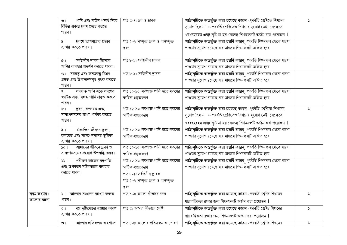|                            | পানি এবং কঠিন পদার্থ দিয়ে<br>$\overline{O}$  <br>বিভিন্ন প্রকার দ্রবণ প্রষ্তুত করতে<br>পারব। | পাঠ ৩-৪: দ্রব ও দ্রাবক                                                                                                              | পাঠ্যসূচিতে অন্তর্ভুক্ত করা হয়েছে কারন -পূর্ববর্তি শ্রেণিতে শিখনের<br>সুযোগ ছিল না ও পরবর্তি শ্রেণিতেও শিখনের সুযোগ নেই সেক্ষেত্রে<br>খবধৎহরহম এধঢ় সৃষ্টি না হয় সেজন্য শিখনফলটি অর্জন করা প্রয়োজন | $\mathcal{L}$ |
|----------------------------|-----------------------------------------------------------------------------------------------|-------------------------------------------------------------------------------------------------------------------------------------|-------------------------------------------------------------------------------------------------------------------------------------------------------------------------------------------------------|---------------|
|                            | দ্রবণে তাপমাত্রার প্রভাব<br>8 <sub>1</sub><br>ব্যাখ্যা করতে পারব।                             | পাঠ ৫-৭: সম্পৃক্ত দ্রবণ ও অসম্পৃক্ত<br>দ্ৰবণ                                                                                        | পাঠ্যসূচিতে অন্তর্ভুক্ত করা হয়নি কারন পরবর্তি শিখনফল থেকে ধারণা<br>পাওয়ার সুযোগ রয়েছে যার মাধ্যমে শিখনফলটি অর্জিত হবে।                                                                             |               |
|                            | সৰ্বজনীন দ্ৰাবক হিসেবে<br>$\sigma$  <br>পানির ব্যবহার প্রদর্শন করতে পারব।                     | পাঠ ৮-৯: সৰ্বজনীন দ্ৰাবক                                                                                                            | পাঠ্যসূচিতে অন্তর্ভুক্ত করা হয়নি কারন পরবর্তি শিখনফল থেকে ধারণা<br>পাওয়ার সুযোগ রয়েছে যার মাধ্যমে শিখনফলটি অর্জিত হবে।                                                                             |               |
|                            | ৬। সমন্বত্ব এবং অসমন্বত্ব মিশ্রণ<br>প্ৰষ্তুত এবং উপাদানসমূহ পৃথক করতে<br>পারব।                | পাঠ ৮-৯: সর্বজনীন দ্রাবক                                                                                                            | পাঠ্যসূচিতে অন্তর্ভুক্ত করা হয়নি কারন পরবর্তি শিখনফল থেকে ধারণা<br>পাওয়ার সুযোগ রয়েছে যার মাধ্যমে শিখনফলটি অর্জিত হবে।                                                                             |               |
|                            | লবণাক্ত পানি হতে লবণের<br>9 <sub>1</sub><br>স্ফটিক এবং বিশুদ্ধ পানি প্ৰষ্তুত করতে<br>পারব।    | পাঠ ১০-১২: লবণাক্ত পানি হতে লবণের<br>স্ফটিক প্ৰষ্তুতকরণ                                                                             | পাঠ্যসূচিতে অন্তর্ভুক্ত করা হয়নি কারন পরবর্তি শিখনফল থেকে ধারণা<br>পাওয়ার সুযোগ রয়েছে যার মাধ্যমে শিখনফলটি অর্জিত হবে।                                                                             |               |
|                            | দ্রবণ, কলয়েড এবং<br>b <sub>1</sub><br>সাসপেনসনের মধ্যে পার্থক্য করতে<br>পারব।                | পাঠ ১০-১২: লবণাক্ত পানি হতে লবণের<br>স্ফটিক প্ৰষ্তুতকরণ                                                                             | পাঠ্যসূচিতে অন্তর্ভুক্ত করা হয়েছে কারন -পূর্ববর্তি শ্রেণিতে শিখনের<br>সুযোগ ছিল না ও পরবর্তি শ্রেণিতেও শিখনের সুযোগ নেই সেক্ষেত্রে<br>খবধৎহরহম এধঢ় সৃষ্টি না হয় সেজন্য শিখনফলটি অর্জন করা প্রয়োজন | $\mathcal{L}$ |
|                            | দৈনন্দিন জীবনে দ্ৰবণ,<br>$\delta$ ।<br>কলয়েড এবং সাসপেনসনের ভূমিকা<br>ব্যাখ্যা করতে পারব।    | পাঠ ১০-১২: লবণাক্ত পানি হতে লবণের<br>স্ফটিক প্ৰষ্তুতকরণ                                                                             | পাঠ্যসূচিতে অন্তর্ভুক্ত করা হয়নি কারন পরবর্তি শিখনফল থেকে ধারণা<br>পাওয়ার সুযোগ রয়েছে যার মাধ্যমে শিখনফলটি অর্জিত হবে।                                                                             |               |
|                            | আমাদের জীবনে দ্রবণ ও<br>50 <sub>1</sub><br>সাসপেনসনের প্রয়োগ উপলব্ধি করব।                    | পাঠ ১০-১২: লবণাক্ত পানি হতে লবণের<br>স্ফটিক প্ৰষ্তুতকরণ                                                                             | পাঠ্যসূচিতে অন্তর্ভুক্ত করা হয়নি কারন পরবর্তি শিখনফল থেকে ধারণা<br>পাওয়ার সুযোগ রয়েছে যার মাধ্যমে শিখনফলটি অর্জিত হবে।                                                                             |               |
|                            | পরীক্ষণ কাজের যন্ত্রপাতি<br>331<br>এবং উপকরণ সঠিকভাবে ব্যবহার<br>করতে পারব।                   | পাঠ ১০-১২: লবণাক্ত পানি হতে লবণের<br>স্ফটিক প্ৰষ্তুতকরণ<br>পাঠ ৮-৯: সর্বজনীন দ্রাবক<br>পাঠ ৫-৭: সম্পৃক্ত দ্রবণ ও অসম্পৃক্ত<br>দ্ৰবণ | পাঠ্যসূচিতে অন্তর্ভুক্ত করা হয়নি কারন পূর্ববর্তি শিখনফল থেকে ধারণা<br>পাওয়ার সুযোগ রয়েছে যার মাধ্যমে শিখনফলটি অর্জিত হবে।                                                                          |               |
| নবম অধ্যায় :<br>আলোর ঘটনা | ১। আলোর সঞ্চালন ব্যাখ্যা করতে<br>পারব।                                                        | পাঠ ১-২: আলো কীভাবে চলে                                                                                                             | পাঠ্যসূচিতে অন্তর্ভুক্ত করা হয়েছে কারন -পরবর্তি শ্রেণির শিখনের<br>ধারাবাহিকতা রক্ষার জন্য শিখনফলটি অর্জন করা প্রয়োজন                                                                                | S             |
|                            | বস্তু দৃষ্টিগোচর হওয়ার কারণ<br>$\frac{1}{2}$<br>ব্যাখ্যা করতে পারব।                          | পাঠ ৩: আমরা কীভাবে দেখি                                                                                                             | পাঠ্যসূচিতে অন্তর্ভুক্ত করা হয়েছে কারন -পরবর্তি শ্রেণির শিখনের<br>ধারাবাহিকতা রক্ষার জন্য শিখনফলটি অর্জন করা প্রয়োজন                                                                                | S             |
|                            | আলোর প্রতিফলন ও শোষণ<br>$\circ$                                                               | পাঠ ৪-৫: আলোর প্রতিফলন ও শোষণ                                                                                                       | পাঠ্যসূচিতে অন্তর্ভুক্ত করা হয়েছে কারন -পরবর্তি শ্রেণির শিখনের                                                                                                                                       | S.            |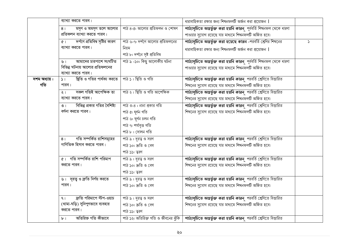|              | ব্যাখ্যা করতে পারব।                                    |                                 | ধারাবাহিকতা রক্ষার জন্য শিখনফলটি অর্জন করা প্রয়োজন                                                              |               |
|--------------|--------------------------------------------------------|---------------------------------|------------------------------------------------------------------------------------------------------------------|---------------|
|              | মসৃণ ও অমসৃণ তলে আলোর<br>8 <sub>1</sub>                | পাঠ ৪-৫: আলোর প্রতিফলন ও শোষণ   | পাঠ্যসূচিতে অন্তর্ভুক্ত করা হয়নি কারন পূর্ববর্তি শিখনফল থেকে ধারণা                                              |               |
|              | প্রতিফলন ব্যাখ্যা করতে পারব।                           |                                 | পাওয়ার সুযোগ রয়েছে যার মাধ্যমে শিখনফলটি অর্জিত হবে।                                                            |               |
|              | দর্পণে প্রতিবিম্ব সৃষ্টির কারণ<br>$\sigma$             | পাঠ ৬-৭: দর্পণে আলোর প্রতিফলনের | পাঠ্যসূচিতে অন্তর্ভুক্ত করা হয়েছে কারন -পরবর্তি শ্রেণির শিখনের                                                  | $\mathcal{L}$ |
|              | ব্যাখ্যা করতে পারব।                                    | নিয়ম                           | ধারাবাহিকতা রক্ষার জন্য শিখনফলটি অর্জন করা প্রয়োজন                                                              |               |
|              |                                                        | পাঠ ৮: দর্পনে সৃষ্ট প্রতিবিম্ব  |                                                                                                                  |               |
|              | আমাদের চারপাশে সংঘটিত<br>৬।                            | পাঠ ৯ -১০: কিছু আলোকীয় ঘটনা    | পাঠ্যসূচিতে অন্তর্ভুক্ত করা হয়নি কারন পূর্ববর্তি শিখনফল থেকে ধারণা                                              |               |
|              | বিভিন্ন ঘটনায় আলোর প্রতিফলনের                         |                                 | পাওয়ার সুযোগ রয়েছে যার মাধ্যমে শিখনফলটি অর্জিত হবে।                                                            |               |
|              | ব্যাখ্যা করতে পারব।                                    |                                 |                                                                                                                  |               |
| দশম অধ্যায়: | ছিতি ও গতির পার্থক্য করতে   পাঠ ১ : স্থিতি ও গতি<br>51 |                                 | পাঠ্যসূচিতে অন্তর্ভুক্ত করা হয়নি কারন পরবর্তি শ্রেণিতে বিস্তারিত                                                |               |
| গতি          | পারব।                                                  |                                 | শিখনের সুযোগ রয়েছে যার মাধ্যমে শিখনফলটি অর্জিত হবে।                                                             |               |
|              | সকল গতিই আপেক্ষিক তা<br>$\lambda$                      | পাঠ ২: স্থিতি ও গতি আপেক্ষিক    | পাঠ্যসূচিতে অন্তর্ভুক্ত করা হয়নি কারন পরবর্তি শ্রেণিতে বিস্তারিত                                                |               |
|              | ব্যাখ্যা করতে পারব।                                    |                                 | শিখনের সুযোগ রয়েছে যার মাধ্যমে শিখনফলটি অর্জিত হবে।                                                             |               |
|              | বিভিন্ন প্রকার গতির বৈশিষ্ট্য<br>$\circ$               | পাঠ ৩-৪: নানা প্রকার গতি        | পাঠ্যসূচিতে অন্তর্ভুক্ত করা হয়নি কারন পরবর্তি শ্রেণিতে বিস্তারিত                                                |               |
|              | বর্ণনা করতে পারব।                                      | পাঠ ৫: ঘূৰ্ণন গতি               | শিখনের সুযোগ রয়েছে যার মাধ্যমে শিখনফলটি অর্জিত হবে।                                                             |               |
|              |                                                        | পাঠ ৬: ঘূৰ্ণন চলন গতি           |                                                                                                                  |               |
|              |                                                        | পাঠ ৭: পৰ্যাবৃত্ত গতি           |                                                                                                                  |               |
|              |                                                        | পাঠ ৮ : দোলন গতি                |                                                                                                                  |               |
|              | গতি সম্পর্কিত রাশিসমূহের<br>8 <sub>1</sub>             | পাঠ ৯: দূরত্ব ও সরণ             | পাঠ্যসূচিতে অন্তর্ভুক্ত করা হয়নি কারন পরবর্তি শ্রেণিতে বিস্তারিত                                                |               |
|              | গাণিতিক হিসাব করতে পারব।                               | পাঠ ১০: দ্ৰুতি ও বেগ            | শিখনের সুযোগ রয়েছে যার মাধ্যমে শিখনফলটি অর্জিত হবে।                                                             |               |
|              |                                                        | পাঠ ১১: ত্বরণ                   |                                                                                                                  |               |
|              | ৫। গতি সম্পৰ্কিত রাশি পরিমাপ                           | <u>পাঠ ৯ : দূরত্ব ও সরণ</u>     | পাঠ্যসূচিতে অন্তর্ভুক্ত করা হয়নি কারন পরবর্তি শ্রেণিতে বিস্তারিত                                                |               |
|              | করতে পারব।                                             | পাঠ ১০: দ্ৰুতি ও বেগ            | শিখনের সুযোগ রয়েছে যার মাধ্যমে শিখনফলটি অর্জিত হবে।                                                             |               |
|              |                                                        | পাঠ ১১: ত্বরণ                   |                                                                                                                  |               |
|              | ৬। দূরত্ব ও দ্রুতি নির্ণয় করতে                        | পাঠ ৯: দূরত্ব ও সরণ             | পাঠ্যসূচিতে অন্তর্ভুক্ত করা হয়নি কারন পরবর্তি শ্রেণিতে বিস্তারিত                                                |               |
|              | পারব।                                                  | পাঠ ১০: দ্ৰুতি ও বেগ            | শিখনের সুযোগ রয়েছে যার মাধ্যমে শিখনফলটি অর্জিত হবে।                                                             |               |
|              |                                                        |                                 |                                                                                                                  |               |
|              | দ্রুতি পরিমাপে স্টপ-ওয়াচ<br>9 <sub>1</sub>            | পাঠ ৯: দূরত্ব ও সরণ             | পাঠ্যসূচিতে অন্তর্ভুক্ত করা হয়নি কারন পরবর্তি শ্রেণিতে বিস্তারিত                                                |               |
|              | (থামা-ঘড়ি) সুনিপুণভাবে ব্যবহার                        | পাঠ ১০: দ্ৰুতি ও বেগ            | শিখনের সুযোগ রয়েছে যার মাধ্যমে শিখনফলটি অর্জিত হবে।                                                             |               |
|              | করতে পারব।                                             | পাঠ ১১: ত্বরণ                   |                                                                                                                  |               |
|              | অতিরিক্ত গতি কীভাবে<br>$b +$                           |                                 | পাঠ ১২: অতিরিক্ত গতি ও জীবনের ঝুঁকি <b>  পাঠ্যসূচিতে অন্তর্ভুক্ত করা হয়নি কারন</b> ু পরবর্তি শ্রেণিতে বিস্তারিত |               |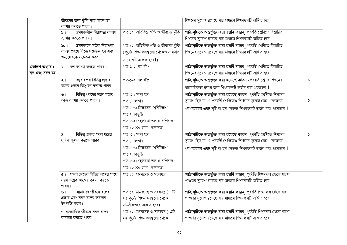|                   | জীবনের জন্য ঝুঁকি বয়ে আনে তা                      |                                     | শিখনের সুযোগ রয়েছে যার মাধ্যমে শিখনফলটি অর্জিত হবে।                |               |
|-------------------|----------------------------------------------------|-------------------------------------|---------------------------------------------------------------------|---------------|
|                   | ব্যাখ্যা করতে পারব।                                |                                     |                                                                     |               |
|                   | ভ্ৰমণকালীন নিরাপত্তা ব্যবস্থা<br>৯ ।               | পাঠ ১২: অতিরিক্ত গতি ও জীবনের ঝুঁকি | পাঠ্যসূচিতে অন্তর্ভুক্ত করা হয়নি কারন পরবর্তি শ্রেণিতে বিস্তারিত   |               |
|                   | ব্যাখ্যা করতে পারব।                                |                                     | শিখনের সুযোগ রয়েছে যার মাধ্যমে শিখনফলটি অর্জিত হবে।                |               |
|                   | ভ্ৰমণকালে সঠিক নিরাপত্তা<br>50 <sub>1</sub>        | পাঠ ১২: অতিরিক্ত গতি ও জীবনের ঝুঁকি | পাঠ্যসূচিতে অন্তর্ভুক্ত করা হয়নি কারন পরবর্তি শ্রেণিতে বিস্তারিত   |               |
|                   | ব্যবস্থা গ্রহণে নিজে সচেতন হব এবং                  | (পূর্বের শিখনফলগুলো থেকেও সামগ্রিক  | শিখনের সুযোগ রয়েছে যার মাধ্যমে শিখনফলটি অর্জিত হবে।                |               |
|                   | অন্যদেরকে সচেতন করব।                               | ভাবে এটি অর্জিত হবে <b> </b> )      |                                                                     |               |
| একাদশ অধ্যায় :   | $\mathcal{L}$ $\mathcal{L}$ বল ব্যাখ্যা করতে পারব। | পাঠ-১-২: বল কী?                     | পাঠ্যসূচিতে অন্তর্ভুক্ত করা হয়নি কারন পরবর্তি শ্রেণিতে বিস্তারিত   |               |
| বল এবং সরল যন্ত্র |                                                    |                                     | শিখনের সুযোগ রয়েছে যার মাধ্যমে শিখনফলটি অর্জিত হবে।                |               |
|                   | বস্তুর ওপর বিভিন্ন প্রকার<br>$\frac{1}{2}$         | পাঠ-১-২: বল কী?                     | পাঠ্যসূচিতে অন্তর্ভুক্ত করা হয়েছে কারন -পরবর্তি শ্রেণির শিখনের     | $\mathcal{L}$ |
|                   | বলের প্রভাব বিশ্লেষণ করতে পারব।                    |                                     | ধারাবাহিকতা রক্ষার জন্য শিখনফলটি অর্জন করা প্রয়োজন                 |               |
|                   | বিভিন্ন ধরণের সরল যন্ত্রের<br>$\circ$              | পাঠ-৩: সরল যন্ত্র                   | পাঠ্যসূচিতে অন্তর্ভুক্ত করা হয়েছে কারন -পূর্ববর্তি শ্রেণিতে শিখনের |               |
|                   | কাজ ব্যাখ্যা করতে পারব।                            | পাঠ ৪: লিভার                        | সুযোগ ছিল না ও পরবর্তি শ্রেণিতেও শিখনের সুযোগ নেই সেক্ষেত্রে        | S.            |
|                   |                                                    | পাঠ ৫-৬: লিভারের শ্রেণিবিভাগ        | খবধৎহরহম এধঢ় সৃষ্টি না হয় সেজন্য শিখনফলটি অর্জন করা প্রয়োজন      |               |
|                   |                                                    | পাঠ ৭: হাতুড়ি                      |                                                                     |               |
|                   |                                                    | পাঠ ৮-৯: হেলানো তল ও কপিকল          |                                                                     |               |
|                   |                                                    | পাঠ ১০-১১: চাকা -অক্ষদন্ড           |                                                                     |               |
|                   | বিভিন্ন প্রকার সরল যন্ত্রের<br>8 <sub>1</sub>      | পাঠ-৩: সরল যন্ত্র                   | পাঠ্যসূচিতে অন্তর্ভুক্ত করা হয়েছে কারন -পূর্ববর্তি শ্রেণিতে শিখনের | $\mathcal{L}$ |
|                   | সুবিধা তুলনা করতে পারব।                            | পাঠ ৪: লিভার                        | সুযোগ ছিল না ও পরবর্তি শ্রেণিতেও শিখনের সুযোগ নেই সেক্ষেত্রে        |               |
|                   |                                                    | পাঠ ৫-৬: লিভারের শ্রেণিবিভাগ        | খবধৎহরহম এধঢ় সৃষ্টি না হয় সেজন্য শিখনফলটি অর্জন করা প্রয়োজন      |               |
|                   |                                                    | পাঠ ৭: হাতুড়ি                      |                                                                     |               |
|                   |                                                    | পাঠ ৮-৯: হেলানো তল ও কপিকল          |                                                                     |               |
|                   |                                                    | পাঠ ১০-১১: চাকা -অক্ষদন্ড           |                                                                     |               |
|                   | $\alpha$ । মানব দেহের বিভিন্ন অঙ্গের সাথে          | পাঠ ১২: মানবদেহ ও সরলযন্ত্র         | পাঠ্যসূচিতে অন্তর্ভুক্ত করা হয়নি কারন পূর্ববর্তি শিখনফল থেকে ধারণা |               |
|                   | সরল যন্ত্রের কাজের তুলনা করতে                      |                                     | পাওয়ার সুযোগ রয়েছে যার মাধ্যমে শিখনফলটি অর্জিত হবে।               |               |
|                   | পারব।                                              |                                     |                                                                     |               |
|                   | আমাদের জীবনে বলের<br>৬।                            | পাঠ ১২: মানবদেহ ও সরলযন্ত্র ( এটি   | পাঠ্যসূচিতে অন্তর্ভুক্ত করা হয়নি কারন পূর্ববর্তি শিখনফল থেকে ধারণা |               |
|                   | প্রভাব এবং সরল যন্ত্রের অবদান                      | সহ পূর্বের শিখনফলগুলো থেকে          | পাওয়ার সুযোগ রয়েছে যার মাধ্যমে শিখনফলটি অর্জিত হবে।               |               |
|                   | উপলব্ধি করব।                                       | সামগ্ৰীকভবে অৰ্জিত হবে)             |                                                                     |               |
|                   | ৭।ব্যবহারিক জীবনে সরল যন্ত্রের                     | পাঠ ১২: মানবদেহ ও সরলযন্ত্র ( এটি   | পাঠ্যসূচিতে অন্তর্ভুক্ত করা হয়নি কারন পূর্ববর্তি শিখনফল থেকে ধারণা |               |
|                   | ব্যবহার করতে পারব।                                 | সহ পূর্বের শিখনফলগুলো থেকে          | পাওয়ার সুযোগ রয়েছে যার মাধ্যমে শিখনফলটি অর্জিত হবে।               |               |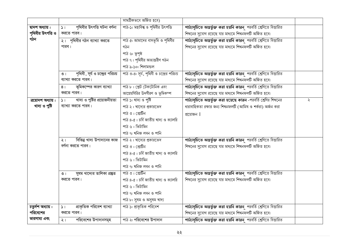|                    |                                            | সামগ্ৰীকভবে অৰ্জিত হবে)                  |                                                                   |   |
|--------------------|--------------------------------------------|------------------------------------------|-------------------------------------------------------------------|---|
| দ্বাদশ অধ্যায় :   | পৃথিবীর উৎপত্তি ঘটনা বর্ণনা<br>51          | পাঠ-১: মহাবিশ্ব ও পৃথিবীর উৎপত্তি        | পাঠ্যসূচিতে অন্তর্ভুক্ত করা হয়নি কারন পরবর্তি শ্রেণিতে বিস্তারিত |   |
| পৃথিবীর উৎপত্তি ও  | করতে পারব।                                 |                                          | শিখনের সুযোগ রয়েছে যার মাধ্যমে শিখনফলটি অর্জিত হবে।              |   |
| গঠন                | ২। পৃথিবীর গঠন ব্যাখ্যা করতে               | পাঠ ৫: আমাদের বাসভূমি ও পৃথিবীর          | পাঠ্যসূচিতে অন্তর্ভুক্ত করা হয়নি কারন পরবর্তি শ্রেণিতে বিস্তারিত |   |
|                    | পারব।                                      | গঠন                                      | শিখনের সুযোগ রয়েছে যার মাধ্যমে শিখনফলটি অর্জিত হবে।              |   |
|                    |                                            | পাঠ ৬: ভূপৃষ্ঠ                           |                                                                   |   |
|                    |                                            | পাঠ ৭: পৃথিবীর অভ্যন্তরীণ গঠন            |                                                                   |   |
|                    |                                            | পাঠ ৯-১০: শিলামন্ডল                      |                                                                   |   |
|                    | পৃথিবী, সূর্য ও চন্দ্রের পরিচয়<br>$\circ$ | পাঠ ৩-৪: সূর্য, পৃথিবী ও চন্দ্রের পরিচয় | পাঠ্যসূচিতে অন্তর্ভুক্ত করা হয়নি কারন পরবর্তি শ্রেণিতে বিস্তারিত |   |
|                    | ব্যাখ্যা করতে পারব।                        |                                          | শিখনের সুযোগ রয়েছে যার মাধ্যমে শিখনফলটি অর্জিত হবে।              |   |
|                    | ভূমিকস্পের কারণ ব্যাখ্যা<br>8 <sub>1</sub> | পাঠ ৮: প্লেট টেকটোনিক এবং                | পাঠ্যসূচিতে অন্তর্ভুক্ত করা হয়নি কারন পরবর্তি শ্রেণিতে বিস্তারিত |   |
|                    | করতে পারব।                                 | আগ্নেয়গিরির উদগীরণ ও ভূমিকম্প           | শিখনের সুযোগ রয়েছে যার মাধ্যমে শিখনফলটি অর্জিত হবে।              |   |
| ত্রয়োদশ অধ্যায় : | খাদ্য ও পুষ্টির প্রয়োজনীয়তা<br>51        | পাঠ ১: খাদ্য ও পুষ্টি                    | পাঠ্যসূচিতে অন্তর্ভুক্ত করা হয়েছে কারন -পরবর্তি শ্রেণির শিখনের   | ২ |
| খাদ্য ও পুষ্টি     | ব্যাখ্যা করতে পারব।                        | পাঠ ২: খাদ্যের প্রকারভেদ                 | ধারাবাহিকতা রক্ষার জন্য শিখনফলটি (আমিষ ও শর্করা) অর্জন করা        |   |
|                    |                                            | পাঠ ৩ : প্রোটিন                          | প্রয়োজন                                                          |   |
|                    |                                            | পাঠ ৪-৫: চর্বি জাতীয় খাদ্য ও ক্যালরি    |                                                                   |   |
|                    |                                            | পাঠ ৬ : ভিটামিন                          |                                                                   |   |
|                    |                                            | পাঠ ৭: খনিজ লবন ও পানি                   |                                                                   |   |
|                    | বিভিন্ন খাদ্য উপাদানের কাজ<br>$\lambda$    | পাঠ ২: খাদ্যের প্রকারভেদ                 | পাঠ্যসূচিতে অন্তর্ভুক্ত করা হয়নি কারন পরবর্তি শ্রেণিতে বিস্তারিত |   |
|                    | বর্ণনা করতে পারব।                          | পাঠ ৩ : প্রোটিন                          | শিখনের সুযোগ রয়েছে যার মাধ্যমে শিখনফলটি অর্জিত হবে।              |   |
|                    |                                            | পাঠ ৪-৫: চর্বি জাতীয় খাদ্য ও ক্যালরি    |                                                                   |   |
|                    |                                            | পাঠ ৬ : ভিটামিন                          |                                                                   |   |
|                    |                                            | পাঠ ৭: খনিজ লবন ও পানি                   |                                                                   |   |
|                    | সুষম খাদ্যের তালিকা প্রষ্তুত<br>$\circ$    | পাঠ ৩ : প্রোটিন                          | পাঠ্যসূচিতে অন্তর্ভুক্ত করা হয়নি কারন পরবর্তি শ্রেণিতে বিস্তারিত |   |
|                    | করতে পারব।                                 | পাঠ ৪-৫: চর্বি জাতীয় খাদ্য ও ক্যালরি    | শিখনের সুযোগ রয়েছে যার মাধ্যমে শিখনফলটি অর্জিত হবে।              |   |
|                    |                                            | পাঠ ৬ : ভিটামিন                          |                                                                   |   |
|                    |                                            | পাঠ ৭: খনিজ লবন ও পানি                   |                                                                   |   |
|                    |                                            | পাঠ ৮: সুষম ও অসুষম খাদ্য                |                                                                   |   |
| চতুৰ্দশ অধ্যায় :  | প্রাকৃতিক পরিবেশ ব্যাখ্যা<br>51            | পাঠ ১: প্রাকৃতিক পরিবেশ                  | পাঠ্যসূচিতে অন্তৰ্ভুক্ত করা হয়নি কারন পরবর্তি শ্রেণিতে বিস্তারিত |   |
| পরিবেশের           | করতে পারব।                                 |                                          | শিখনের সুযোগ রয়েছে যার মাধ্যমে শিখনফলটি অর্জিত হবে।              |   |
| ভারসাম্য এবং       | পরিবেশের উপাদানসমূহ<br>$\frac{1}{2}$       | পাঠ ২: পরিবেশের উপাদান                   | পাঠ্যসূচিতে অন্তৰ্ভুক্ত করা হয়নি কারন পরবর্তি শ্রেণিতে বিস্তারিত |   |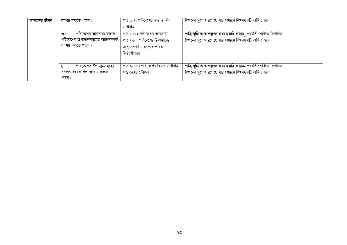| আমাদের জীবন | ব্যাখ্যা করতে পারব।                     | পাঠ ৩-৪: পরিবেশের জড় ও জীব        | শিখনের সুযোগ রয়েছে যার মাধ্যমে শিখনফলটি অর্জিত হবে।               |  |
|-------------|-----------------------------------------|------------------------------------|--------------------------------------------------------------------|--|
|             |                                         | উপাদান                             |                                                                    |  |
|             | পরিবেশের ভারসাম্য রক্ষায়<br>$\circ$    | পাঠ ৫-৬ : পরিবেশের ভারসাম্য        | পাঠ্যসূচিতে অন্তর্ভুক্ত করা হয়নি কারন পরবর্তি শ্রেণিতে বিস্তারিত  |  |
|             | পরিবেশের উপাদানসমূহের আন্তঃসম্পর্ক      | পাঠ ৭-৮ : পরিবেশের উপাদানের        | শিখনের সুযোগ রয়েছে যার মাধ্যমে শিখনফলটি অর্জিত হবে।               |  |
|             | ব্যাখ্যা করতে পারব।                     | আন্ত:সম্পৰ্ক এবং পারস্পরিক         |                                                                    |  |
|             |                                         | নিৰ্ভরশীলতা                        |                                                                    |  |
|             |                                         |                                    |                                                                    |  |
|             | পরিবেশের উপাদানসমূহের<br>8 <sub>1</sub> | পাঠ ৯-১০ : পরিবেশের বিভিন্ন উপাদান | পাঠ্যসূচিতে অন্তৰ্ভুক্ত করা হয়নি কারন- পরবর্তি শ্রেণিতে বিস্তারিত |  |
|             | সংরক্ষণের কৌশল ব্যাখ্যা করতে            | সংরক্ষণের কৌশল                     | শিখনের সুযোগ রয়েছে যার মাধ্যমে শিখনফলটি অর্জিত হবে।               |  |
|             | পারব।                                   |                                    |                                                                    |  |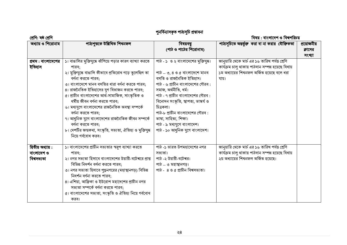### পুনর্বিন্যাসকৃত পাঠ্যসূচি প্রস্তাবনা

| শ্ৰেণি: ষষ্ঠ শ্ৰেণি                            |                                                                                                                                                                                                                                                                                                                                                                                                                                                                                                                                                                             |                                                                                                                                                                                                                                                                                                                                                                                         | বিষয় : বাংলাদেশ ও বিশ্বপরিচয়                                                                                                                              |                                  |
|------------------------------------------------|-----------------------------------------------------------------------------------------------------------------------------------------------------------------------------------------------------------------------------------------------------------------------------------------------------------------------------------------------------------------------------------------------------------------------------------------------------------------------------------------------------------------------------------------------------------------------------|-----------------------------------------------------------------------------------------------------------------------------------------------------------------------------------------------------------------------------------------------------------------------------------------------------------------------------------------------------------------------------------------|-------------------------------------------------------------------------------------------------------------------------------------------------------------|----------------------------------|
| অধ্যায় ও শিরোনাম                              | পাঠ্যপুস্তকে উল্লিখিত শিখনফল                                                                                                                                                                                                                                                                                                                                                                                                                                                                                                                                                | বিষয়বম্বু<br>(পাঠ ও পাঠের শিরোনাম)                                                                                                                                                                                                                                                                                                                                                     | পাঠ্যসূচিতে অন্তৰ্ভুক্ত করা বা না করার যৌক্তিকতা                                                                                                            | প্রয়োজনীয়<br>ক্লাসের<br>সংখ্যা |
| প্রথম : বাংলাদেশের<br>ইতিহাস                   | ১। বাঙালির মুক্তিযুদ্ধে ঝাঁপিয়ে পড়ার কারণ ব্যাখ্যা করতে<br>পারব:<br>২। মুক্তিযুদ্ধে বাঙালি কীভাবে প্রতিরোধ গড়ে তুলেছিল তা<br>বর্ণনা করতে পারব;<br>৩। বাংলাদেশে মানব বসতির ধারা বর্ণনা করতে পারব;<br>৪। রাজনৈতিক ইতিহাসের যুগ বিভাজন করতে পারব;<br>৫। প্রাচীন বাংলাদেশের আর্থ-সামাজিক, সাংস্কৃতিক ও<br>ধর্মীয় জীবন বর্ণনা করতে পারব;<br>৬। মধ্যযুগে বাংলাদেশের রাজনৈতিক অবস্থা সম্পর্কে<br>বর্ণনা করতে পারব;<br>৭। আধুনিক যুগে বাংলাদেশের রাজনৈতিক জীবন সম্পর্কে<br>বর্ণনা করতে পারব;<br>৮। দেশটির জন্মকথা, সংস্কৃতি, সভ্যতা, ঐতিহ্য ও মুক্তিযুদ্ধ<br>নিয়ে গর্ববোধ করব। | পাঠ - ১ ও ২ বাংলাদেশের মুক্তিযুদ্ধ।<br>পাঠ $=$ ৩, ৪ ও ৫ বাংলাদেশে মানব<br>বসতি ও রাজনৈতিক ইতিহাস।<br>পাঠ - ৬ প্রাচীন বাংলাদেশের গৌরব :<br>সমাজ, অৰ্থনীতি, ধৰ্ম।<br>পাঠ - ৭ প্রাচীন বাংলাদেশের গৌরব :<br>বিনোদন সংস্কৃতি, স্থাপত্য, ভাস্কৰ্য ও<br>চিত্ৰকলা।<br>পাঠ-৮ প্রাচীন বাংলাদেশের গৌরব :<br>ভাষা, সাহিত্য, শিক্ষা।<br>পাঠ - ৯ মধ্যযুগে বাংলাদেশ।<br>পাঠ - ১০ আধুনিক যুগে বাংলাদেশ। | জানুয়ারি থেকে মার্চ এর ১৬ তারিখ পর্যন্ত শ্রেণি<br>কাৰ্যক্ৰম চালু থাকায় পাঠদান সম্পন্ন হয়েছে বিধায়<br>১ম অধ্যায়ের শিখনফল অর্জিত হয়েছে বলে ধরা<br>যায়। |                                  |
| দ্বিতীয় অধ্যায়:<br>বাংলাদেশ ও<br>বিশ্বসভ্যতা | ১। বাংলাদেশের প্রাচীন সভ্যতার স্বরূপ ব্যাখ্যা করতে<br>পারব:<br>২। নগর সভ্যতা হিসাবে বাংলাদেশের উয়ারী-বটেশ্বরে প্রাপ্ত<br>বিভিন্ন নিদর্শন বর্ণনা করতে পারব;<br>৩। নগর সভ্যতা হিসাবে পুড়ুনগরের (মহাস্থানগড়) বিভিন্ন<br>নিদর্শন বর্ণনা করতে পারব:<br>৪। এশিয়া, আফ্রিকা ও ইউরোপ মহাদেশের প্রাচীন নগর<br>সভ্যতা সম্পর্কে বর্ণনা করতে পারব;<br>৫। বাংলাদেশের সভ্যতা, সংস্কৃতি ও ঐতিহ্য নিয়ে গর্ববোধ<br>করব।                                                                                                                                                                  | পাঠ -১ ভারত উপমহাদেশের নগর<br>সভ্যতা।<br>পাঠ -২ উয়ারী-বটেশ্বর।<br>পাঠ _ ৩ মহাস্থানগড়।<br>পাঠ - ৪ ও ৫ প্রাচীন বিশ্বসভ্যতা।                                                                                                                                                                                                                                                             | জানুয়ারি থেকে মার্চ এর ১৬ তারিখ পর্যন্ত শ্রেণি<br>কাৰ্যক্ৰম চালু থাকায় পাঠদান সম্পন্ন হয়েছে বিধায়<br>২য় অধ্যায়ের শিখনফল অর্জিত হয়েছে।                |                                  |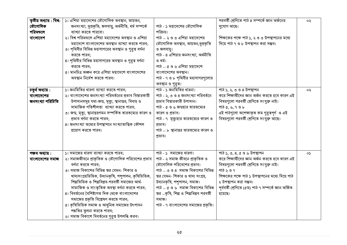| তৃতীয় অধ্যায় : বিশ্ব-<br>ভৌগোলিক<br>পরিমণ্ডলে<br>বাংলাদেশ | ১। এশিয়া মহাদেশের ভৌগোলিক অবস্থান, আয়তন,<br>জনসংখ্যা, ভূপ্রকৃতি, জলবায়ু, অর্থনীতি, ধর্ম সম্পর্কে<br>ব্যাখ্যা করতে পারবো।<br>২। বিশ্ব পরিমন্ডলে এশিয়া মহাদেশের অবস্থান ও এশিয়া<br>মহাদেশে বাংলাদেশের অবস্থান ব্যাখ্যা করতে পারব;                                                                                                                                                                                                                                                                                                     | পাঠ - ১ মহাদেশের ভৌগোলিক<br>পরিচয়।<br>পাঠ $-$ ২ ও ৩ এশিয়া মহাদেশের<br>ভৌগোলিক অবস্থান, আয়তন,ভ়প্ৰকৃতি                                                                                                                                                                                                                      | পরবর্তী শ্রেণিতে পাঠ ৪ সম্পর্কে জ্ঞান অর্জনের<br>সুযোগ আছে।<br>শিক্ষকের পক্ষে পাঠ ১, ২ ও ৩ উপস্থাপনের মধ্যে<br>দিয়ে পাঠ ৭ ও ৮ উপস্থাপন করা সম্ভব।                                                                                                                                   | ০২  |
|-------------------------------------------------------------|------------------------------------------------------------------------------------------------------------------------------------------------------------------------------------------------------------------------------------------------------------------------------------------------------------------------------------------------------------------------------------------------------------------------------------------------------------------------------------------------------------------------------------------|-------------------------------------------------------------------------------------------------------------------------------------------------------------------------------------------------------------------------------------------------------------------------------------------------------------------------------|--------------------------------------------------------------------------------------------------------------------------------------------------------------------------------------------------------------------------------------------------------------------------------------|-----|
|                                                             | ৩। পৃথিবীর বিভিন্ন মহাসাগরের অবস্থান ও গুরুত্ব বর্ণনা<br>করতে পারব;<br>৪। পৃথিবীর বিভিন্ন মহাসাগরের অবস্থান ও গুরুত্ব বর্ণনা<br>করতে পারব;<br>৫। মানচিত্র অজ্ঞন করে এশিয়া মহাদেশে বাংলাদেশের<br>অবস্থান নির্দেশ করতে পারব।                                                                                                                                                                                                                                                                                                              | ও জলবায়ু।<br>পাঠ - ৪ এশিয়ার জনসংখ্যা, অর্থনীতি<br>ও ধর্ম।<br>পাঠ $-$ ৫ ও ৬ এশিয়া মহাদেশে<br>বাংলাদেশের অবস্থান।<br>পাঠ - ৭ ও ৮ পৃথিবীর মহাসাগরগুলোর<br>অবস্থান ও গুরুত্ব।                                                                                                                                                  |                                                                                                                                                                                                                                                                                      |     |
| চতুৰ্থ অধ্যায় :<br>বাংলাদেশের<br>জনসংখ্যা পরিচিতি          | ১। জনমিতির ধারণা ব্যাখ্যা করতে পারব;<br>২। বাংলাদেশের জনসংখ্যা পরিবর্তনের প্রভাব বিস্তারকারী<br>উপাদানসমূহ যথা-জন্ম, মৃত্যু, স্থানান্তর, বিবাহ ও<br>সামাজিক গতিশীলতা ব্যাখ্যা করতে পারব;<br>৩। জন্ম, মৃত্যু, স্থানান্তরগমন সম্পর্কিত তারতম্যের কারণ ও<br>প্রভাব বর্ণনা করতে পারব;<br>৪। জনসংখ্যা তথ্যের উপস্থাপনে সংখ্যাতাত্ত্বিক কৌশল<br>প্রয়োগ করতে পারব।                                                                                                                                                                             | পাঠ - ১ জনমিতির ধারনা।<br>পাঠ - ২, ৩ ও ৪ জনসংখ্যা পরিবর্তনে<br>প্রভাব বিস্তারকারী উপাদান।<br>পাঠ - ৫ ও ৬ জন্মহার তারতম্যের<br>কারণ ও প্রভাব।<br>পাঠ - ৭ মৃত্যুহার তারতম্যের কারণ ও<br>প্ৰভাব।<br>পাঠ $\_$ ৮ স্থানান্তর তারতম্যের কারণ ও<br>প্ৰভাব।                                                                            | পাঠ ১, ২, ৩ ও ৪ উপস্থাপন<br>করে শিক্ষার্থীদের জ্ঞান অর্জন করতে হবে কারণ এই<br>বিষয়গুলো পরবর্তী শ্রেণিতে সংযুক্ত নাই।<br>পাঠ ৫, ৬, ৭ ও ৮<br>এই পাঠগুলো অপেক্ষাকৃত কম গুরুত্বপূর্ণ ও এই<br>বিষয়গলো পরবর্তী শ্রেণিতে সংযুক্ত আছে।                                                     | ০২  |
| পঞ্চম অধ্যায়:<br>বাংলাদেশের সমাজ                           | ১। সমাজের ধারণা ব্যাখ্যা করতে পারব;<br>২। সমাজজীবনে প্রাকৃতিক ও ভৌগোলিক পরিবেশের প্রভাব<br>বর্ণনা করতে পারব:<br>৩। সমাজ বিকাশের বিভিন্ন স্তর যেমন- শিকার ও<br>খাদ্যসংগ্ৰহভিত্তিক, উদ্যানকৃষি, পশুপালন, কৃষিভিত্তিক,<br>শিল্পভিত্তিক ও শিল্পবিপ্লব-পরবর্তী সমাজের আর্থ-<br>সামাজিক ও সাংস্কৃতিক অবস্থা বর্ণনা করতে পারব;<br>৪। বিবর্তনের বৈশিষ্ট্যগত দিক থেকে বাংলাদেশের<br>সমাজের প্রকৃতি বিশ্লেষণ করতে পারব;<br>৫। কৃষিভিত্তিক সমাজ ও আধুনিক সমাজের উৎপাদন<br>পদ্ধতির তৃলনা করতে পারব;<br>৬। সমাজ বিকাশে বিবর্তনের গুরুত্ব উপলব্ধি করব। | পাঠ - ১ সমাজের ধারণা।<br>পাঠ - ২ সমাজ জীবনে প্রাকৃতিক ও<br>ভৌগোলিক পরিবেশের প্রভাব।<br>পাঠ = ৩ ও ৪  সমাজ বিকাশের বিভিন্ন<br>স্তর যেমন- শিকার ও খাদ্য সংগ্রহ,<br>উদ্যানকৃষি, পশুপালন, সমাজ।<br>পাঠ $\alpha$ ও ৬ সমাজ বিকাশের বিভিন্ন<br>স্তর _কৃষি, শিল্প ও শিল্পবিপ্লব পরবর্তী<br>সমাজ।<br>পাঠ - ৭ বাংলাদেশের সমাজের প্রকৃতি। | পাঠ ১, ৩, ৪, ৫ ও ৬ উপস্থাপন<br>করে শিক্ষার্থীদের জ্ঞান অর্জন করতে হবে কারণ এই<br>বিষয়গুলো পরবর্তী শ্রেণিতে সংযুক্ত নাই।<br>পাঠ ২ ও ৭<br>শিক্ষকের পক্ষে পাঠ ১ উপস্থাপনের মধ্যে দিয়ে পাঠ<br>২ উপস্থাপন করা সম্ভব।<br>পূৰ্ববৰ্তী শ্ৰেণিতে (৫ম) পাঠ ৭ সম্পৰ্কে জ্ঞান অৰ্জিত<br>হয়েছে। | oS. |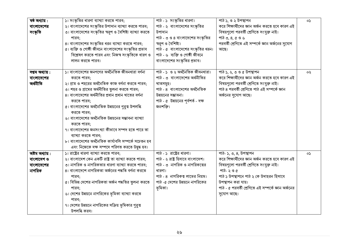| ষষ্ঠ অধ্যায়:   | ১। সংস্কৃতির ধারণা ব্যাখ্যা করতে পারব;                   | পাঠ - ১ সংস্কৃতির ধারণা।                                            | পাঠ ১, ও ২ উপস্থাপন                                | oS. |
|-----------------|----------------------------------------------------------|---------------------------------------------------------------------|----------------------------------------------------|-----|
| বাংলাদেশের      | ২। বাংলাদেশের সংস্কৃতির উপাদান ব্যাখ্যা করতে পারব;       | পাঠ - ২ বাংলাদেশের সংস্কৃতির                                        | করে শিক্ষার্থীদের জ্ঞান অর্জন করতে হবে কারণ এই     |     |
| সংস্কৃতি        | ৩। বাংলাদেশের সংস্কৃতির স্বরূপ ও বৈশিষ্ট্য ব্যাখ্যা করতে | উপাদান                                                              | বিষয়গূলো পরবর্তী শ্রেণিতে সংযুক্ত নাই।            |     |
|                 | পারব:                                                    | পাঠ - ৩ ও ৪ বাংলাদেশের সংস্কৃতির                                    | পাঠ ৩, ৪, ৫ ও ৬                                    |     |
|                 | 8। বাংলাদেশের সংস্কৃতির ধরন ব্যাখ্যা করতে পারব;          | স্বরূপ ও বৈশিষ্ট্য।                                                 | পরবর্তী শ্রেণিতে এই সম্পর্কে জ্ঞান অর্জনের সুযোগ   |     |
|                 | ৫। ব্যক্তি ও গোষ্ঠী জীবনে বাংলাদেশের সংস্কৃতির প্রভাব    | পাঠ - ৫ বাংলাদেশের সংস্কৃতির ধরন।<br>পাঠ - ৬ ব্যক্তি ও গোষ্ঠী জীবনে | আছে।                                               |     |
|                 | বিশ্লেষণ করতে পারব এবং নিজস্ব সংস্কৃতিকে ধারণ ও          |                                                                     |                                                    |     |
|                 | লালন করতে পারব।                                          | বাংলাদেশের সংস্কৃতির প্রভাব।                                        |                                                    |     |
| সপ্তম অধ্যায়:  | ১। বাংলাদেশের জনগণের অর্থনৈতিক জীবনধারা বর্ণনা           | পাঠ - ১ ও ২ অর্থনৈতিক জীবনধারা।                                     | পাঠ ১, ২, ৩ ও ৫ উপস্থাপন                           | ০২  |
| বাংলাদেশের      | করতে পারব;                                               | পাঠ - ৩  বাংলাদেশের অর্থনীতির                                       | করে শিক্ষার্থীদের জ্ঞান অর্জন করতে হবে কারণ এই     |     |
| অৰ্থনীতি        | ২। গ্রাম ও শহরের অর্থনৈতিক কাজ বর্ণনা করতে পারব;         | খাতসমূহ।                                                            | বিষয়গুলো পরবর্তী শ্রেণিতে সংযুক্ত নাই।            |     |
|                 | ৩। শহর ও গ্রামের অর্থনীতির তুলনা করতে পারব;              | পাঠ - ৪  বাংলাদেশের অর্থনৈতিক                                       | পাঠ ৪ পরবর্তী শ্রেণিতে পাঠ এই সম্পর্কে জ্ঞান       |     |
|                 | ৪। বাংলাদেশের অর্থনীতির প্রধান প্রধান খাতের বর্ণনা       | উন্নয়নের সম্ভাবনা।                                                 | অর্জনের সুযোগ আছে।                                 |     |
|                 | করতে পারব;                                               | পাঠ - ৫ উন্নয়নের পূর্বশর্ত - দক্ষ                                  |                                                    |     |
|                 | ৫। বাংলাদেশের অর্থনৈতিক উন্নয়নের গুরুত্ব উপলব্ধি        | জনশক্তি।                                                            |                                                    |     |
|                 | করতে পারব;                                               |                                                                     |                                                    |     |
|                 | ৬। বাংলাদেশের অর্থনৈতিক উন্নয়নের সম্ভাবনা ব্যাখ্যা      |                                                                     |                                                    |     |
|                 | করতে পারব;                                               |                                                                     |                                                    |     |
|                 | ৭। বাংলাদেশের জনসংখ্যা কীভাবে সম্পদ হতে পারে তা          |                                                                     |                                                    |     |
|                 | ব্যাখ্যা করতে পারব;                                      |                                                                     |                                                    |     |
|                 | ৮। বাংলাদেশের অর্থনৈতিক কার্যাবলি সম্পর্কে সচেতন হব      |                                                                     |                                                    |     |
|                 | এবং নিজেকে দক্ষ সম্পদে পরিণত করতে উদ্বুদ্ধ হব।           |                                                                     |                                                    |     |
| অষ্টম অধ্যায় : | ১। রাষ্ট্রের ধারণা ব্যাখ্যা করতে পারব;                   | পাঠ - ১ রাষ্ট্রের ধারণা।                                            | পাঠ- ১, ৩, ৪, উপস্থাপন                             | 0S  |
| বাংলাদেশ ও      | ২। বাংলাদেশ কেন একটি রাষ্ট্র তা ব্যাখ্যা করতে পারব;      | পাঠ - ২ রাষ্ট্র হিসাবে বাংলাদেশ।                                    | করে শিক্ষার্থীদের জ্ঞান অর্জন করতে হবে কারণ এই     |     |
| বাংলাদেশের      | ৩। নাগরিক ও নাগরিকতার ধারণা ব্যাখ্যা করতে পারব;          | পাঠ - ৩ নাগরিক ও নাগরিকত্বের                                        | বিষয়গুলো পরবর্তী শ্রেণিতে সংযুক্ত নাই।            |     |
| নাগরিক          | ৪। বাংলাদেশে নাগরিকতা অর্জনের পদ্ধতি বর্ণনা করতে         | ধারণা।                                                              | পাঠ- ২ ও ৫                                         |     |
|                 | পারব;                                                    | পাঠ - ৪ নাগরিকত্ব লাভের নিয়ম।                                      | পাঠ ১ উপস্থাপনে পাঠ ২ কে উদাহরন হিসাবে             |     |
|                 | ৫। বিভিন্ন দেশের নাগরিকতা অর্জন পদ্ধতির তুলনা করতে       | পাঠ -৫ দেশের উন্নয়নে নাগরিকের                                      | উপস্থাপন করা যায়।                                 |     |
|                 | পারব;                                                    | ভূমিকা।                                                             | পাঠ - ৫ পরবর্তী শ্রেণিতে এই সম্পর্কে জ্ঞান অর্জনের |     |
|                 | ৬। দেশের উন্নয়নে নাগরিকের ভূমিকা ব্যাখ্যা করতে          |                                                                     | সুযোগ আছে।                                         |     |
|                 | পারব;                                                    |                                                                     |                                                    |     |
|                 | ৭। দেশের উন্নয়নে নাগরিকের সক্রিয় ভূমিকার গুরুত্ব       |                                                                     |                                                    |     |
|                 | উপলব্ধি করব।                                             |                                                                     |                                                    |     |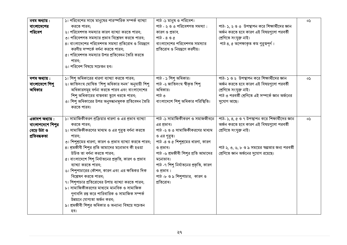| নবম অধ্যায়:<br>বাংলাদেশের<br>পরিবেশ                               | ১। পরিবেশের সাথে মানুষের পারস্পরিক সম্পর্ক ব্যাখ্যা<br>করতে পারব;<br>২। পরিবেশগত সমস্যার কারণ ব্যাখ্যা করতে পারব;<br>৩। পরিবেশগত সমস্যার প্রভাব বিশ্লেষণ করতে পারব;<br>৪। বাংলাদেশের পরিবেশগত সমস্যা প্রতিরোধ ও নিয়ন্ত্রণে<br>করণীয় সম্পর্কে বর্ণনা করতে পারব;<br>৫। পরিবেশগত সমস্যার উপর প্রতিবেদন তৈরি করতে<br>পারব:<br>৬। পরিবেশ বিষয়ে সচেতন হব।                                                                                                                                                                                                                                                                                                                     | পাঠ -১ মানুষ ও পরিবেশ।<br>পাঠ - ২ ও ৩ পরিবেশগত সমস্যা :<br>কারণ ও প্রভাব.<br>পাঠ - ৪ ও ৫<br>বাংলাদেশের পরিবেশগত সমস্যার<br>প্রতিরোধ ও নিয়ন্ত্রণে করণীয়।                                                                                                                                            | পাঠ- ১, ২ ও ৩  উপস্থাপন করে শিক্ষার্থীদের জ্ঞান<br>অৰ্জন করতে হবে কারণ এই বিষয়গুলো পরবর্তী<br>শ্ৰেণিতে সংযুক্ত নাই।<br>পাঠ ৪, ৫ অপেক্ষাকৃত কম গুরুত্বপূর্ণ।                                                       | oS           |
|--------------------------------------------------------------------|----------------------------------------------------------------------------------------------------------------------------------------------------------------------------------------------------------------------------------------------------------------------------------------------------------------------------------------------------------------------------------------------------------------------------------------------------------------------------------------------------------------------------------------------------------------------------------------------------------------------------------------------------------------------------|------------------------------------------------------------------------------------------------------------------------------------------------------------------------------------------------------------------------------------------------------------------------------------------------------|--------------------------------------------------------------------------------------------------------------------------------------------------------------------------------------------------------------------|--------------|
| দশম অধ্যায়:<br>বাংলাদেশে শিশু<br>অধিকার                           | ১। শিশু অধিকারের ধারণা ব্যাখ্যা করতে পারব;<br>২। জাতিসংঘ ঘোষিত 'শিশু অধিকার সনদ' অনুযায়ী শিশু<br>অধিকারসমূহ বর্ণনা করতে পারব এবং বাংলাদেশের<br>শিশু অধিকারের বাস্তবতা তুলে ধরতে পারব;<br>৩। শিশু অধিকারের উপর অনুসন্ধানমূলক প্রতিবেদন তৈরি<br>করতে পারব।                                                                                                                                                                                                                                                                                                                                                                                                                  | পাঠ - ১ শিশু অধিকার।<br>পাঠ -২ জাতিসংঘ স্বীকৃত শিশু<br>অধিকার।<br>পাঠ ৩<br>বাংলাদেশে শিশু অধিকার পরিস্থিতি।                                                                                                                                                                                          | পাঠ- ১ ও ২ উপস্থাপন করে শিক্ষার্থীদের জ্ঞান<br>অৰ্জন করতে হবে কারণ এই বিষয়গুলো পরবর্তী<br>শ্ৰেণিতে সংযুক্ত নাই।<br>পাঠ ৩ পরবর্তী শ্রেণিতে এই সম্পর্কে জ্ঞান অর্জনের<br>সুযোগ আছে।                                 | os           |
| একাদশ অধ্যায় :<br>বাংলাপদেশে শিশুর<br>বেড়ে উঠা ও<br>প্ৰতিবন্ধকতা | ১। সামাজিকীকরণ প্রক্রিয়ার ধারণা ও এর প্রভাব ব্যাখ্যা<br>করতে পারব;<br>২। সামাজিকীকরণের মাধ্যম ও এর গুরুত্ব বর্ণনা করতে<br>পারব:<br>৩। শিশুশ্রমের ধারণা, কারণ ও প্রভাব ব্যাখ্যা করতে পারব;<br>৪। শ্রমজীবী শিশুর প্রতি আমাদের মনোভাব কী হওয়া<br>উচিত তা বৰ্ণনা করতে পারব:<br>৫। বাংলাদেশে শিশু নির্যাতনের প্রকৃতি, কারণ ও প্রভাব<br>ব্যাখ্যা করতে পারব;<br>৬। শিশুপাচারের কৌশল, কারণ এবং এর ক্ষতিকর দিক<br>বিশ্লেষণ করতে পারব;<br>৭। শিশুপাচার প্রতিরোধের উপায় ব্যাখ্যা করতে পারব;<br>৮। সামাজিকীকরণের মাধ্যমে মানবিক ও সামাজিক<br>গুণাবলি রপ্ত করে পারিবারিক ও সামাজিক সম্পর্ক<br>উন্নয়নে যোগ্যতা অর্জন করব:<br>৯। শ্রমজীবী শিশুর অধিকার ও অন্যান্য বিষয়ে সচেতন<br>হব। | পাঠ -১ সামাজিকীকরণ ও সমাজজীবনে<br>এর প্রভাব।<br>পাঠ -২ ও ৩ সামাজিকীকরণের মাধ্যম<br>ও এর গুরুত্ব।<br>পাঠ -৪ ও ৫ শিশুশ্রমের ধারণা, কারণ<br>ও প্রভাব।<br>পাঠ -৬ শ্রমজীবী শিশুর প্রতি আমাদের<br>মনোভাব।<br>পাঠ -৭ শিশু নির্যাতনের প্রকৃতি, কারণ<br>ও প্রভাব।<br>পাঠ-৮ ও ৯ শিশুপাচার, কারণ ও<br>প্রতিরোধ। | পাঠ- ১, ৪, ৫ ও ৭ উপস্থাপন করে শিক্ষার্থীদের জ্ঞান<br>অৰ্জন করতে হবে কারণ এই বিষয়গুলো পরবর্তী<br>শ্ৰেণিতে সংযুক্ত নাই।<br>পাঠ ২, ৩, ৬, ৮ ও ৯ সময়ের স্বল্পতার জন্য পরবর্তী<br>শ্রেণিতে জ্ঞান অর্জনের সুযোগ রয়েছে। | $\mathsf{S}$ |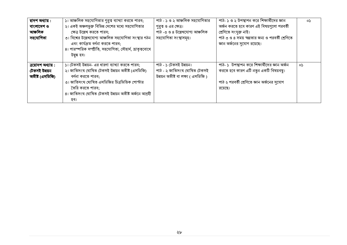| দ্বাদশ অধ্যায় :<br>বাংলাদেশ ও<br>আঞ্চলিক<br>সহযোগিতা  | ১। আঞ্চলিক সহযোগিতার গুরুত্ব ব্যাখ্যা করতে পারব;<br>২। একই অঞ্চলভুক্ত বিভিন্ন দেশের মধ্যে সহযোগিতার<br>ক্ষেত্র উল্লেখ করতে পারব:<br>৩। বিশ্বের উল্লেখযোগ্য আঞ্চলিক সহযোগিতা সংস্থার গঠন<br>এবং কাৰ্যক্ৰম বৰ্ণনা করতে পারব:<br>৪। পারস্পরিক সম্প্রীতি, সহযোগিতা, সৌহার্দ, ভ্রাতৃত্ববোধে | পাঠ - ১ ও ২ আঞ্চলিক সহযোগিতার<br>গুরুত্ব ও এর ক্ষেত্র।<br>পাঠ -৩ ও ৪ উল্লেখযোগ্য আঞ্চলিক<br>সহযোগিতা সংস্থাসমূহ। | পাঠ- ১ ও ২ উপস্থাপন করে শিক্ষার্থীদের জ্ঞান<br>অৰ্জন করতে হবে কারণ এই বিষয়গুলো পরবর্তী<br>শ্ৰেণিতে সংযুক্ত নাই।<br>পাঠ ৩ ও ৪ সময় স্বল্পতার জন্য ও পরবর্তী শ্রেণিতে<br>জ্ঞান অর্জনের সুযোগ রয়েছে। | oS  |
|--------------------------------------------------------|----------------------------------------------------------------------------------------------------------------------------------------------------------------------------------------------------------------------------------------------------------------------------------------|------------------------------------------------------------------------------------------------------------------|-----------------------------------------------------------------------------------------------------------------------------------------------------------------------------------------------------|-----|
| ত্ৰয়োদশ অধ্যায় :<br>টেকসই উন্নয়ন<br>অভীষ্ট (এসডিজি) | উদ্বদ্ধ হব।<br>১। টেকসই উন্নয়ন- এর ধারণা ব্যাখ্যা করতে পারব;<br>২। জাতিসংঘ ঘোষিত টেকসই উন্নয়ন অভীষ্ট (এসডিজি)<br>বর্ণনা করতে পারব;<br>৩। জাতিসংঘ ঘোষিত এসডিজির চিত্রভিত্তিক পোস্টার<br>তৈরি করতে পারব;<br>৪। জাতিসংঘ ঘোষিত টেকসই উন্নয়ন অভীষ্ট অৰ্জনে আগ্ৰহী<br>হব।                 | পাঠ - ১ টেকসই উন্নয়ন।<br>পাঠ - ২ জাতিসংঘ ঘোষিত টেকসই<br>উন্নয়ন অভীষ্ট বা লক্ষ্য ( এসডিজি )                     | পাঠ- ১ উপস্থাপন করে শিক্ষার্থীদের জ্ঞান অর্জন<br>করতে হবে কারণ এটি নতুন একটি বিষয়বস্তু।<br>পাঠ ২ পরবর্তী শ্রেণিতে জ্ঞান অর্জনের সুযোগ<br>রয়েছে।                                                   | oS. |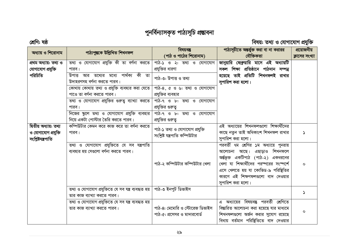# পুনৰ্বিন্যাসকৃত পাঠ্যসূচি প্ৰভাবনা

### শ্ৰেণি: ষষ্ঠ

## বিষয়: তথ্য ও যোগাযোগ প্ৰযুক্তি

| অধ্যায় ও শিরোনাম      | পাঠ্যপুস্তকে উল্লিখিত শিখনফল                                        | বিষয়বস্তু                     | পাঠ্যসূচীতে অন্তর্ভুক্ত করা বা না করারর              | প্রয়োজনীয়    |
|------------------------|---------------------------------------------------------------------|--------------------------------|------------------------------------------------------|----------------|
|                        |                                                                     | (পাঠ ও পাঠের শিরোনাম)          | যৌক্তিকতা                                            | ক্লাসের সংখ্যা |
| প্ৰথম অধ্যায়: তথ্য ও  | তথ্য ও যোগাযোগ প্রযুক্তি কী তা বর্ণনা করতে                          | পাঠ-১ ও ২: তথ্য ও যোগাযোগ      | জানুয়ারি ফেব্রুয়ারি মাসে এই অধ্যায়টি              |                |
| যোগাযোগ প্ৰযুক্তি      | পারব।                                                               | প্রযুক্তির ধারণা               | সকল শিক্ষা প্ৰতিষ্ঠানে পাঠদান সম্পন্ন                |                |
| পরিচিতি                | উপাত্ত আর তথ্যের মধ্যে পার্থক্য কী তা<br>উদাহরণসহ বর্ণনা করতে পারব। | পাঠ-৩: উপাত্ত ও তথ্য           | হয়েছে তাই প্রতিটি শিখনফলই রাখার<br>সুপারিশ করা হলো। |                |
|                        | কোথায় কোথায় তথ্য ও প্রযুক্তি ব্যবহার করা যেতে                     | পাঠ-৪, ৫ ও ৬: তথ্য ও যোগাযোগ   |                                                      |                |
|                        | পাওে তা বর্ণনা করতে পারব।                                           | প্রযুক্তির ব্যবহার             |                                                      |                |
|                        | তথ্য ও যোগাযোগ প্রযুক্তির গুরুত্ব ব্যাখ্যা করতে                     | পাঠ-৭ ও ৮: তথ্য ও যোগাযোগ      |                                                      |                |
|                        | পারব।                                                               | প্রযুক্তির গুরুতু              |                                                      |                |
|                        | নিজের স্কুলে তথ্য ও যোগাযোগ প্রযুক্তি ব্যবহার                       | পাঠ-৭ ও ৮: তথ্য ও যোগাযোগ      |                                                      |                |
|                        | নিয়ে একটা পোস্টার তৈরি করতে পারব।                                  | প্রযুক্তির গুরুতু              |                                                      |                |
| দ্বিতীয় অধ্যায়: তথ্য | কম্পিউটার কেমন করে কাজ করে তা বর্ণনা করতে                           |                                | এই অধ্যায়ের শিখনফলগুলো শিক্ষার্থীদের                |                |
| ও যোগাযোগ প্ৰযুক্তি    | পারব।                                                               | পাঠ-১ তথ্য ও যোগাযোগ প্রযুক্তি | কাছে নতুন তাই অধিকাংশ শিখনফল রাখার                   | Ŋ              |
| সংশ্লিষ্টযন্ত্ৰপাতি    |                                                                     | সংশ্লিষ্ট যন্ত্ৰপাতি কম্পিউটার | সুপারিশ করা হলো।                                     |                |
|                        | তথ্য ও যোগাযোগ প্রযুক্তিতে যে সব যন্ত্রপাতি                         |                                | পরবর্তী ৭ম শ্রেণির ১ম অধ্যায়ে পুনরায়               |                |
|                        | ব্যবহার হয় সেগুলো বর্ণনা করতে পারব।                                |                                | আলোচনা আছে। এছাড়াও শিখনফলে                          |                |
|                        |                                                                     |                                | অর্ন্তভূক্ত একটিপাঠ (পাঠ-২) একধরনের                  |                |
|                        |                                                                     | পাঠ-২ কম্পিউটার কম্পিউটার খেলা | খেলা যা শিক্ষার্থীদের পরস্পরের সংস্পর্শে             | $\circ$        |
|                        |                                                                     |                                | এসে খেলতে হয় যা কোভিড-৯ পরিষ্থিতির                  |                |
|                        |                                                                     |                                | কারণে এই শিক্ষণফলগুলো বাদ দেওয়ার                    |                |
|                        |                                                                     |                                | সুপারিশ করা হলো।                                     |                |
|                        | তথ্য ও যোগাযোগ প্রযুক্তিতে যে সব যন্ত্র ব্যবহৃত হয়                 | পাঠ-৩ ইনপুট ডিভাইস             |                                                      |                |
|                        | তার কাজ ব্যাখ্যা করতে পারব।                                         |                                |                                                      | S.             |
|                        | তথ্য ও যোগাযোগ প্ৰযুক্তিতে যে সব যন্ত্ৰ ব্যবহৃত হয়                 |                                | এ অধ্যায়ের বিষয়বস্তু পরবর্তী শ্রেণিতে              |                |
|                        | তার কাজ ব্যাখ্যা করতে পারব।                                         | পাঠ-৪: মেমোরি ও স্টোরেজ ডিভাইস | বিস্তারিত আলোচনা করা হয়েছে যার মাধ্যমে              |                |
|                        |                                                                     | পাঠ-৫: প্রসেসর ও মাদারবোর্ড    | শিখনফলগুলো অর্জন করার সুযোগ রয়েছে                   | $\circ$        |
|                        |                                                                     |                                | বিধায় বর্তমান পরিষ্থিতিতে বাদ দেওয়ার               |                |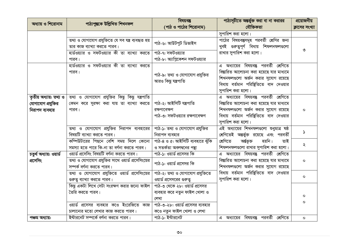| অধ্যায় ও শিরোনাম       | পাঠ্যপুস্তকে উল্লিখিত শিখনফল                        | বিষয়বস্তু                        | পাঠ্যসূচীতে অন্তর্ভুক্ত করা বা না করারর    | প্রয়োজনীয়    |
|-------------------------|-----------------------------------------------------|-----------------------------------|--------------------------------------------|----------------|
|                         |                                                     | (পাঠ ও পাঠের শিরোনাম)             | যৌক্তিকতা                                  | ক্লাসের সংখ্যা |
|                         |                                                     |                                   | সুপারিশ করা হলো।                           |                |
|                         | তথ্য ও যোগাযোগ প্ৰযুক্তিতে যে সব যন্ত্ৰ ব্যবহৃত হয় | পাঠ-৬: আউটপুট ডিভাইস              | পাঠের বিষয়বস্তুসমূহ পরবর্তী শ্রেণির জন্য  |                |
|                         | তার কাজ ব্যাখ্যা করতে পারব।                         |                                   | খুবই গুরুত্বপূর্ণ বিধায় শিফলনফলগুলো       |                |
|                         | হার্ডওয়্যার ও সফটওয়্যার কী তা ব্যাখ্যা করতে       | পাঠ-৭: সফটওয়্যার                 | রাখার সুপারিশ করা হলো।                     | ৩              |
|                         | পারব।                                               | পাঠ-৮: অ্যাপ্লিকেশন সফটওয়্যার    |                                            |                |
|                         | যার্ডওয়্যার ও সফটওয়্যার কী তা ব্যাখ্যা করতে       |                                   | এ অধ্যায়ের বিষয়বস্তু পরবর্তী শ্রেণিতে    |                |
|                         | পারব।                                               | পাঠ-৯: তথ্য ও যোগাযোগ প্রযুক্তির  | বিস্তারিত আলোচনা করা হয়েছে যার মাধ্যমে    |                |
|                         |                                                     | আরও কিছু যন্ত্রপাতি               | শিখনফলগুলো অর্জন করার সুযোগ রয়েছে         |                |
|                         |                                                     |                                   | বিধায় বর্তমান পরিষ্থিতিতে বাদ দেওয়ার     |                |
|                         |                                                     |                                   | সুপারিশ করা হলো।                           |                |
| তৃতীয় অধ্যায়: তথ্য ও  | তথ্য ও যোগাযোগ প্রযুক্তির কিছু কিছু যন্ত্রপাতি      |                                   | এ অধ্যায়ের বিষয়বস্তু পরবর্তী শ্রেণিতে    |                |
| যোগাযোগ প্রযুক্তির      | কেমন করে সুরক্ষা করা যায় তা ব্যাখ্যা করতে          | পাঠ-২: আইসিটি যন্ত্ৰপাতি          | বিস্তারিত আলোচনা করা হয়েছে যার মাধ্যমে    |                |
| নিরাপদ ব্যবহার          | পারব।                                               | রক্ষণাবেক্ষণ                      | শিখনফলগুলো অর্জন করার সুযোগ রয়েছে         | $\circ$        |
|                         |                                                     | পাঠ-৩: সফটওয়্যার রক্ষণাবেক্ষণ    | বিধায় বর্তমান পরিষ্থিতিতে বাদ দেওয়ার     |                |
|                         |                                                     |                                   | সুপারিশ করা হলো।                           |                |
|                         | তথ্য ও যোগাযোগ প্রযুক্তির নিরাপদ ব্যবহারের          | পাঠ-১: তথ্য ও যোগাযোগ প্রযুক্তির  | এই অধ্যায়ের শিখনফলগুলো শুধুমাত্র ষষ্ঠ     | ۵              |
|                         | বিষয়টি ব্যাখ্যা করতে পারব।                         | নিরাপদ ব্যবহার                    | শ্রেণিতেই অন্তর্ভুক্ত রয়েছে এবং পরবর্তী   |                |
|                         | কম্পিউটারের পিছনে বেশি সময় দিলে কোনো               | পাঠ-৪ ও ৫: আইসিটি ব্যবহারে ঝুঁকি  | হয়নি।<br>শ্ৰেণিতে<br>অৰ্ন্তভূক্ত<br>তাই   | ২              |
|                         | সমস্যা হতে পারে কি-না তা বর্ণনা করতে পারব।          | ও সতর্কতা অবলম্বনের পন্থা         | শিফলনফলগুলো রাখার সুপারিশ করা হলো।         |                |
| চতুৰ্থ অধ্যায়: ওয়াৰ্ড | ওয়ার্ড প্রসেসিং বিষয়টি বর্ণনা করতে পারব।          | পাঠ-১: ওয়ার্ড প্রসেসর কি         | এ অধ্যায়ের বিষয়বস্তু পরবর্তী শ্রেণিতে    |                |
| প্ৰসেসিং                | তথ্য ও যোগাযোগ প্রযুক্তির সাথে ওয়ার্ড প্রসেসিংয়ের | পাঠ-১: ওয়ার্ড প্রসেসর কি         | বিস্তারিত আলোচনা করা হয়েছে যার মাধ্যমে    | $\mathbf{o}$   |
|                         | সম্পৰ্ক বৰ্ণনা করতে পারব।                           |                                   | শিখনফলগুলো অর্জন করার সুযোগ রয়েছে         |                |
|                         | তথ্য ও যোগাযোগ প্রযুক্তিতে ওয়ার্ড প্রসেসিংয়ের     | পাঠ-২: তথ্য ও যোগাযোগ প্রযুক্তিতে | বিধায় বর্তমান পরিষ্থিতিতে বাদ দেওয়ার     | $\mathsf{o}$   |
|                         | গুরুত্ব ব্যাখ্যা করতে পারব।                         | ওয়ার্ড প্রসেসরের গুরুতু          | সুপারিশ করা হলো।                           |                |
|                         | কিছু একটা লিখে সেটা সংরক্ষণ করার জন্যে ফাইল         | পাঠ-৩ থেকে ২৮: ওয়ার্ড প্রসেসর    |                                            |                |
|                         | তৈরি করতে পারব।                                     | ব্যবহার করে নতুন ফাইল খোলা ও      |                                            | O              |
|                         |                                                     | লেখা                              |                                            | O              |
|                         | ওয়ার্ড প্রসেসর ব্যবহার কওে ইংরেজিতে কাজ            | পাঠ-৩-২৮: ওয়ার্ড প্রসেসর ব্যবহার |                                            |                |
|                         | চালানোর মতো লেখার কাজ করতে পারব।                    | কওে নতুন ফাইল খোলা ও লেখা         |                                            |                |
| পঞ্চম অধ্যায়:          | ইন্টারনেট সম্পর্কে বর্ণনা করতে পারব।                | পাঠ-১: ইন্টারনেট                  | বিষয়বস্তু পরবর্তী শ্রেণিতে<br>এ অধ্যায়ের | $\mathbf{o}$   |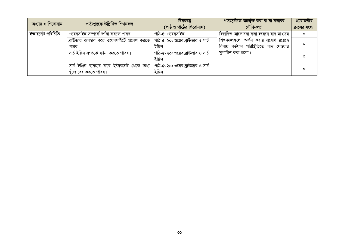| অধ্যায় ও শিরোনাম | পাঠ্যপুস্তকে উল্লিখিত শিখনফল                                         | বিষয়বস্তু<br>(পাঠ ও পাঠের শিরোনাম)        | পাঠ্যসূচীতে অন্তর্ভুক্ত করা বা না করারর<br>যৌক্তিকতা                         | প্রয়োজনীয়<br>ক্লাসের সংখ্যা |
|-------------------|----------------------------------------------------------------------|--------------------------------------------|------------------------------------------------------------------------------|-------------------------------|
| ইন্টারনেট পরিচিতি | ওয়েবসাইট সম্পর্কে বর্ণনা করতে পারব।                                 | পাঠ-৪: ওয়েবসাইট                           | বিস্তারিত আলোচনা করা হয়েছে যার মাধ্যমে                                      | $\circ$                       |
|                   | ব্রাউজার ব্যবহার করে ওয়েবসাইটে প্রবেশ করতে<br>পারব।                 | পাঠ-৫-২০: ওয়েব ব্রাউজার ও সার্চ<br>ইঞ্জিন | শিখনফলগুলো অর্জন করার সুযোগ রয়েছে<br>বিধায় বর্তমান পরিষ্থিতিতে বাদ দেওয়ার | $\circ$                       |
|                   | সার্চ ইঞ্জিন সম্পর্কে বর্ণনা করতে পারব।                              | পাঠ-৫-২০: ওয়েব ব্রাউজার ও সার্চ<br>ইঞ্জিন | সুপারিশ করা হলো।                                                             | $\Omega$                      |
|                   | সার্চ ইঞ্জিন ব্যবহার করে ইন্টারনেট থেকে তথ্য<br>খুঁজে বের করতে পারব। | পাঠ-৫-২০: ওয়েব ব্রাউজার ও সার্চ<br>ইঞ্জিন |                                                                              | $\circ$                       |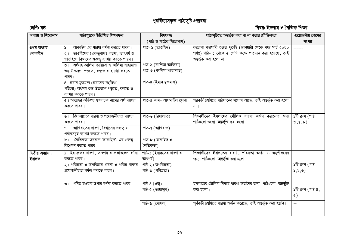# পুনৰ্বিন্যাসকৃত পাঠ্যসূচি প্ৰম্ভাবনা

### শ্ৰেণি: ষষ্ঠ

### বিষয়: ইসলাম ও নৈতিক শিক্ষা

| অধ্যায় ও শিরোনাম          | পাঠ্যপুস্তকে উল্লিখিত শিখনফল                                                                                                                                                                              | বিষয়বস্তু<br>(পাঠ ও পাঠের শিরোনাম)                                         | পাঠ্যসূচিতে অন্তর্ভুক্ত করা বা না করার যৌক্তিকতা                                                                                                                    | প্রয়োজনীয় ক্লাসের<br>সংখ্যা                                |
|----------------------------|-----------------------------------------------------------------------------------------------------------------------------------------------------------------------------------------------------------|-----------------------------------------------------------------------------|---------------------------------------------------------------------------------------------------------------------------------------------------------------------|--------------------------------------------------------------|
| প্ৰথম অধ্যায়<br>:আকাইদ    | $ $ ১। আকাইদ এর ধারণা বর্ণনা করতে পারব।<br>২। তাওহিদের (একত্ববাদ) ধারণা, তাৎপর্য ও<br>তাওহিদে বিশ্বাসের গুরুত্ব ব্যাখ্যা করতে পারব।<br>৩।  অৰ্থসহ কালিমা তায়্যিবা ও কালিমা শাহাদাত                       | পাঠ- ১ (তাওহিদ)<br>পাঠ-২ (কালিমা তায়্যিবা)                                 | করোনা মহামারি শুরুর পূর্বেই (জানুয়ারী থেকে মধ্য মার্চ ২০২০<br>পৰ্যন্ত) পাঠ- ১ থেকে ৫ শ্ৰেণি কক্ষে পাঠদান করা হয়েছে, তাই<br>অন্তৰ্ভুক্ত করা হলো না।                | ------                                                       |
|                            | শুদ্ধ উচ্চরণে পড়তে, বলতে ও ব্যাখ্যা করতে<br>পারব।<br>৪। ইমান মুজমাল (ইমানের সংক্ষিপ্ত<br>পরিচয়) অর্থসহ শুদ্ধ উচ্চরণে পড়তে, বলতে ও                                                                      | পাঠ-৩ (কালিমা শাহাদাত)<br>পাঠ-৪ (ইমান মুজমাল)                               |                                                                                                                                                                     |                                                              |
|                            | ব্যাখ্যা করতে পারব।<br>৫। আল্লাহর কতিপয় গুণবাচক নামের অর্থ ব্যাখ্যা<br>করতে পারব।                                                                                                                        | পাঠ-৫ আল- আসমাউল হুসনা                                                      | পরবর্তী শ্রেণিতে পাঠদানের সুযোগ আছে, তাই অন্তর্ভুক্ত করা হলো<br>না।                                                                                                 |                                                              |
|                            | ৬। রিসালাতের ধারণা ও প্রয়োজনীয়তা ব্যাখ্যা<br>করতে পারব।<br>$91$ আখিরাতের ধারণা, বিশ্বাসের গুরুত্ব ও<br>পর্যায়সমূহ ব্যাখ্যা করতে পারব।<br>৮। নৈতিকতা উন্নয়নে 'আকাইদ'- এর গুরুতু<br>বিশ্রেষণ করতে পারব। | পাঠ-৬ (রিসালাত)<br>পাঠ-৭ (আখিরাত)<br>পাঠ-৮ (আকাইদ ও<br>নৈতিকতা)             | শিক্ষার্থীদের ইসলামের মৌলিক ধারণা অর্জন করানোর জন্য<br>পাঠগুলো গুলো <b>অন্তর্ভুক্ত</b> করা হলো।                                                                     | ১টি ক্লাস (পাঠ<br>$\mathfrak{b}, \mathfrak{q}, \mathfrak{b}$ |
| দ্বিতীয় অধ্যায়:<br>ইবাদত | ১। ইবাদতের ধারণা, তাৎপর্য ও প্রকারভেদ বর্ণনা<br>করতে পারব।<br>২। পবিত্রতা ও অপবিত্রার ধারণা ও পবিত্র থাকার<br>প্রয়োজনীয়তা বর্ণনা করতে পারব।                                                             | পাঠ-১ (ইবাদতের ধারণা ও<br>তাৎপৰ্য)<br>পাঠ-২ (অপবিত্ৰতা)<br>পাঠ-৩ (পবিত্ৰতা) | শিক্ষার্থীদের ইবাদতের ধারণা, পবিত্রতা অর্জন ও অনুশীলনের<br>জন্য পাঠগুলো <b>অন্তৰ্ভুক্ত</b> করা হলো।                                                                 | ১টি ক্লাস (পাঠ<br>5,5,9)                                     |
|                            | <b>৩।   পবিত্র হওয়ার উপায় বর্ণনা করতে পারব।</b>                                                                                                                                                         | পাঠ-৪ (ওজু)<br>পাঠ-৫ (তায়াম্মুম)<br>পাঠ-৬ (গোসল)                           | ইসলামের মৌলিক বিষয়ে ধারণা অর্জনের জন্য  পাঠগুলো <b>অন্তর্ভুক্ত</b><br>$\overline{q}$ করা হলো।<br>পূর্ববর্তী শ্রেণিতে ধারণা অর্জন করেছে, তাই অন্তর্ভুক্ত করা হয়নি। | ১টি ক্লাস (পাঠ ৪,<br>$\hat{C}$<br>$\equiv$ $\equiv$          |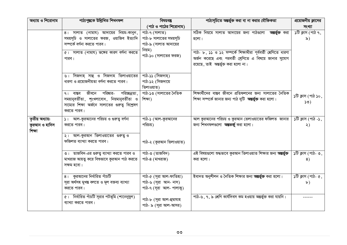| অধ্যায় ও শিরোনাম                          | পাঠ্যপুস্তকে উল্লিখিত শিখনফল                                                                                                                                     | বিষয়বস্তু                                                                                        | পাঠ্যসূচিতে অন্তর্ভুক্ত করা বা না করার যৌক্তিকতা                                                                                        | প্রয়োজনীয় ক্লাসের                                      |
|--------------------------------------------|------------------------------------------------------------------------------------------------------------------------------------------------------------------|---------------------------------------------------------------------------------------------------|-----------------------------------------------------------------------------------------------------------------------------------------|----------------------------------------------------------|
|                                            |                                                                                                                                                                  | (পাঠ ও পাঠের শিরোনাম)                                                                             |                                                                                                                                         | সংখ্যা                                                   |
|                                            | 8। সালাত (নামায) আদায়ের নিয়ম-কানুন,<br>সময়সূচি ও সালাতের ফরজ, ওয়াজিব ইত্যাদি<br>সম্পৰ্কে বৰ্ণনা করতে পারব।<br>৫। সালাত (নামায) ভঙ্গের কারণ বর্ণনা করতে       | পাঠ-৭ (সালাত)<br>পাঠ-৮ সালাতের সময়সূচি<br>পাঠ-৯ (সালাত আদায়ের<br>নিয়ম)<br>পাঠ-১০ (সালাতের ফরজ) | সঠিক নিয়মে সালাত আদায়ের জন্য পাঠণ্ডলো <b>অন্তর্ভুক্ত</b> করা<br>হলো।<br>পাঠ- ৮, ১১ ও ১২ সম্পর্কে শিক্ষাথীরা পূর্ববর্তী শ্রেণিতে ধারণা | $\overline{\mathcal{S}(\mathbb{G})}$ ক্লাস (পাঠ ৭,<br>৯) |
|                                            | পারব।<br>৬। সিজদাহ্ সাহু ও সিজদাহ তিলাওয়াতের                                                                                                                    | পাঠ-১১ (সিজদাহ্)                                                                                  | অর্জন করেছে এবং পরবর্তী শ্রেণিতে এ বিষয়ে জানার সুযোগ<br>রয়েছে, তাই অন্তর্ভুক্ত করা হলো না।                                            |                                                          |
|                                            | ধারণা ও প্রয়োজনীয়তা বর্ণনা করতে পারব।                                                                                                                          | পাঠ-১২ (সিজদায়ে<br>তিলাওয়াত)                                                                    |                                                                                                                                         |                                                          |
|                                            | পরিষ্কার-<br>পরিচ্ছন্নতা,<br>জীবনে<br>$91$ বাস্তব<br>সময়ানুবৰ্তীতা, শৃংখলাবোধ, নিয়মানুবৰ্তীতা ও<br>সাম্যের শিক্ষা অর্জনে সালাতের গুরুতু বিশ্লেষণ<br>করতে পারব। | পাঠ-১৩ (সালাতের নৈতিক<br>শিক্ষা)                                                                  | শিক্ষার্থীদের বাস্তব জীবনে প্রতিফলনের জন্য সালাতের নৈতিক<br>শিক্ষা সম্পর্কে জানার জন্য পাঠ দুটি <b>অন্তর্ভুক্ত</b> করা হলো।             | ১টি ক্লাস (পাঠ ১০,<br>50)                                |
| তৃতীয় অধ্যায়:<br>কুরআন ও হাদিস<br>শিক্ষা | ১। আল-কুরআনের পরিচয় ও গুরুত্ব বর্ণনা<br>করতে পারব।<br>২। আল-কুরআন তিলাওয়াতের গুরুত্ব ও<br>ফজিলত ব্যাখ্যা করতে পারব।                                            | পাঠ-১ (আল-কুরআনের<br>পরিচয়)<br>পাঠ-২ (কুরআন তিলাওয়াত)                                           | আল কুরআনের পরিচয় ও কুরআন তেলাওয়াতের ফজিলত জানার<br>জন্য শিখনফলগুলো <b>অন্তভর্জু</b> করা হলো।                                          | ১টি ক্লাস (পাঠ -১,<br>২)                                 |
|                                            | ৩। তাজবিদ-এর গুরুত্ব ব্যাখ্যা করতে পারব ও<br>মাখরাজ আয়ত্ব করে বিশুভাবে কুরআন পাঠ করতে<br>সক্ষম হবো।                                                             | পাঠ-৩ (তাজবিদ)<br>পাঠ-৪ (মাখরাজ)                                                                  | এই বিষয়গুলো শুদ্ধভাবে কুরআন তিলাওয়াত শিক্ষার জন্য <b>অন্তর্ভুক্ত</b><br>করা হলো।                                                      | ১টি ক্লাস (পাঠ- ৩,<br>8)                                 |
|                                            | ৪। কুরআনের নির্ধারিত পাঁচটি<br>সূরা অর্থসহ মুখন্ত বলতে ও মূল বক্তব্য ব্যাখ্যা<br>করতে পারব।                                                                      | পাঠ-৫ (সূরা আল-ফাতিহা)<br>পাঠ-৬ (সূরা আন- নাস)<br>পাঠ-৭ (সূরা আল- পালাকু)                         | ইবাদত অনুশীলন ও নৈতিক শিক্ষার জন্য <b>অন্তর্ভুক্ত</b> করা হলো।                                                                          | $\delta$ টি ক্লাস (পাঠ- ৫,<br>$\mathbf{b}$ )             |
|                                            | ৫। নির্ধারিত পাঁচটি সূরার পটভূমি (শানেনুযুল)<br>ব্যাখ্যা করতে পারব।                                                                                              | পাঠ-৮ (সূরা আল-হুমাযাহ<br>পাঠ- ৯ (সূরা আল-আসর)                                                    | পাঠ-৬, ৭, ৯ শ্রেণি কার্যদিবস কম হওয়ায় অন্তর্ভুক্ত করা যায়নি।                                                                         |                                                          |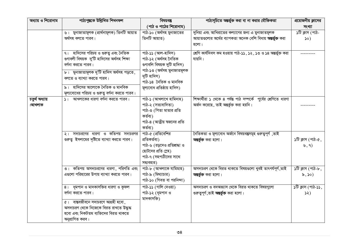| অধ্যায় ও শিরোনাম | পাঠ্যপুস্তকে উল্লিখিত শিখনফল                  | বিষয়বস্তু                                   | পাঠ্যসূচিতে অন্তৰ্ভুক্ত করা বা না করার যৌক্তিকতা                   | প্রয়োজনীয় ক্লাসের            |
|-------------------|-----------------------------------------------|----------------------------------------------|--------------------------------------------------------------------|--------------------------------|
|                   |                                               | (পাঠ ও পাঠের শিরোনাম)                        |                                                                    | সংখ্যা                         |
|                   | ৬। মুনাজাতামূলক (প্রার্থনামূলক) তিনটি আয়াত   | পাঠ-১০ (অৰ্থসহ মুনাজাতের                     | দুনিয়া এবং আখিরাতের কল্যাণের জন্য এ মুনাজাতমূলক                   | ১টি ক্লাস (পাঠ-                |
|                   | অৰ্থসহ বলতে পারব।                             | তিনটি আয়াত)                                 | আয়াতগুলোর অর্থের ব্যাপকতা অনেক বেশি বিধায় <b>অন্তর্ভুক্ত</b> করা | $\infty)$                      |
|                   |                                               |                                              | হলো।                                                               |                                |
|                   | ৭। হাদিসের পরিচয় ও গুরুত্ব এবং নৈতিক         | পাঠ-১১ (আল-হাদিস)                            | শ্রেণি কার্যদিবস কম হওয়ায় পাঠ-১১, ১২, ১৩ ও ১৪ অন্তর্ভুক্ত করা    |                                |
|                   | গুণাবলী বিষয়ক দু'টি হাদিসের অর্থসহ শিক্ষা    | পাঠ-১২ (অৰ্থসহ নৈতিক                         | যায়নি।                                                            |                                |
|                   | বর্ণনা করতে পারব।                             | গুণাবলি বিষয়ক দুটি হাদিস)                   |                                                                    |                                |
|                   | ৮। মুনাজাতামূলক দু'টি হাদিস অর্থসহ পড়তে,     | পাঠ-১৩ (অৰ্থসহ মুনাজাতমূলক                   |                                                                    |                                |
|                   | বলতে ও ব্যাখ্যা করতে পারব।                    | দুটি হাদিস)<br>পাঠ-১৪ নৈতিক ও মানবিক         |                                                                    |                                |
|                   | হাদিসের আলোকে নৈতিক ও মানবিক                  | মূল্যবোধ প্রতিষ্ঠায় হাদিস)                  |                                                                    |                                |
|                   | মূল্যবোধের পরিচয় ও গুরুত্ব বর্ণনা করতে পারব। |                                              |                                                                    |                                |
| চতুৰ্থ অধ্যায়    | $ S $ আখলাকের ধারণা বর্ণনা করতে পারব।         | পাঠ-১ (আখলাখে হামিদাহ)                       | শিক্ষার্থীরা ১ থেকে ৪ পর্যন্ত পাঠ সম্পর্কে পূর্বের শ্রেণিতে ধারণা  |                                |
| :আখলাক            |                                               | পাঠ-২ (সত্যবাদিতা)                           | অৰ্জন করেছে, তাই অন্তৰ্ভুক্ত করা হয়নি।                            |                                |
|                   |                                               | পাঠ-৩ (পিতা মাতার প্রতি                      |                                                                    |                                |
|                   |                                               | কৰ্তব্য)                                     |                                                                    |                                |
|                   |                                               | পাঠ-৪ (আত্নীয় ম্বজনের প্রতি                 |                                                                    |                                |
|                   |                                               | কৰ্তব্য)                                     |                                                                    |                                |
|                   | ২। সদাচরণের ধারণা ও কতিপয় সদাচরণর            | পাঠ-৫ (প্রতিবেশির                            | নৈতিকতা ও মূল্যবোধ অৰ্জনে বিষয়বস্তুসমূহ গুরুত্বপূর্ণ ,তাই         |                                |
|                   | গুরুত্ব ইসলামের দৃষ্টিতে ব্যাখ্যা করতে পারব।  | প্ৰতিকৰ্তব্য)                                | অন্তর্ভুক্ত করা হলো।                                               | ১টি ক্লাস (পাঠ-৫,              |
|                   |                                               | পাঠ-৬ (রড়দেও প্রতিশ্রদ্ধা ও                 |                                                                    | $\mathfrak{b}, \mathfrak{q}$ ) |
|                   |                                               | ছোটদের প্রতি স্লেহ)<br>পাঠ-৭ (সহপাঠীদের সাথে |                                                                    |                                |
|                   |                                               | সদ্যবহার)                                    |                                                                    |                                |
|                   | ৩। কতিপয় অসদাচরণের ধারণা, পরিণতি এবং         | পাঠ-৮ (আখলাকে যামিমাহ)                       | অসদাচরণ থেকে বিরত থাকতে বিষয়গুলো খুবই তাৎপর্যপূর্ণ ,তাই           | ১টি ক্লাস (পাঠ-৮,              |
|                   | এগুলো পরিহারের উপায় ব্যাখ্যা করতে পারব।      | পাঠ-৯ (মিথ্যাচার)                            | অন্তর্ভুক্ত করা হলো।                                               | $\delta$ , $\delta$ o)         |
|                   |                                               | পাঠ-১০ (গিবত বা পরনিন্দা)                    |                                                                    |                                |
|                   | 8। ধূমপান ও মাদকাসক্তির ধারণা ও কুফল          | পাঠ-১১ (গালি দেওয়া)                         | অসদাচরণ ও বদঅভ্যাস থেকে বিরত থাকতে বিষয়গুলো                       | ১টি ক্লাস (পাঠ-১১,             |
|                   | বর্ণনা করতে পারব।                             | পাঠ-১২ (ধূমপান ও                             | গুরুত্বপূর্ণ,তাই <b>অন্তর্ভুক্ত</b> করা হলো।                       | 52)                            |
|                   | $\alpha$ । বান্তবজীবনে সদাচরণে অগ্রহী হবো,    | মাদকাসক্তি)                                  |                                                                    |                                |
|                   | অসদাচরণ থেকে নিজেকে বিরত রাখতে উদ্ধুদ্ধ       |                                              |                                                                    |                                |
|                   | হবো এবং নিকটতম ব্যক্তিদের বিরত থাকতে          |                                              |                                                                    |                                |
|                   | অনুপ্রাণিত করব।                               |                                              |                                                                    |                                |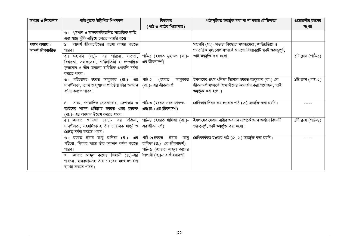| অধ্যায় ও শিরোনাম | পাঠ্যপুস্তকে উল্লিখিত শিখনফল                             | বিষয়বস্তু                 | পাঠ্যসূচিতে অন্তর্ভুক্ত করা বা না করার যৌক্তিকতা                    | প্রয়োজনীয় ক্লাসের |
|-------------------|----------------------------------------------------------|----------------------------|---------------------------------------------------------------------|---------------------|
|                   |                                                          | (পাঠ ও পাঠের শিরোনাম)      |                                                                     | সংখ্যা              |
|                   | ৬। ধূমপান ও মাদকাসক্তিজনিত সামাজিক ক্ষতি                 |                            |                                                                     |                     |
|                   | এবং স্বাস্থ্য ঝুঁকি এড়িয়ে চলতে আগ্রহী হবো।             |                            |                                                                     |                     |
| পঞ্চম অধ্যায়:    | ১। আদর্শ জীবনচরিতের ধারণা ব্যাখ্যা করতে                  |                            | মহানবি (স.)- সততা বিশ্বস্ততা সমাজসেবা, শান্তিপ্ৰতিষ্ঠা ও            |                     |
| আদৰ্শ জীবনচরিত    | পারব।                                                    |                            | গণতান্ত্রিক মূল্যবোধ সম্পর্কে জানতে বিষয়বস্তুটি খুবই গুরুত্বপূর্ণ, |                     |
|                   | ২। মহানবি (স.)- এর পরিচয়, সততা,                         | পাঠ-১ (হযরত মুহাম্মদ (স.)- | তাই <b>অন্তৰ্ভুক্ত</b> করা হলো।                                     | ১টি ক্লাস (পাঠ-১)   |
|                   | বিশ্বস্ততা, সমাজসেবা, শান্তিপ্ৰতিষ্ঠা ও গণতান্ত্ৰিক      | এর জীবনাদর্শ)              |                                                                     |                     |
|                   | মূল্যবোধ ও তাঁর অন্যান্য চারিত্রিক গুণাবলি বর্ণনা        |                            |                                                                     |                     |
|                   | করতে পারব।                                               |                            |                                                                     |                     |
|                   | ৩। পরিচয়সহ হযরত আবুবকর (রা.)- এর                        | পাঠ-২<br>(হযরত<br>আবুবকর   | ইসলামের প্রথম খলিফা হিসেবে হযরত আবুবকর (রা.) এর                     | ১টি ক্লাস (পাঠ-২)   |
|                   | দানশীলতা , ত্যাগ ও সুশাসন প্রতিষ্ঠায় তাঁর অবদান         | (রা.)- এর জীবনাদর্শ        | জীবনাদর্শ সম্পর্কে শিক্ষার্থীদের জ্ঞানার্জন করা প্রয়োজন , তাই      |                     |
|                   | বর্ণনা করতে পারব।                                        |                            | অন্তর্ভুক্ত করা হলো।                                                |                     |
|                   |                                                          |                            |                                                                     |                     |
|                   | $\overline{8}$ । সাম্য, গণতান্ত্রিক চেতনাবোধ, দেশপ্রেম ও | পাঠ-৩ (হযরত ওমর ফারুক-     | শ্রেণিকার্য দিবস কম হওয়ায় পাঠ (৩) অন্তর্ভুক্ত করা হয়নি।          |                     |
|                   | আইনের শাসন প্রতিষ্ঠায় হযরত ওমর ফারুক                    | এর(রা.) এর জীবনাদর্শ)      |                                                                     |                     |
|                   | (রা.)- এর অবদান উল্লেখ করতে পারব।                        |                            |                                                                     |                     |
|                   | ৫। হযরত খাদিজা (রা.)- এর পরিচয়,                         | পাঠ-৪ (হযরত খাদিজা (রা.)-  | ইসলামের সেবায় নারীর অবদান সম্পর্কে জ্ঞান অর্জনে বিষয়টি            | ১টি ক্লাস (পাঠ-৪)   |
|                   | দানশীলতা, সহমর্মিতাসহ তাঁর চারিত্রিক মাধুর্য ও           | এর জীবনাদর্শ)              | গুরুত্বপূর্ণ, তাই <b>অন্তর্ভুক্ত</b> করা হলো।                       |                     |
|                   | শ্রেষ্ঠতু বর্ণনা করতে পারব।                              |                            |                                                                     |                     |
|                   | ৬। হযরত ইমাম আবু হানিফা (র.)- এর                         | পাঠ-৫(হযরত ইমাম আবু        | শ্রেণিকার্যকম হওয়ায় পাঠ (৫, ৬) অন্তর্ভুক্ত করা হয়নি।             |                     |
|                   | পরিচয়, ফিকাহ শাস্ত্রে তাঁর অবদান বর্ণনা করতে            | হানিফা (র.)- এর জীবনাদর্শ) |                                                                     |                     |
|                   | পারব।                                                    | পাঠ-৬ (হযরত আব্দুল কাদের   |                                                                     |                     |
|                   | ৭। হযরত আব্দুল কাদের জিলানী (র.)-এর                      | জিলানী (র.)-এর জীবনাদর্শ)  |                                                                     |                     |
|                   | পরিচয়, মানবপ্রেমসহ তাঁর চরিত্রের মহৎ গুণাবলি            |                            |                                                                     |                     |
|                   | ব্যাখ্যা করতে পারব।                                      |                            |                                                                     |                     |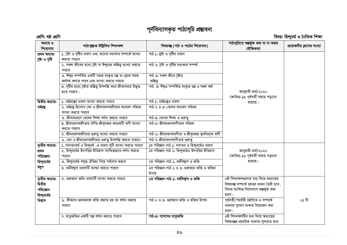# পূৰ্নবিন্যাসকৃত পাঠ্যসূচি প্ৰম্ভাবনা

|                                                          | শ্ৰেণি: ষষ্ঠ শ্ৰেণি<br>বিষয়: হিন্দুধৰ্ম ও নৈতিক শিক্ষা                                             |                                                        |                                                                                                                                         |                            |
|----------------------------------------------------------|-----------------------------------------------------------------------------------------------------|--------------------------------------------------------|-----------------------------------------------------------------------------------------------------------------------------------------|----------------------------|
| অধ্যায় ও<br>শিরোনাম                                     | পাঠ্যপুস্তকে উল্লিখিত শিখনফল                                                                        | বিষয়বস্তু (পাঠ ও পাঠের শিরোনাম)                       | পাঠ্যসুচিতে অন্তর্ভুক্ত করা বা না করার<br>যৌক্তিকতা                                                                                     | প্রয়োজনীয় ক্লাসের সংখ্যা |
| প্ৰথম অধ্যায়:<br>শ্ৰষ্টা ও সৃষ্টি                       | ১. স্রষ্টা ও সৃষ্টির ধারণা এবং তাদের মধ্যকার সম্পর্কে ব্যাখ্যা<br>করতে পারবে                        | পাঠ ১: স্রষ্টা ও সৃষ্টির ধারনা                         |                                                                                                                                         |                            |
|                                                          | ২. সকল জীবের মধ্যে শ্রষ্টা বা ঈশ্বরের অস্তিত্ব ব্যাখ্যা করতে<br>পারবে                               | পাঠ ২: শ্রষ্টা ও সৃষ্টির মধ্যকার সম্পর্ক               |                                                                                                                                         |                            |
|                                                          | ৩. ঈশ্বর সম্পর্কিত একটি সহজ সংষ্কৃত মন্ত্র বা শ্লোক সহজ<br>অৰ্থসহ বলতে পারব এবং ব্যাখ্যা করতে পারবে | পাঠ ৩: সকল জীবে শ্ৰষ্টার<br>অন্তিত্ব                   |                                                                                                                                         |                            |
|                                                          | ৪. সৃষ্টির মধ্যে স্রষ্টার অন্তিত্ব উপলব্ধি করে জীবসেবায় উদ্ধুদ্ধ<br>হতে পারবে।                     | পাঠ ৪: ঈশুও সম্পর্কিত সংস্কৃত মন্ত্র ও সরল অর্থ        | জানুয়ারী-মার্চ/২০২০<br>কোভিড-১৯ পূর্ববর্তী সময়ে পড়ানো                                                                                |                            |
| দ্বিতীয় অধ্যায়:                                        | ১. ধর্মগ্রহের ধারণা ব্যাখ্যা করতে পারবে                                                             | পাঠ ১: ধর্মগ্রন্থেও ধারণা                              | হয়েছে।                                                                                                                                 |                            |
| ধৰ্মহা                                                   | ২. ধর্মগ্রন্থ হিসেবে বেদ ও শ্রীমদূভগবদ্গীতার সাধারণ পরিচয়<br>ব্যাখ্যা করতে পারবে                   | পাঠ ২ ও ৩: বেদের সাধারণ পরিচয়                         |                                                                                                                                         |                            |
|                                                          | ৩. জীবনাচরণে বেদের শিক্ষা বর্ণনা করতে পারবে                                                         | পাঠ ৪: বেদের শিক্ষা ও গুরুতু                           |                                                                                                                                         |                            |
|                                                          | ৪. শ্রীমদ্ভগবদ্গীতায় বর্ণিত শ্রীকৃষ্ণের কয়েকটি বাণী ব্যাখ্যা<br>করতে পারবে                        | পাঠ ৫: শ্রীমদভগবদগীতার পরিচয়                          |                                                                                                                                         |                            |
|                                                          | ৫. শ্রীমদৃভগবদ্গীতার গুরুত্ব ব্যাখ্যা করতে পারবে                                                    | পাঠ ৬: শ্রীমদ্ভগবদ্গীতা ও শ্রীকৃষ্ণের মুখনিঃসৃত বাণী   |                                                                                                                                         |                            |
|                                                          | ৬. বেদ ও শ্রীমদ্ভগবদ্গীতার গুরুত্ব উপলব্ধি করতে পারবে।                                              | পাঠ ৭: শ্রীমদ্ভগবদ্গীতার গুরুত্ব                       |                                                                                                                                         |                            |
| তৃতীয় অধ্যায়:                                          | ১. সনাতনধর্ম ও হিন্দুধর্ম -এ ধারণা দুটি ব্যাখ্যা করতে পারবে                                         | ১ম পরিচ্ছদ-পাঠ ১: সনাতন ও হিন্দুধর্মেও ধারণা           |                                                                                                                                         |                            |
| প্ৰথম                                                    | ২. হিন্দুধর্মের উৎপত্তির ইতিহাস সংক্ষিপ্তভাবে বর্ণনা করতে                                           | ১ম পরিচ্ছদ-পাঠ ২: হিন্দুধর্মেও উৎপত্তির ইতিহাস         | জানুয়ারী-মার্চ/২০২০                                                                                                                    |                            |
| পরিচ্ছেদ:                                                | পারবে                                                                                               |                                                        | কোভিড-১৯ পূর্ববর্তী সময়ে পড়ানো                                                                                                        |                            |
| হিন্দুধর্মের                                             | ৩. হিন্দুধর্মের সমৃদ্ধ ঐতিহ্য নিয়ে গর্ববোধ করবে                                                    | ২য় পরিচ্ছদ-পাঠ ১: ধর্মবিশ্বাস ও ভক্তি                 | হয়েছে।                                                                                                                                 |                            |
| ম্বরূপ                                                   | ৪. ধর্মবিশ্বাস ধারণাটি ব্যাখ্যা করতে পারবে                                                          | ২য় পরিচ্ছদ-পাঠ ২ ও ৩: গুরুজনে ভক্তি ও ভক্তির<br>উপায় |                                                                                                                                         |                            |
| তৃতীয় অধ্যায়:<br>দ্বিতীয়<br>পরিচ্ছেদ:<br>হিন্দুধর্মের | ৫. গুরুজনে ভক্তি ধারণাটি ব্যাখ্যা করতে পারবে                                                        | ২য় পরিচ্ছদ-পাঠ-১: ধর্মবিশ্বাস ও ভক্তি                 | এই শিখনফলগুলোর মধ্য দিয়ে অধ্যায়ের<br>বিষয়বস্তু সম্পর্কে বৃহত্তর ধারনা তৈরী হবে,<br>বিধায় সংক্ষিপ্ত সিলেবাসে অন্তৰ্ভূক্ত করা<br>হলো। |                            |
| বিশ্বাস                                                  | ৬. কীভাবে গুরুজনকে ভক্তি করতে হয় তা বর্ণনা করতে<br>পারবে                                           | পাঠ ২ ও ৩: গুরুজনে ভক্তি ও ভক্তির উপায়                | পূর্ববর্তী/পরর্বতী শ্রেণিতে এ সম্পর্কে<br>ধারনার সুযোগ থাকায় বিয়োজন করা<br>হলো।                                                       | ০১ টি                      |
|                                                          | ৭. মাতৃভক্তির একটি গল্প বর্ণনা করতে পারবে                                                           | পাঠ-৪: গণেশের মাতৃভক্তি                                | এই শিখনফলটির মধ্য দিয়ে অধ্যায়ের<br>বিষয়বস্তুর প্রাথমিক ধারণার সুসংহত হবে                                                             |                            |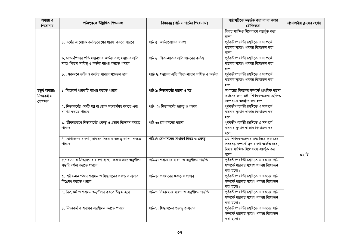| অধ্যায় ও<br>শিরোনাম                     | পাঠ্যপুস্তকে উল্লিখিত শিখনফল                                                                                  | বিষয়বস্তু (পাঠ ও পাঠের শিরোনাম)                     | পাঠ্যসুচিতে অন্তর্ভুক্ত করা বা না করার<br>যৌক্তিকতা                                                                                   | প্রয়োজনীয় ক্লাসের সংখ্যা |
|------------------------------------------|---------------------------------------------------------------------------------------------------------------|------------------------------------------------------|---------------------------------------------------------------------------------------------------------------------------------------|----------------------------|
|                                          |                                                                                                               |                                                      | বিধায় সংক্ষিপ্ত সিলেবাসে অন্তৰ্ভূক্ত করা<br>হলো।                                                                                     |                            |
|                                          | ৮. ধর্মের আলোকে কর্তব্যবোধের ধারণা করতে পারবে                                                                 | পাঠ ৫: কর্তব্যবোধের ধারণা                            | পূর্ববর্তী/পরর্বতী শ্রেণিতে এ সম্পর্কে<br>ধারনার সুযোগ থাকায় বিয়োজন করা<br>হলো।                                                     |                            |
|                                          | ৯. মাতা-পিতার প্রতি সম্ভানদের কর্তব্য এবং সম্ভানের প্রতি<br>মাতা-পিতার দায়িত্ব ও কর্তব্য ব্যাখ্যা করতে পারবে | পাঠ ৬: পিতা-মাতার প্রতি সম্ভানের কর্তব্য             | পূর্ববর্তী/পরর্বতী শ্রেণিতে এ সম্পর্কে<br>ধারনার সুযোগ থাকায় বিয়োজন করা<br>হলো।                                                     |                            |
|                                          | ১০. গুরুজনে ভক্তি ও কর্তব্য পালনে সচেতন হবে।                                                                  | পাাঠ ৭: সম্ভানের প্রতি পিতা-মাতার দায়িত্ব ও কর্তব্য | পূর্ববর্তী/পরর্বতী শ্রেণিতে এ সম্পর্কে<br>ধারনার সুযোগ থাকায় বিয়োজন করা<br>হলো।                                                     |                            |
| চতুৰ্থ অধ্যায়:<br>নিত্যকর্ম ও<br>যোগাসন | ১. নিত্যকর্ম ধারণাটি ব্যাখ্যা করতে পারবে                                                                      | পাঠ-১: নিত্যকর্মের ধারণা ও মন্ত্র                    | অধ্যায়ের বিষয়বস্তু সম্পর্কে প্রাথমিক ধারণা<br>অর্জনের জন্য এই শিখনফলগুলো সংক্ষিপ্ত<br>সিলেবাসে অন্তর্ভূক্ত করা হলো।                 |                            |
|                                          | ২. নিত্যকর্মের একটি মন্ত্র বা শ্লোক সরলার্থসহ বলতে এবং<br>ব্যাখ্যা করতে পারবে                                 | পাঠ- ২: নিত্যকর্মের গুরুত্ব ও প্রভাব                 | পূর্ববর্তী/পরর্বতী শ্রেণিতে এ সম্পর্কে<br>ধারনার সুযোগ থাকায় বিয়োজন করা<br>হলো।                                                     |                            |
|                                          | ৩. জীবনাচরণে নিত্যকর্মের গুরুত্ব ও প্রভাব বিশ্লেষণ করতে<br>পারবে                                              | পাঠ-৩: যোগাসনের ধারণা                                | পূর্ববর্তী/পরর্বতী শ্রেণিতে এ সম্পর্কে<br>ধারনার সুযোগ থাকায় বিয়োজন করা<br>হলো।                                                     |                            |
|                                          | ৪. যোগাসনের ধারণা, সাধারণ নিয়ম ও গুরুত্ব ব্যাখ্যা করতে<br>পারবে                                              | পাঠ-৪: যোগাসনের সাধারণ নিয়ম ও গুরুত্ব               | এই শিখনফলগুলোর মধ্য দিয়ে অধ্যায়ের<br>বিষয়বস্তু সম্পর্কে মূল ধারণা অর্জিত হবে,<br>বিধায় সংক্ষিপ্ত সিলেবাসে অন্তৰ্ভূক্ত করা<br>হলো। | ০২ টি                      |
|                                          | ৫.শবাসন ও সিদ্ধাসনের ধারণা ব্যাখ্যা করতে এবং অনুশীলন<br>পদ্ধতি বৰ্ণনা করতে পারবে                              | পাঠ-৫: শবাসনের ধারণা ও অনুশীলন পদ্ধতি                | পূর্ববর্তী/পরর্বতী শ্রেণিতে এ ধরনের পাঠ<br>সম্পর্কে ধারনার সুযোগ থাকায় বিয়োজন<br>করা হলো।                                           |                            |
|                                          | ৬. শরীর-মন গঠনে শবাসন ও সিদ্ধাসনের গুরুত্ব ও প্রভাব<br>বিশ্লেষণ করতে পারবে                                    | পাঠ-৬: শবাসনের গুরুত্ব ও প্রভাব                      | পূর্ববর্তী/পরর্বতী শ্রেণিতে এ ধরনের পাঠ<br>সম্পর্কে ধারনার সুযোগ থাকায় বিয়োজন<br>করা হলো।                                           |                            |
|                                          | ৭. নিত্যকর্ম ও শবাসন অনুশীলন করতে উদ্ধুদ্ধ হবে                                                                | পাঠ-৭: সিদ্ধাসনের ধারণা ও অনুশীলন পদ্ধতি             | পূর্ববর্তী/পরর্বতী শ্রেণিতে এ ধরনের পাঠ<br>সম্পর্কে ধারনার সুযোগ থাকায় বিয়োজন<br>করা হলো।                                           |                            |
|                                          | ৮. নিত্যকর্ম ও শবাসন অনুশীলন করতে পারবে।                                                                      | পাঠ-৮: সিদ্ধাসনের গুরুত্ব ও প্রভাব                   | পূর্ববর্তী/পরর্বতী শ্রেণিতে এ ধরনের পাঠ<br>সম্পর্কে ধারনার সুযোগ থাকায় বিয়োজন<br>করা হলো।                                           |                            |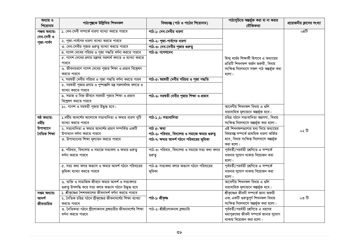| অধ্যায় ও<br>শিরোনাম         | পাঠ্যপুস্তকে উল্লিখিত শিখনফল                                  | বিষয়বম্ভ (পাঠ ও পাঠের শিরোনাম)                 | পাঠ্যসুচিতে অন্তর্ভুক্ত করা বা না করার<br>যৌক্তিকতা | প্রয়োজনীয় ক্লাসের সংখ্যা |
|------------------------------|---------------------------------------------------------------|-------------------------------------------------|-----------------------------------------------------|----------------------------|
| পঞ্চম অধ্যায়:<br>দেব-দেবী ও | ১. দেব-দেবী সম্পর্কে ধারণা ব্যাখ্যা করতে পারবে                | পাঠ-১: দেব-দেবীর ধারণা                          |                                                     | $\overline{0}$ 8টি         |
| পূজা-পার্বণ                  | ২. পূজা-পার্বণের ধারণা ব্যাখ্যা করতে পারবে                    | পাঠ-২: পূজা-পার্বণের ধারণা                      |                                                     |                            |
|                              | ৩. দেব-দেবীর পূজার গুরুত্ব ব্যাখ্যা করতে পারবে                | পাঠ-৩: দেব-দেবীর পূজার গুরুত্ব                  |                                                     |                            |
|                              | ৪. গণেশ দেবের পরিচয় ও পূজা পদ্ধতি বর্ণনা করতে পারবে          | পাঠ-৪: গণেশদেব                                  |                                                     |                            |
|                              | ৫. গণেশ দেবের প্রণাম মন্ত্রসহ সরলার্থ বলতে ও ব্যাখ্যা করতে    |                                                 | হিন্দু ধর্মের শিক্ষার্থী হিসাবে এ অধ্যায়ের         |                            |
|                              | পারবে                                                         |                                                 | প্রতিটি শিখনফল অর্জন জরুরী, বিধায়                  |                            |
|                              | ৬. জীবনাচরণে গণেশ দেবের পূজার শিক্ষা ও প্রভাব বিশ্লেষণ        |                                                 | সংক্ষিপ্ত সিলেবাসে সকল পাঠ অন্তৰ্ভূক্ত করা          |                            |
|                              | করতে পারবে                                                    |                                                 | হলো।                                                |                            |
|                              | ৭. সরন্বতী দেবীর পরিচয় ও পূজা পদ্ধতি বর্ণনা করতে পারব        | পাঠ-৫: ম্বরম্বতী দেবীর পরিচয় ও পূজা পদ্ধতি     |                                                     |                            |
|                              | ৮. সরন্বতী পূজার প্রণাম ও পুষ্পাঞ্জলি মন্ত্র সরলার্থসহ বলতে ও |                                                 |                                                     |                            |
|                              | ব্যাখ্যা করতে পারবে                                           |                                                 |                                                     |                            |
|                              | ৯. সমাজ ও নিজ জীবনে সরন্বতী পূজার শিক্ষা ও প্রভাব             | পাঠ-৬: সরন্বতী দেবীর পূজার শিক্ষা ও প্রভাব      |                                                     |                            |
|                              | বিশ্লেষণ করতে পারবে                                           |                                                 |                                                     |                            |
|                              | ১০. গণেশ ও সরম্বতী পূজায় উদ্ধুদ্ধ হবে।                       |                                                 | আবেগীয় শিখনফল বিধায় এ গুলি                        |                            |
|                              |                                                               |                                                 | ধারাবাহিক মূল্যায়নে অন্তর্ভূক্ত হবে।               |                            |
| $\overline{3b}$ অধ্যায়:     | ১.ধর্মীয় আদর্শের আলোকে সত্যবাদিতা ও ক্ষমার ধারণা দুটি        | পাঠ-১,২: সত্যবাদিতা                             | চরিত্র গঠনে সত্যবাদিতা অগ্রগণ্য, বিধায়             |                            |
| ধৰ্মীয়                      | ব্যাখ্যা করতে পারবে                                           |                                                 | সংক্ষিপ্ত সিলেবাসে অন্তর্ভূক্ত করা হলো।             |                            |
| উপাখ্যানে                    | ২. সত্যবাদিতা ও ক্ষমার আদর্শের প্রমাণ সম্পর্কিত একটি          | পাঠ ৫: ক্ষমা                                    | এই শিখনফলগুলোর মধ্য দিয়ে অধ্যায়ের                 | ০২ টি                      |
| নৈতিক শিক্ষা                 | উপাখ্যান বৰ্ণনা করতে পারবে                                    | পাঠ-৬: পরিবার, বিদ্যালয় ও সমাজে ক্ষমার গুরুত্ব | বিষয়বন্তু সম্পৰ্কে প্ৰাথমিক ধারণা অৰ্জিত           |                            |
|                              | ৩. উপাখ্যানের শিক্ষা মূল্যায়ন করতে পারবে                     | পাঠ-৭: ক্ষমার আদর্শ গঠনে পরিবারের ভূমিকা        | হবে, বিধায় সংক্ষিপ্ত সিলেবাসে অন্তৰ্ভূক্ত          |                            |
|                              |                                                               |                                                 | করা হলো।                                            |                            |
|                              | ৪. পরিবার, বিদ্যালয় ও সমাজে সত্যবলা ও ক্ষমার গুরুত্ব         | পাঠ-৩: পরিবার, বিদ্যালয় ও সমাজে সত্য কথা বলার  | পূর্ববর্তী/পরর্বতী শ্রেণিতে এ সম্পর্কে              |                            |
|                              | বর্ণনা করতে পারবে                                             | গুরুতু                                          | ধারনার সুযোগ থাকায় বিয়োজন করা                     |                            |
|                              |                                                               |                                                 | হলো।                                                |                            |
|                              | ৫. সত্য কথা বলার অভ্যাস ও ক্ষমার আদর্শ গঠনে পরিবারের          | পাঠ-৪: সত্যকথা বলার অভ্যাস গঠনে পরিবারের        | পূর্ববর্তী/পরর্বতী শ্রেণিতে এ সম্পর্কে              |                            |
|                              | ভূমিকা ব্যাখ্যা করতে পারবে                                    | ভূমিকা                                          | ধারনার সুযোগ থাকায় বিয়োজন করা                     |                            |
|                              |                                                               |                                                 | হলো।                                                |                            |
|                              | ৬. ব্যক্তি ও সামাজিক জীবনে ক্ষমার আদর্শ ও সত্যবলার            |                                                 | আবেগীয় শিখনফল বিধায় এ গুলি                        |                            |
|                              | গুরুত্ব উপলদ্ধি করে সত্য বলার অভ্যাস গঠনে উদ্ধুদ্ধ হবে        |                                                 | ধারাবাহিক মূল্যায়নে অন্তর্ভূক্ত হবে।               |                            |
| সপ্তম অধ্যায়:               | ১. শ্রীকৃষ্ণের শৈশবকালের জীবনাদর্শ বর্ণনা করতে পারবে          |                                                 | শ্রীকৃষ্ণের জীবনী সম্পর্কে জানা জরুরী               |                            |
| আদৰ্শ                        | ২. নৈতিক চরিত্র গঠনে শ্রীকৃষ্ণের জীবনাদর্শের শিক্ষা ব্যাখ্যা  | পাঠ-১: শ্ৰীকৃষ্ণ                                | এবং একটি গুরুত্বপূর্ণ শিখনফল বিধায়                 | ০৩ টি                      |
| জীবনচরিত                     | করতে পারবে                                                    |                                                 | সংক্ষিপ্ত সিলেবাসে অন্তর্ভূক্ত করা হলো।             |                            |
|                              | ৩. নৈতিকতা গঠনে শ্রীলোকনাথ ব্রহ্মচারীর জীবনাদর্শের শিক্ষা     | পাঠ-২: শ্রীশ্রীলোকনাথ ব্রহ্মচারি                | পূর্ববর্তী/পরর্বতী শ্রেণিতে এ ধরণের                 |                            |
|                              | বৰ্ণনা করতে পারবে                                             |                                                 | মহাপুরুষের জীবনী সম্পর্কে জানার সুযোগ               |                            |
|                              |                                                               |                                                 | থাকায় বিয়োজন করা হলো।                             |                            |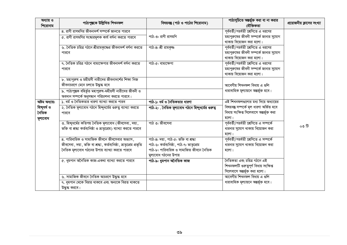| অধ্যায় ও<br>শিরোনাম                                | পাঠ্যপুস্তকে উল্লিখিত শিখনফল                                                                                                                                                                         | বিষয়বস্তু (পাঠ ও পাঠের শিরোনাম)                                                                                                                 | পাঠ্যসুচিতে অন্তর্ভুক্ত করা বা না করার<br>যৌক্তিকতা                                                                                  | প্রয়োজনীয় ক্লাসের সংখ্যা |
|-----------------------------------------------------|------------------------------------------------------------------------------------------------------------------------------------------------------------------------------------------------------|--------------------------------------------------------------------------------------------------------------------------------------------------|--------------------------------------------------------------------------------------------------------------------------------------|----------------------------|
|                                                     | ৪. রাণী রাসমণির জীবনাদর্শ সম্পর্কে জানতে পারবে<br>৫. রাণী রাসমণির সংষ্কারমূলক কার্য বর্ণনা করতে পারবে                                                                                                | পাঠ-৩: রাণী রাসমণি                                                                                                                               | পূর্ববর্তী/পরর্বতী শ্রেণিতে এ ধরণের<br>মহাপুরুষের জীবনী সম্পর্কে জানার সুযোগ<br>থাকায় বিয়োজন করা হলো।                              |                            |
|                                                     | ৬. নৈতিক চরিত্র গঠনে শ্রীরামকৃষ্ণের জীবনাদর্শ বর্ণনা করতে<br>পারবে                                                                                                                                   | পাঠ-৪: শ্রী রামকৃষ্ণ                                                                                                                             | পূর্ববর্তী/পরর্বতী শ্রেণিতে এ ধরণের<br>মহাপুরুষের জীবনী সম্পর্কে জানার সুযোগ<br>থাকায় বিয়োজন করা হলো।                              |                            |
|                                                     | ৭. নৈতিক চরিত্র গঠনে বামাক্ষেপার জীবনাদর্শ বর্ণনা করতে<br>পারবে                                                                                                                                      | পাঠ-৫: বামাক্ষেপা                                                                                                                                | পূর্ববর্তী/পরর্বতী শ্রেণিতে এ ধরণের<br>মহাপুরুষের জীবনী সম্পর্কে জানার সুযোগ<br>থাকায় বিয়োজন করা হলো।                              |                            |
|                                                     | ৮. মহাপুরুষ ও মহীয়সী নারীদের জীবনাদর্শের শিক্ষা নিজ<br>জীবনাচরণে মেনে চলতে উদ্ধদ্ধ হবে<br>৯. পাঠ্যপুস্তক বহির্ভূত মহাপুরুষ-মহীয়সী নারীদের জীবনী ও<br>অবদান সম্পর্কে অনুসন্ধান পরিচালনা করতে পারবে। |                                                                                                                                                  | আবেগীয় শিখনফল বিধায় এ গুলি<br>ধারাবাহিক মূল্যায়নে অন্তর্ভূক্ত হবে।                                                                |                            |
| অষ্টম অধ্যায়:<br>হিন্দুধৰ্ম ও<br>নৈতিক<br>মূল্যবোধ | ১. ধর্ম ও নৈতিকতার ধারণা ব্যাখ্যা করতে পারব<br>২. নৈতিক মূল্যবোধ গঠনে হিন্দুধর্মের গুরুত্ব ব্যাখ্যা করতে<br>পারবে                                                                                    | পাঠ-১: ধর্ম ও নৈতিকতার ধারণা<br>পাঠ-২: . নৈতিক মূল্যবোধ গঠনে হিন্দুধর্মের গুরুত্ব                                                                | এই শিখনফলগুলোর মধ্য দিয়ে অধ্যায়ের<br>বিষয়বস্তু সম্পৰ্কে মূল ধারণা অৰ্জিত হবে<br>বিধায় সংক্ষিপ্ত সিলেবাসে অন্তৰ্ভূক্ত করা<br>হলো। |                            |
|                                                     | ৩. হিন্দুধর্মের কতিপয় নৈতিক মূল্যবোধ (জীবসেবা, দয়া,<br>ভক্তি বা শ্রদ্ধা কর্তব্যনিষ্ঠা ও ভ্রাতৃপ্রেম) ব্যাখ্যা করতে পারবে                                                                           | পাঠ ৩: জীবসেবা                                                                                                                                   | পূর্ববর্তী/পরর্বতী শ্রেণিতে এ সম্পর্কে<br>ধারনার সুযোগ থাকায় বিয়োজন করা<br>হলো।                                                    | ০৩ টি                      |
|                                                     | $8.$ পারিবারিক ও সামাজিক জীবনে জীবসেবার অভ্যাস,<br>জীবসেবা, দয়া, ভক্তি বা শ্রদ্ধা, কর্তব্যনিষ্ঠা, ভ্রাতৃপ্রেম প্রভৃতি<br>নৈতিক মূল্যবোধ গঠনের উপায় ব্যাখ্যা করতে পারবে                             | পাঠ-৪: দয়া, পাঠ-৫: ভক্তি বা শ্ৰদ্ধা<br>পাঠ-৬: কর্তব্যনিষ্ঠা, পাঠ-৭: ভাতৃপ্রেম<br>পাঠ-৮: পারিবারিক ও সামাজিত জীবনে নৈতিক<br>মুল্যবোধ গঠনের উপায় | পূর্ববর্তী/পরর্বতী শ্রেণিতে এ সম্পর্কে<br>ধারনার সুযোগ থাকায় বিয়োজন করা<br>হলো।                                                    |                            |
|                                                     | ৫. ধূমপান অনৈতিক কাজ-একথা ব্যাখ্যা করতে পারবে                                                                                                                                                        | পাঠ-৯: ধুমপান অনৈতিক কাজ                                                                                                                         | নৈতিকতা এবং চরিত্র গঠনে এই<br>শিখনফলটি গুরুত্বপূর্ণ বিধায় সংক্ষিপ্ত<br>সিলেবাসে অন্তর্ভূক্ত করা হলো।                                |                            |
|                                                     | ৬. সামাজিক জীবনে নৈতিক আচরণে উদ্ধুদ্ধ হবে<br>৭. ধূমপান থেকে বিরত থাকবে এবং অন্যকে বিরত থাকতে<br>উদ্ধুদ্ধ করবে।                                                                                       |                                                                                                                                                  | আবেগীয় শিখনফল বিধায় এ গুলি<br>ধারাবাহিক মূল্যায়নে অন্তর্ভূক্ত হবে।                                                                |                            |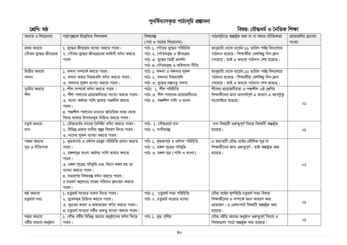# পুনৰ্বিন্যাসকৃত পাঠ্যসূচি প্ৰভাবনা

### বিষয়: বৌদ্ধধৰ্ম ও নৈতিক শিক্ষা

| শ্ৰেণি: ষষ্ঠ          |                                                        |                                    | বিষয়: বৌদ্ধধৰ্ম ও নৈতিক শিক্ষা                      |                     |
|-----------------------|--------------------------------------------------------|------------------------------------|------------------------------------------------------|---------------------|
| অধ্যায় ও শিরোনাম     | পাঠ্যপুস্তকে উল্লেখিত শিখনফল                           | বিষয়বস্তু                         | পাঠ্যসূচিতে অন্তৰ্ভূক্ত করা বা না করার যৌক্তিকতা     | প্রয়োজনীয় ক্লাসের |
|                       |                                                        | (পাঠ ও পাঠের শিরোনাম)              |                                                      | সংখ্যা              |
| প্ৰথম অধ্যায়         | ১. বুদ্ধের জীবপ্রেম ব্যাখ্যা করতে পারব।                | পাঠ: ১. গৌতম বুদ্ধের পরিচিতি       | জানুয়ারি থেকে মার্চের ১৬ তারিখ পর্যন্ত বিদ্যালয়ে   |                     |
| গৌতম বুদ্ধের জীবপ্রেম | ২. গৌতম বুদ্ধের জীবপ্রেমের কাহিনী বর্ণনা করতে          | পাঠ: ২. গৌতমবুদ্ধ ও জীবপ্ৰেম       | পাঠদান হয়েছে। শিক্ষার্থীরা বেশকিছু দিন ক্লাস        |                     |
|                       | পারব                                                   | পাঠ: ৩. বুদ্ধের মৈত্রী প্রদর্শন    | পেয়েছে। তাই এ অধ্যায় পাঠদান শেষ হয়েছে।            |                     |
|                       |                                                        | পাঠ: ৪. গৌতমবুদ্ধ ও অহিসংসা নীতি   |                                                      |                     |
| দ্বিতীয় অধ্যায়      | ১. বন্দনা সম্পৰ্কে বলতে পারব।                          | পাঠ: ১. বন্দনা ও বন্দনার সুফল      | জানুয়ারি থেকে মার্চের ১৬ তারিখ পর্যন্ত বিদ্যালয়ে   |                     |
| বন্দনা                | ২. বন্দনা করার নিয়মাবলি বর্ণনা করতে পারব।             | পাঠ: ২. বন্দনার নিয়মাবলি          | পাঠদান হয়েছে। শিক্ষার্থীরা বেশকিছু দিন ক্লাস        |                     |
|                       | ৩. বন্দনার সুফল ব্যাখ্যা করতে পারব।                    | পাঠ: ৩. বুদ্ধের দন্তধাতু বন্দনা    | পেয়েছে। তাই এ অধ্যায় পাঠদান শেষ হয়েছে।            |                     |
|                       | ১. শীল সম্পর্কে বর্ণনা করতে পারব।                      | পাঠ্য: ১. শীল পরিচিতি              | শীলের প্রয়োজনীয়তা ও পঞ্চশীল ৬ষ্ঠ শ্রেণির           |                     |
| তৃতীয় অধ্যায়<br>শীল | ২. শীল পালনের প্রয়োজনীয়তা ব্যাখ্যা করতে পারব।        | পাঠ: ৩. শীল পালনের প্রয়োজনীয়তা   | শিক্ষার্থীদের জন্য তাৎপর্যপূর্ণ এ কারণে এ অংশটুকু    |                     |
|                       | ৩. বাংলা অৰ্থসহ পালি ভাষায় পঞ্চশীল বলতে               | পাঠ: ৫. পঞ্চশীল পালি ও বাংলা       | সংযোজিত হয়েছে।                                      |                     |
|                       | পারব।                                                  |                                    |                                                      | o۵                  |
|                       | ৪. পঞ্চশীল পালনের মাধ্যমে অনৈতিক কাজ থেকে              |                                    |                                                      |                     |
|                       | বিরত থাকার উপায়সমূহ চিহ্নিত করতে পারব।                |                                    |                                                      |                     |
| চতুৰ্থ অধ্যায়        | ১. বৌদ্ধধর্মের দানের বৈশিষ্ট্য বর্ণনা করতে পারব।       | পাঠ: ১. বৌদ্ধধর্মে দান             | দান বিষয়টি গুরুত্বপূর্ণ বিধায় বিষয়টি অন্তর্ভূক্ত  |                     |
| দান                   | ২. বিভিন্ন প্রকার দানীয় বষ্টুর বিবরণ দিতে পারব।       | পাঠ: ২. দানীয়বস্তু                | হয়েছে।                                              | $\circ$             |
|                       | ৩. দানের সুফল ব্যাখ্যা করতে পারব।                      |                                    |                                                      |                     |
| পঞ্চম অধ্যায়         | ১. খুদ্দকপাঠ ও ধর্মপদ গ্রন্থের পরিচিতি প্রদান করতে     | পাঠ: ১. খুদ্দকপাঠ ও ধর্মপদ পরিচিতি | এ অধ্যায়টি বৌদ্ধ ধর্মের মৌলিক সূত্র যা              |                     |
| সূত্ৰ ও নীতিগাথা      | পারব।                                                  | পাঠ: ২. মঙ্গল সূত্রের পটভূমি       | শিক্ষার্থীদের জন্য গুরুত্বপূর্ণ। তাই অন্তর্ভুক্ত করা |                     |
|                       | ২. মঙ্গলসূত্ৰ বাংলা অৰ্থসহ পালি ভাষায় বলতে            | পাঠ: ৩. মঙ্গল সূত্ৰ (পালি ও বাংলা) | হয়েছে।                                              |                     |
|                       | পারব।                                                  |                                    |                                                      |                     |
|                       | ৩. মঙ্গল সূত্রের পটভূমি এবং কিসে মঙ্গল হয় তা          |                                    |                                                      | ০২                  |
|                       | ব্যাখ্যা করতে পারব।                                    |                                    |                                                      |                     |
|                       | ৪. দণ্ডবর্গের বিষয়বস্তু বর্ণনা করতে পারব।             |                                    |                                                      |                     |
|                       | ৫.দণ্ডবর্গ অনুসারে দণ্ডের পরিণাম মূল্যায়ন করতে        |                                    |                                                      |                     |
|                       | পারব।                                                  |                                    |                                                      |                     |
| ষষ্ঠ অধ্যায়          | ১. চতুরার্য সত্যের ধারণা দিতে পারব।                    | পাঠ: ১. চতুরার্য সত্য পরিচিতি      | বৌদ্ধ ধর্মের মূলভিত্তি চতুরার্য সত্য বিধায়          |                     |
| চতুরার্য সত্য         | ২. দুঃখসমূহ চিহ্নিত করতে পারব।                         | পাঠ: ২. চতুরার্য সত্যের ব্যাখ্যা   | শিক্ষার্থীদের এ সম্পর্কে জ্ঞান আহরণ করা              | $\circ$             |
|                       | ৩. দুঃখের কারণ ও প্রকারভেদ বর্ণনা করতে পারব।           |                                    | প্রয়োজন। এ প্রেক্ষাপটে বিষয়টি অন্তর্ভুক্ত করা      |                     |
|                       | ৪. চতুরার্য সত্যের ধর্মীয় গুরুত্ব ব্যাখ্যা করতে পারব। |                                    | হয়েছে।                                              |                     |
| সপ্তম অধ্যায়         | ১. বৌদ্ধ ধর্মীয় বিভিন্ন আচার-অনুষ্ঠানের বর্ণনা দিতে   | পাঠ: ১. বুদ্ধ পূর্ণিমা             | বৌদ্ধ ধৰ্মীয় আচার-অনুষ্ঠান গুরুত্বপূর্ণ বিধায় এ    | o)                  |
| ধৰ্মীয় আচার-অনুষ্ঠান | পারব।                                                  |                                    | বিষয়গুলো পাঠে অন্তর্ভুক্ত করা হয়েছে।               |                     |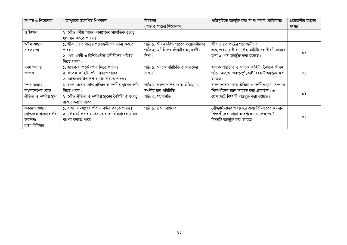| অধ্যায় ও শিরোনাম       | পাঠ্যপুস্তকে উল্লেখিত শিখনফল                             | বিষয়বস্তু                            | পাঠ্যসূচিতে অন্তৰ্ভূক্ত করা বা না করার যৌক্তিকতা      | প্রয়োজনীয় ক্লাসের |
|-------------------------|----------------------------------------------------------|---------------------------------------|-------------------------------------------------------|---------------------|
|                         |                                                          | (পাঠ ও পাঠের শিরোনাম)                 |                                                       | সংখ্যা              |
| ও উৎসব                  | ২. বৌদ্ধ ধর্মীয় আচার-অনুষ্ঠানের সামাজিক গুরুত্ব         |                                       |                                                       |                     |
|                         | মূল্যায়ন করতে পারব।                                     |                                       |                                                       |                     |
| অষ্টম অধ্যায়           | ১. জীবনচরিত পাঠের প্রয়োজনীয়তা বর্ণনা করতে              | পাঠ: ১. জীবন চরিত পাঠের প্রয়োজনীয়তা | জীবনচরিত পাঠের প্রয়োজনীয়তা                          |                     |
| চরিতমালা                | পারব।                                                    | পাঠ: ২. মনীষীদের জীবনীর অনুসরণীয়     | এবং থের- থেরী ও বৌদ্ধ মনীষীদের জীবনী জানার            | ০১                  |
|                         | ২. থের- থেরী ও বিশিষ্ট বৌদ্ধ মনীষীদের পরিচয়             | দিক।                                  | জন্য এ পাঠ অন্তৰ্ভুক্ত করা হয়েছে।                    |                     |
|                         | দিতে পারব।                                               |                                       |                                                       |                     |
| নবম অধ্যায়             | ১. জাতক সম্পৰ্কে বৰ্ণনা দিতে পারব।                       | পাঠ: ১. জাতক পরিচিতি ও জাতকের         | জাতক পরিচিতি ও জাতক কাহিনী নৈতিক জীবন                 |                     |
| জাতক                    | ২. জাতক কাহিনী বৰ্ণনা করতে পারব।                         | সংখ্যা                                | গঠনে অত্যন্ত গুরুত্বপূর্ণ,তাই বিষয়টি অন্তর্ভুক্ত করা | ০১                  |
|                         | ৩. জাতকের উপদেশ ব্যাখ্যা করতে পারব।                      |                                       | হয়েছে।                                               |                     |
| দশম অধ্যায়             | ১. বাংলাদেশের বৌদ্ধ ঐতিহ্য ও দর্শনীয় ছানের বর্ণনা       | পাঠ: ১. বাংলাদেশের বৌদ্ধ ঐতিহ্য ও     | বাংলাদেশের বৌদ্ধ ঐতিহ্য ও দর্শনীয় স্থান  সম্পর্কে    |                     |
| বাংলাদেশের বৌদ্ধ        | দিতে পারব।                                               | দর্শনীয় স্থান পরিচিতি                | শিক্ষার্থীদের জ্ঞান আহরণ করা প্রয়োজন। এ              |                     |
| ঐতিহ্য ও দর্শনীয় স্থান | ২. বৌদ্ধ ঐতিহ্য ও দর্শনীয় ষ্থানের বৈশিষ্ট্য ও গুরুতু    | পাঠ: ২. ময়নামতি                      | প্রেক্ষাপটে বিষয়টি অন্তর্ভুক্ত করা হয়েছে।           | ০১                  |
|                         | ব্যাখ্যা করতে পারব।                                      |                                       |                                                       |                     |
| একাদশ অধ্যায়           | $\mathsf{S}$ . রাজা বিম্বিসারের পরিচয় বর্ণনা করতে পারব। | পাঠ: ১. রাজা বিম্বিসার                | বৌদ্ধধর্ম প্রচার ও প্রসারে রাজা বিম্বিসারের অবদান     |                     |
| বৌদ্ধধর্মে রাজন্যবর্গের | ২. বৌদ্ধধর্ম প্রচার ও প্রসারে রাজা বিম্বিসারের ভূমিকা    |                                       | শিক্ষার্থীদের  জানা আবশ্যক। এ প্রেক্ষাপটে             |                     |
| অবদান:                  | ব্যাখ্যা করতে পারব।                                      |                                       | বিষয়টি অন্তৰ্ভুক্ত করা হয়েছে।                       | ০১                  |
| রাজা বিম্বিসার          |                                                          |                                       |                                                       |                     |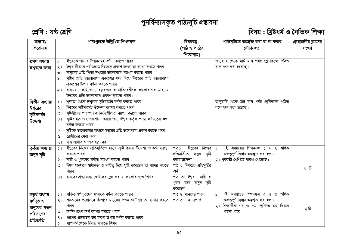# পুনৰ্বিন্যাসকৃত পাঠ্যসূচি প্ৰভ্তাবনা



# বিষয় : খ্রিষ্টধর্ম ও নৈতিক শিক্ষা

| অধ্যায়/          |                | পাঠ্যপুস্তকে উল্লিখিত শিখনফল                                            | বিষয়বস্তু                 | পাঠ্যসূচিতে অন্তৰ্ভুক্ত করা বা না করার                 | প্রয়োজনীয় ক্লাসের |
|-------------------|----------------|-------------------------------------------------------------------------|----------------------------|--------------------------------------------------------|---------------------|
| শিরোনাম           |                |                                                                         | (পাঠ ও পাঠের               | যৌক্তিকতা                                              | সংখ্যা              |
|                   |                |                                                                         | শিরোনাম)                   |                                                        |                     |
| প্ৰথম অধ্যায় :   | 51             | ঈশ্বরকে জানার উপায়সমূহ বর্ণনা করতে পারব                                |                            | জানুয়ারি থেকে মার্চ মাস পর্যন্ত শ্রেণিকক্ষে পঠিত      |                     |
| ঈশ্বরকে জানা      | $\lambda$      | ঈশ্বর কীভাবে পর্যায়ক্রমে নিজেকে প্রকাশ করেন তা ব্যাখ্যা করতে পারব      |                            | বলে গণ্য করা হয়েছে।                                   |                     |
|                   | $\circ$        | মানুষের প্রতি পিতা ঈশ্বরের ভালোবাসা ব্যাখ্যা করতে পারব                  |                            |                                                        |                     |
|                   | 8 <sub>1</sub> | সৃষ্টির প্রতি ভালোবাসা প্রকাশের মধ্য দিয়ে ঈশ্বরের প্রতি ভালোবাসা       |                            |                                                        |                     |
|                   |                | প্রকাশের উপায় বর্ণনা করতে পারব                                         |                            |                                                        |                     |
|                   | $\alpha$       | বাবা-মা, ভাইবোন, বন্ধুবান্ধব ও প্রতিবেশীকে ভালোবাসার মাধ্যমে            |                            |                                                        |                     |
|                   |                | 'ঈশ্বরের প্রতি ভালোবাসা প্রকাশ করতে পারব।                               |                            |                                                        |                     |
| দ্বিতীয় অধ্যায়: | $\mathcal{L}$  | শূন্যতা থেকে ঈশ্বরের সৃষ্টিকর্মের বর্ণনা করতে পারব                      |                            | জানুয়ারি থেকে মার্চ মাস পর্যন্ত শ্রেণিকক্ষে পঠিত      |                     |
| ঈশ্বরের           | $\geq 1$       | ঈশ্বরের সৃষ্টিকর্মের উদ্দেশ্য ব্যাখ্যা করতে পারব                        |                            | বলে গণ্য করা হয়েছে।                                   |                     |
| সৃষ্টিকর্মের      | $\circ$        | সৃষ্টজীবের পারস্পরিক নির্ভরশীলতা ব্যাখ্যা করতে পারব                     |                            |                                                        |                     |
| উদ্দেশ্য          | 8 <sub>1</sub> | সৃষ্টির যত্ন ও দেখাশোনা করার জন্য ঈশ্বর কর্তৃক প্রদত্ত দায়িত্বের কথা   |                            |                                                        |                     |
|                   |                | বৰ্ণনা করতে পারব                                                        |                            |                                                        |                     |
|                   | $\alpha$       | সৃষ্টিকে ভালোবাসার মাধ্যমে ঈশ্বরের প্রতি ভালোবাসা প্রকাশ করতে পারব      |                            |                                                        |                     |
|                   | ৬।             | রোগীদের সেবা করব                                                        |                            |                                                        |                     |
|                   | 9 <sub>1</sub> | গাছ লাগাব ও তার যত্ন নিব।                                               |                            |                                                        |                     |
| তৃতীয় অধ্যায়:   | 5 <sub>1</sub> | ঈশ্বরের নিজের প্রতিমূর্তিতে মানুষ সৃষ্টি করার উদ্দেশ্য ও অর্থ ব্যাখ্যা  |                            | পাঠ১: ঈশ্বরের নিজের  ১। এই অধ্যায়ের শিখনফল ১ ও ২ অধিক |                     |
| মানুষ সৃষ্টি      |                | করতে পারব                                                               | প্ৰতিমূৰ্তিতে মানুষ সৃষ্টি | গুরুত্বপূর্ণ বিধায় অন্তর্ভুক্ত করা হল।                |                     |
|                   | $\geq 1$       | নারী ও পুরুষের মর্যাদা ব্যাখ্যা করতে পারব                               | করার উদ্দেশ্য              | ২। পূর্ববতী শ্রেণিতে ধারণা পেয়েছে।                    |                     |
|                   | $\circ$        | ঈশ্বর মানুষকে স্বাধীনতা ও দায়িত্ব দিয়ে সৃষ্টি করেছেন তা ব্যাখ্যা করতে | পাঠ ২: ঈশুরের প্রতিমূর্তির |                                                        | ২ টি                |
|                   |                | পারব                                                                    | অৰ্থ                       |                                                        |                     |
|                   |                | ৪। বড়দের শ্রদ্ধা এবং ছোটদের স্লেহ করা ও ভালোবাসতে শিখব।                | পাঠ ৩: ঈশ্বর নারী ও        |                                                        |                     |
|                   |                |                                                                         | পুরুষ করে মানুষ সৃষ্টি     |                                                        |                     |
|                   |                |                                                                         | করেছেন                     |                                                        |                     |
| চতুৰ্থ অধ্যায় :  | 51             | পতিত ন্বৰ্গদূতদের সম্পৰ্কে বৰ্ণনা করতে পারব                             | পাঠ ২: মানুষের পতন         | ১। এই অধ্যায়ের শিখনফল ২ ও ৩ অধিক                      |                     |
| ন্বৰ্গদূত ও       | $\geq 1$       | শয়তানের প্রলোভনে কীভাবে মানুষের পতন ঘটেছিল তা ব্যাখ্যা করতে            | পাঠ ৩: আদিপাপ              | গুরুত্বপূর্ণ বিধায় অন্তর্ভুক্ত করা হল।                |                     |
| মানুষের পতন:      |                | পারব                                                                    |                            | ২। শিক্ষার্থীরা ৭ম ও ৮ম শ্রেণিতে এই বিষয়ে             | ২টি                 |
| পরিত্রাণের        | $\circ$ 1      | আদিপাপের অর্থ ব্যাখ্যা করতে পারব                                        |                            | ধারণা পাবে।                                            |                     |
| প্ৰতিশ্ৰুতি       | 8 <sub>1</sub> | পাপের প্রলোভন জয় করার উপায় বর্ণনা করতে পারব                           |                            |                                                        |                     |
|                   | $\alpha$       | পাপকৰ্ম থেকে বিরত থাকতে শিখব                                            |                            |                                                        |                     |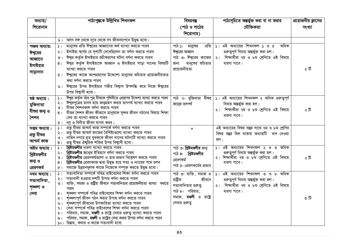| অধ্যায়/<br>শিরোনাম |                      | পাঠ্যপুস্তকে উল্লিখিত শিখনফল                                                                                   | বিষয়বস্তু<br>(পাঠ ও পাঠের | পাঠ্যসূচিতে অন্তর্ভুক্ত করা বা না করার<br>যৌক্তিকতা                                   | প্রয়োজনীয় ক্লাসের<br>সংখ্যা |
|---------------------|----------------------|----------------------------------------------------------------------------------------------------------------|----------------------------|---------------------------------------------------------------------------------------|-------------------------------|
|                     |                      |                                                                                                                | শিরোনাম)                   |                                                                                       |                               |
|                     | ৬।                   | অসৎ সঙ্গ থেকে দূরে থেকে সৎ জীবনযাপনে উদ্বুদ্ধ হবো।                                                             |                            |                                                                                       |                               |
| পঞ্চম অধ্যায়:      | $\mathcal{L}$        | মানুষের প্রতি ঈশুরের আহ্বানের অর্থ ব্যাখ্যা করতে পারব                                                          | পাঠ ১: মানুষের<br>প্ৰতি    | $ S $ এই অধ্যায়ের শিখনফল $ S $ ও ৫<br>অধিক                                           |                               |
| ঈশ্বরের             | $\frac{1}{2}$        | ইসাইয়া ম্বর্গের যে দৃশ্যটি দেখেছিলেন তা বর্ণনা করতে পারব                                                      | ঈশ্বরের আহ্বান             | গুরুতুপূর্ণ বিধায় অন্তর্ভুক্ত করা হল।                                                |                               |
| আহ্বানে             | $\circ$              | ঈশ্বর কর্তৃক ইসাইয়ার শুচীকরণের ঘটনা বর্ণনা করতে পারব                                                          | পাঠ ৩: ঈশ্বরের কাজের       | ২। শিক্ষার্থীরা ৭ম ও ৮ম শ্রেণিতে এই বিষয়ে                                            |                               |
| ইসাইয়ার            | 8 <sub>1</sub>       | ঈশ্বর কর্তৃক ইসাইয়াকে আহ্বান ও ইসাইয়ার সাড়া দানের বিষয়টি                                                   | মানুষের শুচিতার<br>জন্য    | ধারণা পাবে।                                                                           |                               |
|                     |                      | ব্যাখ্যা করতে পারব                                                                                             | প্ৰয়োজনীয়তা              |                                                                                       | ২টি                           |
| সাড়াদান            |                      | ৫।  ঈশুরের কাজে অংশগ্রহণের উদ্দেশ্যে মানুষের শুচিতার প্রয়োজনীয়তার                                            |                            |                                                                                       |                               |
|                     |                      | কথা বর্ণনা করতে পারব                                                                                           |                            |                                                                                       |                               |
|                     | ৬।                   | ঈশ্বরের উপর ইসাইয়ার গভীর বিশ্বাস উপলব্ধি করে নিজে ঈশ্বরের                                                     |                            |                                                                                       |                               |
|                     |                      | উপর বিশ্বাসী হবো।                                                                                              |                            |                                                                                       |                               |
| ষষ্ঠ অধ্যায় :      | $\frac{1}{2}$        | ঈশ্বর কর্তৃক তাঁর পুত্র যীশুকে পৃথিবীতে প্রেরণের উদ্দেশ্য ব্যাখ্যা করতে পারব                                   | পাঠ ২: মুক্তিদাতা যীণ্ডর   | ১। এই অধ্যায়ের শিখনফল ২ অধিক গুরুত্বপূর্ণ                                            |                               |
| মুক্তিদাতা          | ২।                   | 'ঈশ্বরপুত্রের মানব হয়ে জন্মগ্রহণ করার তাৎপর্য ব্যাখ্যা করতে পারব                                              | জনোর তাৎপর্য               | বিধায় অন্তৰ্ভুক্ত করা হল।                                                            |                               |
| যীশুর জন্ম ও        | $\circ$              | যীশুর শৈশবকাল বর্ণনা করতে পারব                                                                                 |                            | ২। শিক্ষার্থীরা ৭ম ও ৮ম শ্রেণিতে এই বিষয়ে                                            | ২টি                           |
|                     | 8 <sub>1</sub>       | যীশুর শৈশব জীবন কীভাবে মানুষকে সুন্দর জীবন গঠনের বিষয়ে শিক্ষা<br>দেয় তা ব্যাখ্যা করতে পারব                   |                            | ধারণা পাবে।                                                                           |                               |
| শৈশব                | ৫।                   | নম্ৰ ও বিনীত জীবন যাপন করব।                                                                                    |                            |                                                                                       |                               |
| সপ্তম অধ্যায়:      | $\geq$ 1             | প্রভূ যীশুর আশ্চর্য কাজ সম্পর্কে বর্ণনা করতে পারব                                                              | $\mathbf{x}$               | এই অধ্যায়ের বিষয় বস্তুর সাথে ৭ম ও ৮ম শ্রেণির                                        |                               |
| প্ৰভূ যীশুর         | $\geq 1$             | প্রভূ যীশুর আশ্চর্য কাজের বৈশিষ্ট্যগুলো ব্যাখ্যা করতে পারব                                                     |                            | বিষয় বস্তুর মিল থাকায় অধ্যায়টি বাদ দেওয়া                                          |                               |
|                     | ৩                    | নায়িন নগরে মৃত যুবককে জীবন দানের ঘটনাটি ব্যাখ্যা করতে পারব                                                    |                            | হল।                                                                                   |                               |
| আশ্চৰ্য কাজ         | 8 <sub>1</sub>       | প্রভু যীণ্ডর ঐশুরিক শক্তির উপর বিশ্বাসী হবো।                                                                   |                            |                                                                                       |                               |
| অষ্টম অধ্যায় :     | $\geq$ 1             | খ্রিষ্টমণ্ডলীর ধারণা ব্যাখ্যা করতে পারব                                                                        | পাঠ ৩: খ্রিষ্টমণ্ডলীর জন্ম | ১। এই অধ্যায়ের শিখনফল ২ ও ৩ অধিক                                                     |                               |
| খ্রিষ্টমণ্ডলীর      | ২।                   | খ্রিষ্টমণ্ডলীর জন্মের ইতিহাস বর্ণনা করতে পারব<br>খ্রিষ্টমণ্ডলীর প্রেরণকর্মগুলো ও তার প্রভাব বিশ্লেষণ করতে পারব | পাঠ ৪: খ্রিষ্টমণ্ডলীর      | গুরুত্বপূর্ণ বিধায় অন্তর্ভুক্ত করা হল।<br>২। শিক্ষাৰ্থীরা ৭ম ও ৮ম শ্রেণিতে এই বিষয়ে |                               |
| জন্ম ও              | ৩।<br>8 <sub>1</sub> | খ্রিষ্টমণ্ডলীর প্রেরণকাজ দ্বারা উদ্বুদ্ধ হয়ে সত্য ও ন্যায়ের পথে চলব                                          | প্রেরণকর্ম                 | ধারণা পাবে।                                                                           | ২টি                           |
| প্রেরণকর্ম          | Q                    | সমাজে উন্নয়নমূলক কাজে নিজেকে সম্পৃক্ত করতে উদ্বুদ্ধ হবো।                                                      | পাঠ ৫: প্রেরণকর্মের প্রভাব |                                                                                       |                               |
| নবম অধ্যায়:        | $\mathcal{L}$        | সত্যবাদিতা সম্পর্কে পবিত্র বাইবেলের শিক্ষা বর্ণনা করতে পারব                                                    | পাঠ ৩: ব্যক্তি, সমাজ ও     | ১। এই অধ্যায়ের শিখনফল ৩ ও ৮ অধিক                                                     |                               |
| সত্যবাদিতা,         | $\frac{1}{2}$        | সত্যবাদী হওয়ার দশটি উপায় বর্ণনা করতে পারব                                                                    | রাষ্ট্রীয়<br>জীবনে        | গুরুতুপূর্ণ বিধায় অন্তর্ভুক্ত করা হল।                                                |                               |
|                     | $\circ$              | ব্যক্তি, সমাজ ও রাষ্ট্রীয় জীবনে সত্যবাদিতার প্রয়োজনীয়তা ব্যাখ্যা করতে                                       | সত্যবাদিতার গুরুতু         | ২। শিক্ষার্থীরা ৭ম ও ৮ম শ্রেণিতে এই বিষয়ে                                            |                               |
| শৃঙ্খলা ও           |                      | পারব                                                                                                           | পাঠ ৮: পরিবার,             | ধারণা পাবে।                                                                           |                               |
| সেবা                | 8 <sub>1</sub>       | শঙ্ঘলা সম্পর্কে পবিত্র বাইবেলের শিক্ষা বর্ণনা করতে পারব                                                        | সমাজ, মণ্ডলী ও রাষ্ট্রে    |                                                                                       | ৩ টি                          |
|                     | $Q$                  | শৃঙ্খলাপূর্ণ জীবন গঠন করার উপায় বর্ণনা করতে পারব                                                              | সেবার গুরুতু               |                                                                                       |                               |
|                     | ৬।<br>9 <sub>1</sub> | শৃঙ্খলাপূর্ণ জীবনের উপকারিতা ব্যাখ্যা করতে পারব<br>সেবা সম্পর্কে পবিত্র বাইবেলের শিক্ষা বর্ণনা করতে পারব       |                            |                                                                                       |                               |
|                     | ৮                    | পরিবার, সমাজ, <b>মণ্ডলী</b> ও রাষ্ট্রে সেবার গুরুত্ব ব্যাখ্যা করতে পারব                                        |                            |                                                                                       |                               |
|                     | ৯।                   | পরিবার, সমাজ, <b>মঞ্জ্লী</b> ও রাষ্ট্রের সেবা করার উপায় বর্ণনা করতে পারব                                      |                            |                                                                                       |                               |
|                     |                      | ১০। চিন্তায়, কথায় ও কাজে সত্যবাদী হবো                                                                        |                            |                                                                                       |                               |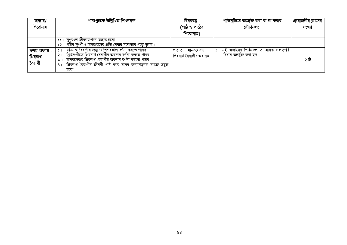| অধ্যায়/      | পাঠ্যপুস্তকে উল্লিখিত শিখনফল                                                    | বিষয়বস্তু              | পাঠ্যসূচিতে অন্তর্ভুক্ত করা বা না করার     | প্রয়োজনীয় ক্লাসের |
|---------------|---------------------------------------------------------------------------------|-------------------------|--------------------------------------------|---------------------|
| শিরোনাম       |                                                                                 | (পাঠ ও পাঠের            | যৌক্তিকতা                                  | সংখ্যা              |
|               |                                                                                 | শিরোনাম)                |                                            |                     |
|               | সুশঙ্খল জীবনযাপনে অভ্যন্ত হবো<br>331                                            |                         |                                            |                     |
|               | ১২। গরিব-দুঃখী ও অসহায়দের প্রতি সেবার মনোভাব গড়ে তুলব।                        |                         |                                            |                     |
| দশম অধ্যায় : | প্রিয়নাথ বৈরাগীর জন্ম ও শৈশবকাল বর্ণনা করতে পারব<br>$\mathcal{L}$              | পাঠ ৩: মানবসেবায়       | ১। এই অধ্যায়ের শিখনফল ৩ অধিক গুরুত্বপূর্ণ |                     |
| প্ৰিয়নাথ     | খ্রিষ্টসংগীতে প্রিয়নাথ বৈরাগীর অবদান বর্ণনা করতে পারব<br>$\geq$ 1              | প্রিয়নাথ বৈরাগীর অবদান | বিধায় অন্তৰ্ভুক্ত করা হল।                 |                     |
| বৈরাগী        | মানবসেবায় প্রিয়নাথ বৈরাগীর অবদান বর্ণনা করতে পারব<br>$\circ$                  |                         |                                            | ২ টি                |
|               | প্রিয়নাথ বৈরাগীর জীবনী পাঠ করে মানব কল্যাণমূলক কাজে উদ্বুদ্ধ<br>8 <sub>1</sub> |                         |                                            |                     |
|               | হবো।                                                                            |                         |                                            |                     |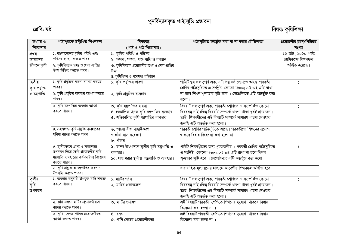# পুনৰ্বিন্যাসকৃত পাঠ্যসূচি: প্ৰম্ভাবনা

## শ্ৰেণি: ষষ্ঠ

# বিষয়: কৃষিশিক্ষা

| অধ্যায় ও                  | পাঠ্যপুস্তকে উল্লিখিত শিখনফল                                                                                                    | বিষয়বস্তু                                                                                                         | পাঠ্যসূচিতে অন্তর্ভুক্ত করা বা না করার যৌক্তিকতা                                                                                                                                                                                | প্রয়োজনীয় ক্লাস/পিরিয়ড                   |
|----------------------------|---------------------------------------------------------------------------------------------------------------------------------|--------------------------------------------------------------------------------------------------------------------|---------------------------------------------------------------------------------------------------------------------------------------------------------------------------------------------------------------------------------|---------------------------------------------|
| শিরোনাম                    |                                                                                                                                 | (পাঠ ও পাঠ শিরোনাম)                                                                                                |                                                                                                                                                                                                                                 | সংখ্যা                                      |
| প্ৰথম                      | ১. বাংলাদেশের কৃষির পরিধি এবং                                                                                                   | $\mathsf{S}.$ কৃষির পরিধি ও পরিসর                                                                                  |                                                                                                                                                                                                                                 | $\overline{\mathsf{S}}$ ৬ মচি, ২০২০ পৰ্যন্ত |
| আমাদের                     | পরিসর ব্যাখ্যা করতে পারব।                                                                                                       | ২. ফসল, মৎস্য, পশু-পাখি ও বনায়ন                                                                                   |                                                                                                                                                                                                                                 | শ্ৰেণিকক্ষে শিখনফল                          |
| জীবনে কৃষি                 | ২. কৃষিবিষয়ক তথ্য ও সেবা প্রাপ্তির<br>উৎস চিহ্নিত করতে পারব।                                                                   | ৩. কৃষিবিষয়ক প্রয়োজনীয় তথ্য ও সেবা প্রাপ্তির<br>উৎস<br>৪. কৃষিশিক্ষা ও গবেষণা প্রতিষ্ঠান                        |                                                                                                                                                                                                                                 | অৰ্জিত হয়েছে।                              |
| দ্বিতীয়<br>কৃষি প্ৰযুক্তি | ১. কৃষি প্রযুক্তির ধারণা ব্যাখ্যা করতে<br>পারব।                                                                                 | ১. কৃষি প্রযুক্তির ধারণা                                                                                           | পাঠটি খুব গুরুত্বপূর্ণ এবং এটা শুধু ষষ্ঠ শ্রেণিতে আছে।পরবর্তী<br>শ্রেণির পাঠ্যসূচিতে এ সংশ্লিষ্ট কোনো বিষয়বদ্ভ নেই তাই এটি রাখা                                                                                                | Ž.                                          |
| ও যন্ত্ৰপাতি               | ২. কৃষি প্রযুক্তির ব্যবহার ব্যাখ্যা করতে<br>পারব।                                                                               | ২. কৃষি প্রযুক্তির ব্যবহার                                                                                         | না হলে শিখন শূন্যতার সৃষ্টি হবে । সেপ্রেক্ষিতে এটি অন্তর্ভুক্ত করা<br>হলো।                                                                                                                                                      |                                             |
|                            | ৩. কৃষি যন্ত্রপাতির ব্যবহার ব্যাখ্যা<br>করতে পারব।                                                                              | ৩. কৃষি যন্ত্রপাতির ধারনা<br>৪. হস্তচালিত উন্নত কৃষি যন্ত্রপাতির ব্যবহার<br>৫. শক্তিচালিত কৃষি যন্ত্রপাতির ব্যবহার | বিষয়টি গুরুত্বপূর্ণ এবং পরবর্তী শ্রেণিতে এ সংস্পর্কিত কোনো<br>বিষয়বস্তু নাই।কিন্তু বিষয়টি সম্পর্কে ধারণা থাকা খুবই প্রয়োজন।<br>তাই শিক্ষার্থীদের এই বিষয়টি সম্পর্কে সাধারণ ধারণা দেওয়ার<br>জন্যই এটি অন্তৰ্ভুক্ত করা হলো। | Σ                                           |
|                            | ৪. সহজলভ্য কৃষি প্রযুক্তি ব্যবহারের<br>সুবিধা ব্যাখ্যা করতে পারব                                                                | ৬. ভালো বীজ বাছাইকরণ<br>৭.কাঁচা ঘাস সংরক্ষণ<br>৮. খাঁচায়                                                          | পরবর্তী শ্রেণির পাঠ্যসূচিতে আছে। পরবর্তীতে শিখনের সুযোগ<br>থাকবে বিধায় বিবেচনা করা হলো না                                                                                                                                      |                                             |
|                            | ৫. ছানীয়ভাবে প্ৰাপ্য ও সহজলভ্য<br>উপকরণ দিয়ে তৈরি প্রয়োজনীয় কৃষি<br>যন্ত্রপাতি ব্যবহারের কার্যকারিতা বিশ্লেষণ<br>করতে পারব। | ৯. ফসল উৎপাদনে ছানীয় কৃষি যঞ্জপাতি ও<br>ব্যবহার।<br>১০. মাছ ধরার ষ্থানীয় যঞ্জপাতি ও ব্যবহার।                     | পাঠটি শিক্ষাথীদের জন্য প্রয়োজনীয় । পরবর্তী শ্রেণির পাঠ্যসূচিতে<br>এ সংশ্লিষ্ট কোনো বিষয়বদ্ভ নেই তাই এটি রাখা না হলে শিখন<br>শূন্যতার সৃষ্টি হবে । সেপ্রেক্ষিতে এটি অন্তর্ভুক্ত করা হলো।                                      | $\mathcal{L}$                               |
|                            | ৬. কৃষি প্রযুক্তি ও যন্ত্রপাতির অবদান<br>উপলব্ধি করতে পারব।                                                                     |                                                                                                                    | ধারাবাহিক মূল্যায়নের মাধ্যমে আবেগীয় শিখনফল অর্জিত হবে।                                                                                                                                                                        |                                             |
| তৃতীয়<br>কৃষি<br>উপকরণ    | ১. ব্যবহার অনুযায়ী উপযুক্ত মাটি শনাক্ত<br>করতে পারব।                                                                           | ১. মাটির গঠন<br>২. মাটির প্রকারভেদ                                                                                 | বিষয়টি গুরুত্বপূর্ণ এবং পরবর্তী শ্রেণিতে এ সংস্পর্কিত কোনো<br>বিষয়বস্তু নাই।কিন্তু বিষয়টি সম্পর্কে ধারণা থাকা খুবই প্রয়োজন।<br>তাই শিক্ষার্থীদের এই বিষয়টি সম্পর্কে সাধারণ ধারণা দেওয়ার<br>জন্যই এটি অন্তৰ্ভুক্ত করা হলো। |                                             |
|                            | ২. কৃষি ফলনে মাটির প্রয়োজনীয়তা<br>ব্যাখ্যা করতে পারব।<br>৩. কৃষি ক্ষেত্রে পানির প্রয়োজনীয়তা<br>ব্যাখ্যা করতে পারব।          | ৩. মাটির গুণাগুণ<br>$8.$ সেচ<br>৫. পানি সেচের প্রয়োজনীয়তা                                                        | এই বিষয়টি পরবর্তী শ্রেণিতে শিখনের সুযোগ থাকবে বিধায়<br>বিবেচনা করা হলো না ।<br>এই বিষয়টি পরবর্তী শ্রেণিতে শিখনের সুযোগ থাকবে বিধায়<br>বিবেচনা করা হলো না ।                                                                  |                                             |
|                            |                                                                                                                                 |                                                                                                                    |                                                                                                                                                                                                                                 |                                             |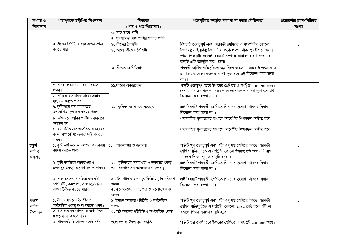| অধ্যায় ও | পাঠ্যপুস্তকে উল্লিখিত শিখনফল                                              | বিষয়বস্তু                                   | পাঠ্যসূচিতে অন্তর্ভুক্ত করা বা না করার যৌক্তিকতা                 | প্রয়োজনীয় ক্লাস/পিরিয়ড |
|-----------|---------------------------------------------------------------------------|----------------------------------------------|------------------------------------------------------------------|---------------------------|
| শিরোনাম   |                                                                           | (পাঠ ও পাঠ শিরোনাম)                          |                                                                  | সংখ্যা                    |
|           |                                                                           | ৬. মাছ চাষে পানি                             |                                                                  |                           |
|           |                                                                           | ৭. গৃহপালিত পশ-পাখির খাবার পানি              |                                                                  |                           |
|           | ৪. বীজের বৈশিষ্ট্য ও প্রকারভেদ বর্ণনা                                     | ৮. বীজের বৈশিষ্ট্য                           | বিষয়টি গুরুত্বপূর্ণ এবং পরবর্তী শ্রেণিতে এ সংস্পর্কিত কোনো      | $\mathbf{v}$              |
|           | করতে পারব।                                                                | ৯. ভালো বীজের বৈশিষ্ট্য                      | বিষয়বস্তু নাই।কিন্তু বিষয়টি সম্পর্কে ধারণা থাকা খুবই প্রয়োজন। |                           |
|           |                                                                           |                                              | তাই শিক্ষার্থীদের এই বিষয়টি সম্পর্কে সাধারণ ধারণা দেওয়ার       |                           |
|           |                                                                           |                                              | জন্যই এটি অন্তর্ভুক্ত করা হলো।                                   |                           |
|           |                                                                           | ১০.বীজের শ্রেণিবিভাগ                         | পরবর্তী শ্রেণির পাঠ্যসূচিতে অল্প বিস্তর আছে। সেসময় ঐ পাঠের সাথে |                           |
|           |                                                                           |                                              | এ বিষয়ে আলোচনা করলে এ গ্যাপটা পূরণ হবে তাই বিবেচনা করা হলো      |                           |
|           |                                                                           |                                              | না $  $                                                          |                           |
|           | ৫. সারের প্রকারভেদ বর্ণনা করতে                                            | ১১.সারের প্রকারভেদ                           | পাঠটি গুরুত্বপূর্ণ তবে উপরের শ্রেণিতে এ সংশ্লিষ্ট content আছে।   |                           |
|           | পারব।                                                                     |                                              | সেসময় ঐ পাঠের সাথে এ বিষয়ে আলোচনা করলে এ গ্যাপটা পূরণ হবে তাই  |                           |
|           | ৬. কৃষিতে রাসায়নিক সারের প্রভাব                                          |                                              | বিবেচনা করা হলো না।                                              |                           |
|           | মূল্যায়ন করতে পারব।                                                      |                                              |                                                                  |                           |
|           | ৭. কৃষিকাজে সার ব্যবহারের                                                 | ১২. কৃষিকাজে সারের ব্যবহার                   | এই বিষয়টি পরবর্তী শ্রেণিতে শিখনের সুযোগ থাকবে বিধায়            |                           |
|           | উপযোগিতা মূল্যায়ন করতে পারব।                                             |                                              | বিবেচনা করা হলো না                                               |                           |
|           | ৮. কৃষিকাজে পানির পরিমিত ব্যবহারে                                         |                                              | ধারাবাহিক মূল্যায়নের মাধ্যমে আবেগীয় শিখনফল অর্জিত হবে।         |                           |
|           | সচেতন হব।                                                                 |                                              |                                                                  |                           |
|           | ৯. রাসায়নিক সার অতিরিক্ত ব্যবহারের                                       |                                              | ধারাবাহিক মূল্যায়নের মাধ্যমে আবেগীয় শিখনফল অর্জিত হবে।         |                           |
|           | কুফল সম্পৰ্কে সচেতনতা সৃষ্টি করতে<br>পারব।                                |                                              |                                                                  |                           |
| চতুৰ্থ    | ১. কৃষি কাৰ্যক্ৰমে আবহাওয়া ও জলবায়ু                                     | আবহাওয়া ও জলবায়ু                           | পাঠটি খুব গুরুত্বপূর্ণ এবং এটা শুধু ষষ্ঠ শ্রেণিতে আছে।পরবর্তী    | $\mathcal{L}$             |
| কৃষি ও    | ব্যাখ্যা করতে পারবে                                                       |                                              | শ্রেণির পাঠ্যসূচিতে এ সংশ্লিষ্ট কোনো বিষয়বন্তু নেই তাই এটি রাখা |                           |
| জলবায়ু   |                                                                           |                                              | না হলে শিখন শূন্যতার সৃষ্টি হবে ।                                |                           |
|           | ২. কৃষি কাৰ্যক্ৰমে আবহাওয়া ও                                             | কৃষিকাজে আবহাওয়া ও জলবায়ুর গুরুত্ব<br>২.   | এই বিষয়টি পরবর্তী শ্রেণিতে শিখনের সুযোগ থাকবে বিধায়            |                           |
|           | জলবায়ুর গুরুত্ব বিশ্লেষণ করতে পারব।                                      | ৩. বাংলাদেশের আবহাওয়া ও জলবায়ু             | বিবেচনা করা হলো না ।                                             |                           |
|           |                                                                           |                                              |                                                                  |                           |
|           | ৩. বাংলাদেশের মানচিত্রে কম বৃষ্টি,                                        | ৪.মাটি, পানি ও জলবায়ুর ভিত্তিতি কৃষি পরিবেশ | এই বিষয়টি পরবর্তী শ্রেণিতে শিখনের সুযোগ থাকবে বিধায়            |                           |
|           | বেশি বৃষ্টি, বন্যপ্রবণ, জলোচ্ছ্বাসপ্রবণ                                   | অঞ্চল                                        | বিবেচনা করা হলো না                                               |                           |
|           | অঞ্চল চিহ্নিত করতে পারব।                                                  | ৫. বাংলাদেশের বন্যা, খরা ও জলোচ্ছ্বাসপ্রবণ   |                                                                  |                           |
|           |                                                                           | অঞ্চল                                        |                                                                  |                           |
| পঞ্চম     | ১. উদ্যান ফসলের বৈশিষ্ট্য ও                                               | ১. উদ্যান ফসলের পরিচিতি ও অর্থনৈতিক          | পাঠটি খুব গুরুত্বপূর্ণ এবং এটা শুধু ষষ্ঠ শ্রেণিতে আছে।পরবর্তী    | $\blacktriangleright$     |
| কৃষিজ     | অৰ্থনৈতিক গুরুত্ব বর্ণনা করতে পারব।<br>২. মাঠ ফসলের বৈশিষ্ট্য ও অর্থনৈতিক | ণ্ডরুত                                       | শ্রেণির পাঠ্যসূচিতে এ সংশ্লিষ্ট কোনো topic নেই বলে এটি না        |                           |
| উৎপাদন    | গুরুত্ব বর্ণনা করতে পারব।                                                 | ২. মাঠ ফসলের পরিচিতি ও অর্থনৈতিক গুরুত্ব     | রাখলে শিখন শূন্যতার সৃষ্টি হবে ।                                 |                           |
|           | ৩. শাকসবজি উৎপাদন পদ্ধতি বৰ্ণনা                                           | ৩.লালশাক উৎপাদন পদ্ধতি                       | পাঠটি গুরুত্বপূর্ণ তবে উপরের শ্রেণিতে এ সংশ্লিষ্ট content আছে।   |                           |
|           |                                                                           |                                              |                                                                  |                           |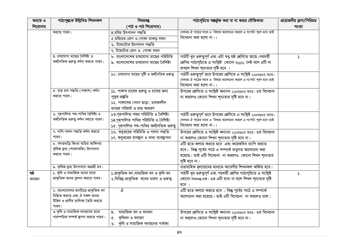| অধ্যায় ও | পাঠ্যপুস্তকে উল্লিখিত শিখনফল                 | বিষয়বস্তু                                                | পাঠ্যসূচিতে অন্তর্ভুক্ত করা বা না করার যৌক্তিকতা                                                                                  | প্রয়োজনীয় ক্লাস/পিরিয়ড |
|-----------|----------------------------------------------|-----------------------------------------------------------|-----------------------------------------------------------------------------------------------------------------------------------|---------------------------|
| শিরোনাম   |                                              | (পাঠ ও পাঠ শিরোনাম)                                       |                                                                                                                                   | সংখ্যা                    |
|           | করতে পারব।                                   | ৪.মরিচ উৎপাদন পদ্ধতি                                      | সেসময় ঐ পাঠের সাথে এ বিষয়ে আলোচনা করলে এ গ্যাপটা পূরণ হবে তাই                                                                   |                           |
|           |                                              | ৫.মরিচের রোগ ও পোকা মাকড় দমন                             | বিবেচনা করা হলো না।।                                                                                                              |                           |
|           |                                              | ৬. টমোটোর উৎপাদন পদ্ধতি                                   |                                                                                                                                   |                           |
|           |                                              | ৭. টমেটোর রোগ ও পোকা দমন                                  |                                                                                                                                   |                           |
|           | ৪. চাষযোগ্য মাছের বৈশিষ্ট্য ও                | ৮. বাংলাদেশের চাষযোগ্য মাছের পরিচিতি                      | পাঠটি খুব গুরুত্বপূর্ণ এবং এটা শুধু ষষ্ঠ শ্রেণিতে আছে।পরবর্তী                                                                     | د                         |
|           | অৰ্থনৈতিক গুৰুতু বৰ্ণনা করতে পারব।           | ৯. বাংলাদেশের চাষযোগ্য মাছের বৈশিষ্ট্য                    | শ্রেণির পাঠ্যসূচিতে এ সংশ্লিষ্ট কোনো topic নেই বলে এটি না                                                                         |                           |
|           |                                              |                                                           | রাখলে শিখন শূন্যতার সৃষ্টি হবে ।                                                                                                  |                           |
|           |                                              | ১০. চাষযোগ্য মাছের পুষ্টি ও অর্থনৈতিক গুরুত্ব             | পাঠটি গুরুত্বপূর্ণ তবে উপরের শ্রেণিতে এ সংশ্লিষ্ট content আছে।<br>সেসময় ঐ পাঠের সাথে এ বিষয়ে আলোচনা করলে এ গ্যাপটা পূরণ হবে তাই |                           |
|           |                                              |                                                           | বিবেচনা করা হলো না।                                                                                                               |                           |
|           | ৫. মাছ চাষ পদ্ধতি (পাঙ্গাশ) বৰ্ণনা           | ১১. পাঙ্গাস চাষের গুরুত্ব ও চাষের জন্য                    | উপরের শ্রেণিতে এ সংশ্লিষ্ট অন্যান্য content আছে। তাই বিবেচনা                                                                      |                           |
|           | করতে পারব।                                   | পুকুর প্রষ্তুতি                                           | না করলেও কোনো শিখন শূন্যতার সৃষ্টি হবে না।                                                                                        |                           |
|           |                                              | ১২. পাঙ্গাসের পোনা ছাড়া, চাষকালীন                        |                                                                                                                                   |                           |
|           |                                              | মাছের পরিচর্যা ও মাছ আহরণ                                 |                                                                                                                                   |                           |
|           | ৬. গৃহপালিত পশু-পাখির বৈশিষ্ট্য ও            | ১৩.গৃহপালিত পশুর পরিচিতি ও বৈশিষ্ট্য                      | পাঠটি গুরুত্বপূর্ণ তবে উপরের শ্রেণিতে এ সংশ্লিষ্ট content আছে।                                                                    |                           |
|           | অৰ্থনৈতিক গুরুত্ব বর্ণনা করতে পারব।          | ১৪.গৃহপালিত পাখির পরিচিতি ও বৈশিষ্ট্য                     | সেসময় ঐ পাঠের সাথে এ বিষয়ে আলোচনা করলে এ গ্যাপটা পূরণ হবে তাই                                                                   |                           |
|           |                                              | ১৫. গৃহপালিত পশু-পাখির অর্থনৈতিক গুরুত্ব                  | বিবেচনা করা হলো না।।                                                                                                              |                           |
|           | ৭. পাখি পালন পদ্ধতি বৰ্ণনা করতে              | ১৬. কবুতরের পরিচিতি ও পালন পদ্ধতি                         | উপরের শ্রেণিতে এ সংশ্লিষ্ট অন্যান্য content আছে। তাই বিবেচনা                                                                      |                           |
|           | পারব।                                        | ১৭. কবুতরের বাসন্থান ও খাদ্য ব্যবস্থাপনা                  | না করলেও কোনো শিখন শূন্যতার সৃষ্টি হবে না।                                                                                        |                           |
|           | ৮. বসতবাড়ি কিংবা বাডির আঙ্গিনায়            |                                                           | এটি হতে কলমে করতে হবে এবং কয়েকদিন ব্যাপি করতে                                                                                    |                           |
|           | কৃষিজ দ্রব্য (শাকসবজি) উৎপাদান<br>করতে পারব। |                                                           | হবে। কিন্তু পূর্বের পাঠে এ সম্পর্কে তত্ত্বগত আলোচনা করা                                                                           |                           |
|           |                                              |                                                           | হয়েছে। তাই এটি বিবেচনা না করলেও কোনো শিখন শূন্যতার                                                                               |                           |
|           |                                              |                                                           | সৃষ্টি হবে না।                                                                                                                    |                           |
|           | ৯. কৃষিজ দ্ৰব্য উৎপাদনে আগ্ৰহী হব।           |                                                           | ধারাবাহিক মূল্যায়নের মাধ্যমে আবেগীয় শিখনফল অর্জিত হবে।                                                                          |                           |
| ষষ্ঠ      | ১. কৃষি ও সামাজিক বনের সাথে                  | ১.প্ৰাকৃতিক বন,সামাজিক বন ও কৃষি বন                       | পাঠটি খুব গুরুত্বপূর্ণ এবং পরবর্তী শ্রেণির পাঠ্যসূচিতে এ সংশ্লিষ্ট                                                                | Σ                         |
| বনায়ন    | প্রাকৃতিক বনের তুলনা করতে পারব।              | ২.বিভিন্ন প্রাকৃতিক বনের ধারণা ও গুরুত্ব                  | কোনো বিষয়বস্তু নেই। তাই এটি রাখা না হলে শিখন শূন্যতার সৃষ্টি<br>হবে                                                              |                           |
|           | ২. বাংলাদেশের মানচিত্রে প্রাকৃতিক বন         | ঞ                                                         | এটি হতে কলমে করতে হবে । কিন্তু পূর্বের পাঠে এ সম্পর্কে                                                                            |                           |
|           | চিহ্নিত করতে এবং ঐ সকল বনের                  |                                                           | আলোচনা করা হয়েছে। তাই এটি বিবেচনা না করলেও চলে।                                                                                  |                           |
|           | উদ্ভিদ ও প্রাণীর তালিকা তৈরি করতে            |                                                           |                                                                                                                                   |                           |
|           | পারব।<br>৩ কৃষি ও সামাজিক বনায়নের মধ্যে     | 8. সামাজিক বন ও বনায়ন                                    |                                                                                                                                   |                           |
|           | পারস্পরিক সম্পর্ক ষ্থাপন করতে পারব।          |                                                           | উপরের শ্রেণিতে এ সংশ্লিষ্ট অন্যান্য content আছে। তাই বিবেচনা                                                                      |                           |
|           |                                              | ৫. কৃষিবন ও বনায়ন<br>৬. কৃষি ও সামাজিক বনায়নের পার্থক্য | না করলেও কোনো শিখন শূন্যতার সৃষ্টি হবে না।                                                                                        |                           |
|           |                                              |                                                           |                                                                                                                                   |                           |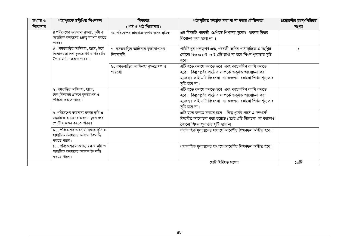| অধ্যায় ও | পাঠ্যপুস্তকে উল্লিখিত শিখনফল                                                           | বিষয়বস্তু                               | পাঠ্যসূচিতে অন্তর্ভুক্ত করা বা না করার যৌক্তিকতা                   | প্রয়োজনীয় ক্লাস/পিরিয়ড |
|-----------|----------------------------------------------------------------------------------------|------------------------------------------|--------------------------------------------------------------------|---------------------------|
| শিরোনাম   |                                                                                        | (পাঠ ও পাঠ শিরোনাম)                      |                                                                    | সংখ্যা                    |
|           | ৪ পরিবেশের ভারসাম্য রক্ষায়, কৃষি ও                                                    | ৬. পরিবেশের ভারসাম্য রক্ষায় বনের ভূমিকা | এই বিষয়টি পরবর্তী শ্রেণিতে শিখনের সুযোগ থাকবে বিধায়              |                           |
|           | সামাজিক বনায়নের গুরুত্ব ব্যাখ্যা করতে                                                 |                                          | বিবেচনা করা হলো না ।                                               |                           |
|           | পারব।                                                                                  |                                          |                                                                    |                           |
|           | $\alpha$ . বসতবাড়ির আঙ্গিনায়, ছাদে, টবে<br>বিদ্যালয় প্রাঙ্গণে বৃক্ষরোপণ ও পরিচর্যার | ৭. বসতবাড়ির আঙ্গিনায় বৃক্ষরোপণের       | পাঠটি খুব গুরুত্বপূর্ণ এবং পরবর্তী শ্রেণির পাঠ্যসূচিতে এ সংশ্লিষ্ট | Σ                         |
|           | উপায় বর্ণানা করতে পারব।                                                               | নিয়মাবলি                                | কোনো বিষয়বন্তু নেই ।তাই এটি রাখা না হলে শিখন শূন্যতার সৃষ্টি      |                           |
|           |                                                                                        | ৮. বসতবাড়ির আঙ্গিনায় বৃক্ষরোপণ ও       | হবে।<br>এটি হতে কলমে করতে হবে এবং কয়েকদিন ব্যাপি করতে             |                           |
|           |                                                                                        | পরিচর্যা                                 | হবে। কিন্তু পূর্বের পাঠে এ সম্পর্কে তত্বগত আলোচনা করা              |                           |
|           |                                                                                        |                                          | হয়েছে। তাই এটি বিবেচনা না করলেও কোনো শিখন শূন্যতার                |                           |
|           |                                                                                        |                                          | সৃষ্টি হবে না।                                                     |                           |
|           | ৬. বসতাড়ির আঙ্গিনায়, ছাদে,                                                           |                                          | এটি হতে কলমে করতে হবে এবং কয়েকদিন ব্যাপি করতে                     |                           |
|           | টবে, বিদ্যালয় প্রাঙ্গণে বৃক্ষরোপণ ও                                                   |                                          | হবে। কিন্তু পূর্বের পাঠে এ সম্পর্কে তত্ত্বগত আলোচনা করা            |                           |
|           | পরিচর্যা করতে পারব।                                                                    |                                          | হয়েছে। তাই এটি বিবেচনা না করলেও কোনো শিখন শূন্যতার                |                           |
|           |                                                                                        |                                          | সৃষ্টি হবে না।                                                     |                           |
|           | ৭. পরিবেশের ভারসাম্য রক্ষায় কৃষি ও                                                    |                                          | এটি হতে কলমে করতে হবে । কিন্তু পূর্বের পাঠে এ সম্পর্কে             |                           |
|           | সামাজিক বনায়নের অবদান তুলে ধরে                                                        |                                          | বিষ্তারিত আলোচনা করা হয়েছে। তাই এটি বিবেচনা না করলেও              |                           |
|           | পোস্টার অঙ্কন করতে পারব।                                                               |                                          | কোনো শিখন শূন্যতার সৃষ্টি হবে না।                                  |                           |
|           | ৮. . পরিবেশের ভারসাম্য রক্ষায় কৃসি ও                                                  |                                          | ধারাবাহিক মূল্যায়নের মাধ্যমে আবেগীয় শিখনফল অর্জিত হবে।           |                           |
|           | সামাজিক বনায়নের অবদান উপলদ্ধি                                                         |                                          |                                                                    |                           |
|           | করতে পারব।<br>৯. . পরিবেশের ভারসাম্য রক্ষায় কৃষি ও                                    |                                          | ধারাবাহিক মূল্যায়নের মাধ্যমে আবেগীয় শিখনফল অর্জিত হবে।           |                           |
|           | সামাজিক বনায়নের অবদান উপলদ্ধি                                                         |                                          |                                                                    |                           |
|           | করতে পারব।                                                                             |                                          |                                                                    |                           |
|           |                                                                                        |                                          | মোট পিরিয়ড সংখ্যা                                                 | টা০                       |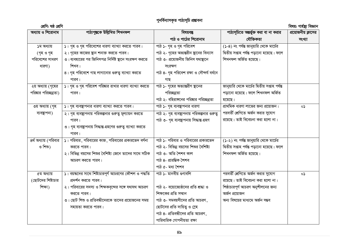### পুনৰ্বিন্যাসকৃত পাঠ্যসূচি প্ৰম্ভাবনা

শ্ৰেণি: ষষ্ঠ শ্ৰেণি

বিষয়: গাৰ্হঙ্গ বিজ্ঞান

| অধ্যায় ও শিরোনাম     | পাঠ্যপুস্তকে উল্লিখিত শিখনফল                                    | বিষয়বস্তু                                  | পাঠ্যসূচিতে অন্তর্ভুক্ত করা বা না করার         | 1114<br>প্রয়োজনীয় ক্লাসের |
|-----------------------|-----------------------------------------------------------------|---------------------------------------------|------------------------------------------------|-----------------------------|
|                       |                                                                 | পাঠ ও পাঠের শিরোনাম                         | যৌক্তিকতা                                      | সংখ্যা                      |
| ১ম অধ্যায়            | $\sqrt{2}$ । গৃহ ও গৃহ পরিবেশের ধারণা ব্যাখ্যা করতে পারব।       | পাঠ ১- গৃহ ও গৃহ পরিবেশ                     | (১-৪) নং পর্যন্ত জানুয়ারি থেকে মার্চের        |                             |
| (গৃহ ও গৃহ            | ২। গৃহের কাজের ছান শনাক্ত করতে পারব।                            | পাঠ ২- গৃহের অভ্যন্তরীন ছানের বিন্যাস       | দ্বিতীয় সপ্তাহ পৰ্যন্ত পড়ানো হয়েছে। ফলে     |                             |
| পরিবেশের সাধরণ        | ৩। ব্যবহারের পর জিনিসপত্র নির্দিষ্ট ছানে সংরক্ষণ করতে           | পাঠ ৩- প্রয়োজনীয় জিনিস যথাষ্থানে          | শিখনফল অৰ্জিত হয়েছে।                          |                             |
| ধারণা)                | শিখব।                                                           | সংরক্ষণ                                     |                                                |                             |
|                       | ৪। গৃহ পরিবেশে গাছ লাগানোর গুরুত্ব ব্যাখ্যা করতে                | পাঠ ৪- গৃহ পরিবেশ রক্ষা ও সৌন্দর্য বর্ধনে   |                                                |                             |
|                       | পারব।                                                           | গাছ                                         |                                                |                             |
| ২য় অধ্যায় (গৃহের    | ১। গৃহ ও গৃহ পরিবেশ পরিষ্কার রাখার ধারণা ব্যাখ্যা করতে          | পাঠ ১- গৃহের অভ্যান্তরীণ ছানের              | জানুয়ারি থেকে মার্চের দ্বিতীয় সপ্তাহ পর্যন্ত |                             |
| পরিষ্কার পরিচ্ছন্নতা) | পারব।                                                           | পরিচ্ছন্নতা                                 | পড়ানো হয়েছে। ফলে শিখনফল অৰ্জিত               |                             |
|                       |                                                                 | পাঠ ২- বহিরাঙ্গনের পরিষ্কার পরিচ্ছন্নতা     | হয়েছে।                                        |                             |
| ৩য় অধ্যায় (গৃহ      | ১। গৃহ ব্যবস্থাপনার ধারণা ব্যাখ্যা করতে পারব।                   | পাঠ ১- গৃহ ব্যবস্থাপনার ধারণা               | প্রাথমিক ধারণা লাভের জন্য প্রয়োজন।            | ০১                          |
| ব্যবস্থাপনা)          | । গৃহ ব্যবস্থাপনায় পরিকল্পনার গুরুত্ব মূল্যায়ন করতে           | পাঠ ২- গৃহ ব্যবস্থাপনায় পরিকল্পনার গুরুত্ব | পরবর্তী শ্রেণিতে অর্জন করার সুযোগ              |                             |
|                       | পারব।                                                           | পাঠ ৩- গৃহ ব্যবস্থাপনায় সিদ্ধান্ত গ্ৰহণ    | রয়েছে। তাই বিবেচনা করা হলো না।                |                             |
|                       | ৩। গৃহ ব্যবস্থাপনায় সিদ্ধান্ত গ্রহণের গুরুত্ব ব্যাখ্যা করতে    |                                             |                                                |                             |
|                       | পারব।                                                           |                                             |                                                |                             |
| ৪র্থ অধ্যায় (পরিবার  | $\mathcal{S}$ । পরিবার, পরিবারের কাজ, পরিবারের প্রকারভেদ বর্ণনা | পাঠ ১- পরিবার ও পরিবারের প্রকারভেদ          | (১-২) নং পর্যন্ত জানুয়ারি থেকে মার্চের        |                             |
| ও শিশু)               | করতে পারব।                                                      | পাঠ ২- বিভিন্ন বয়সের শিশুর বৈশিষ্ট্য       | দ্বিতীয় সপ্তাহ পৰ্যন্ত পড়ানো হয়েছে। ফলে     |                             |
|                       | ২। বিভিন্ন বয়সের শিশুর বৈশিষ্ট্য জেনে তাদের সাথে সঠিক          | পাঠ ৩- অতি শৈশব কাল                         | শিখনফল অৰ্জিত হয়েছে।                          |                             |
|                       | আচরণ করতে পারব।                                                 | পাঠ ৪- প্রারম্ভিক শৈশব                      |                                                |                             |
|                       |                                                                 | পাঠ ৫- মধ্য শৈশব                            |                                                |                             |
| ৫ম অধ্যায়            | ১। বয়ঙ্কদের সাথে শিষ্টাচারপূর্ণ আচরণের কৌশল ও পদ্ধতি           | পাঠ ১- মানবীয় গুণাবলি                      | পরবর্তী শ্রেণিতে অর্জন করার সুযোগ              | ০১                          |
| (ছোটদের শিষ্টাচার     | প্রদর্শন করতে পারব।                                             |                                             | রয়েছে। তাই বিবেচনা করা হলো না।                |                             |
| শিক্ষা)               | ২। পরিবারের সদস্য ও শিক্ষকবৃন্দের সঙ্গে যথাযথ আচরণ              | পাঠ ২- বয়োজ্যেষ্ঠদের প্রতি শ্রদ্ধা ও       | শিষ্ঠাচারপূর্ণ আচরণ অনুশীলনের জন্য             |                             |
|                       | করতে পারব।                                                      | শিক্ষকের প্রতি সম্মান                       | অৰ্জন প্ৰয়োজন                                 |                             |
|                       | ৩। ছোট শিশু ও প্রতিবন্ধীদেরকে তাদের প্রয়োজনের সময়             | পাঠ ৩- সমবয়সীদের প্রতি আচরণ,               | অন্য বিষয়ের মাধ্যমে অর্জন সম্ভব               |                             |
|                       | সহায়তা করতে পারব।                                              | ছোটদের প্রতি দায়িত্ব ও স্লেহ               |                                                |                             |
|                       |                                                                 | পাঠ ৪- প্রতিবন্ধীদের প্রতি আচরণ,            |                                                |                             |
|                       |                                                                 | পারিবারিক গোপনীয়তা রক্ষা                   |                                                |                             |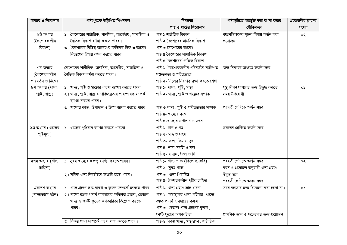| অধ্যায় ও শিরোনাম   | পাঠ্যপুস্তকে উল্লিখিত শিখনফল                                         | বিষয়বস্তু                                  | পাঠ্যসূচিতে অন্তর্ভুক্ত করা বা না করার  | প্রয়োজনীয় ক্লাসের |
|---------------------|----------------------------------------------------------------------|---------------------------------------------|-----------------------------------------|---------------------|
|                     |                                                                      | পাঠ ও পাঠের শিরোনাম                         | যৌক্তিকতা                               | সংখ্যা              |
| ৬ষ্ঠ অধ্যায়        | ১। কৈশোরের শারীরিক, মানসিক, আবেগীয়, সামাজিক ও                       | পাঠ ১ শারীরিক বিকাশ                         | বয়ঃসন্ধিক্ষণের সূচনা বিধায় অর্জন করা  | ০২                  |
| (কৈশোরকালীন         | নৈতিক বিকাশ বৰ্ণনা করতে পারব।                                        | পাঠ ২ কৈশোরের মানসিক বিকাশ                  | প্ৰয়োজন                                |                     |
| বিকাশ)              | ৩। কৈশোরের বিভিন্ন আবেগের ক্ষতিকর দিক ও আবেগ                         | পাঠ ৩ কৈশোরের আবেগ                          |                                         |                     |
|                     | নিয়ন্ত্রণের উপায় বর্ণনা করতে পারব।                                 | পাঠ ৪ কৈশোরের সামাজিক বিকাশ                 |                                         |                     |
|                     |                                                                      | পাঠ ৫ কৈশোরের নৈতিক বিকাশ                   |                                         |                     |
| ৭ম অধ্যায়          | কৈশোরের শারীরিক, মানসিক, আবেগীয়, সামাজিক ও                          | পাঠ ১- কৈশোরকালীন পরিবর্তনে ব্যক্তিগত       | অন্য বিষয়ের মাধ্যমে অর্জন সম্ভব        |                     |
| (কৈশোরকালীন         | নৈতিক বিকাশ বৰ্ণনা করতে পারব।                                        | সচেতনতা ও পরিচ্ছন্নতা                       |                                         |                     |
| পরিবর্তন ও নিজের    |                                                                      | পাঠ ২- নিজের নিরাপত্ত রক্ষা করতে শেখা       |                                         |                     |
| ৮ম অধ্যায় (খাদ্য,  | $\mathsf{S}$ । খাদ্য, পুষ্টি ও শ্বাষ্থ্যের ধারণা ব্যাখ্যা করতে পারব। | পাঠ ১- খাদ্য, পুষ্টি, স্বাস্থ্য             | সুষ্থ জীবন যাপনের জন্য উদ্ধুদ্ধ করতে    | ০১                  |
| পুষ্টি, স্বাস্থ্য)  | ২। খাদ্য, পুষ্টি, স্বাষ্থ্য ও পরিচ্ছন্নতার পারস্পরিক সম্পর্ক         | পাঠ ২- খাদ্য, পুষ্টি ও ষাষ্ট্যের সম্পর্ক    | সময় উপযোগী                             |                     |
|                     | ব্যাখ্যা করতে পারব।                                                  |                                             |                                         |                     |
|                     | ৩।খাদ্যের কাজ, উপাদান ও উৎস ব্যাখ্যা করতে পারব।                      | পাঠ ৩ খাদ্য, পুষ্টি ও পরিচ্ছন্নতার সম্পক    | পরবর্তী শ্রেণিতে অর্জন সম্ভব            |                     |
|                     |                                                                      | পাঠ ৪- খাদ্যের কাজ                          |                                         |                     |
|                     |                                                                      | পাঠ ৫-খাদ্যের উপাদান ও উৎস                  |                                         |                     |
| ৯ম অধ্যায় (খাদ্যের | ১। খাদ্যের পুষ্টিমান ব্যাখ্যা করতে পারবো                             | পাঠ ১- চাল ও গম                             | উচ্চতর শ্রেণিতে অর্জন সম্ভব             |                     |
| পুষ্টিমূল্য)        |                                                                      | পাঠ ২- মাছ ও মাংস                           |                                         |                     |
|                     |                                                                      | পাঠ ৩- ডাল, ডিম ও দুধ                       |                                         |                     |
|                     |                                                                      | পাঠ ৪- শাক-সবজি ও ফল                        |                                         |                     |
|                     |                                                                      | পাঠ ৫- বাদাম, তৈল ও ঘি                      |                                         |                     |
| দশম অধ্যায় (খাদ্য  | ১। সুষম খাদ্যের গুরুত্ব ব্যাখ্যা করতে পারব।                          | পাঠ ১- খাদ্য শক্তি (কিলোক্যালরি)            | পরবর্তী শ্রেণিতে অর্জন সম্ভব            | ০২                  |
| চাহিদা)             |                                                                      | পাঠ ২- সুষম খাদ্য                           | বয়স ও প্রয়োজন অনুযায়ী খাদ্য গ্রহণে   |                     |
|                     | ২। সঠিক খাদ্য নিবর্চাচনে আগ্রহী হতে পারব।                            | পাঠ ৩- খাদ্য পিরামিড                        | উদ্বদ্ধ হবে                             |                     |
|                     |                                                                      | পাঠ ৪- কৈশারকালীন পুষ্টির চাহিদা            | পরবর্তী শ্রেণিতে অর্জন সম্ভব            |                     |
| একাদশ অধ্যায়       | ১। খাদ্য গ্রহণে ভ্রান্ত ধারণা ও কুফল সম্পর্কে জানতে পারব।            | পাঠ ১- খাদ্য গ্ৰহণে ভ্ৰান্ত ধারণা           | সময় শ্বল্পতার জন্য বিবেচনা করা হলো না। | ο১                  |
| (খাদ্যাভ্যাস গঠন)   | ২। খাদ্যে রঞ্জক পদার্থ ব্যবহারের ক্ষতিকর প্রভাব, ভেজাল               | পাঠ ২- অন্বাষ্থ্যকর খাদ্য পরিহার, খাদ্যে    |                                         |                     |
|                     | খাদ্য ও ফাস্ট ফুডের অপকারিতা বিশ্লেষণ করতে                           | রঞ্জক পদার্থ ব্যবহারের কুফল                 |                                         |                     |
|                     | পারব।                                                                | পাঠ ৩- ভেজাল খাদ্য গ্রহণের কুফল,            |                                         |                     |
|                     |                                                                      | ফাস্ট ফুডের অপকারিতা                        | প্রাথমিক জ্ঞান ও সচেতনার জন্য প্রয়োজন  |                     |
|                     | ৩। বিকল্প খাদ্য সম্পর্কে ধারণা লাভ করতে পারব।                        | পাঠ-৪ বিকল্প খাদ্য, স্বাস্থ্যরক্ষা, শারীরিক |                                         |                     |